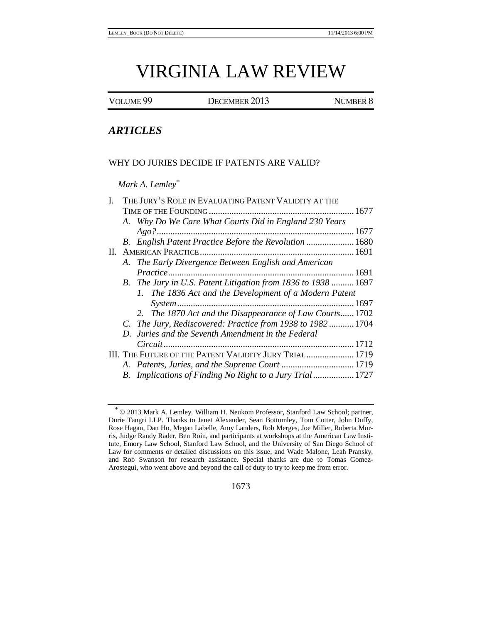# VIRGINIA LAW REVIEW

| VOLUME 99 |  |
|-----------|--|
|-----------|--|

DECEMBER 2013 NUMBER 8

# *ARTICLES*

### WHY DO JURIES DECIDE IF PATENTS ARE VALID?

### *Mark A. Lemley*\*

|      |    | THE JURY'S ROLE IN EVALUATING PATENT VALIDITY AT THE          |      |
|------|----|---------------------------------------------------------------|------|
|      |    |                                                               |      |
|      |    | A. Why Do We Care What Courts Did in England 230 Years        |      |
|      |    |                                                               | 1677 |
|      |    | B. English Patent Practice Before the Revolution  1680        |      |
| П. - |    |                                                               |      |
|      |    | A. The Early Divergence Between English and American          |      |
|      |    |                                                               |      |
|      |    | B. The Jury in U.S. Patent Litigation from 1836 to 1938  1697 |      |
|      |    | 1. The 1836 Act and the Development of a Modern Patent        |      |
|      |    |                                                               |      |
|      |    | 2. The 1870 Act and the Disappearance of Law Courts 1702      |      |
|      |    | C. The Jury, Rediscovered: Practice from 1938 to 19821704     |      |
|      |    | D. Juries and the Seventh Amendment in the Federal            |      |
|      |    |                                                               |      |
|      |    | III. THE FUTURE OF THE PATENT VALIDITY JURY TRIAL 1719        |      |
|      |    |                                                               |      |
|      | B. | Implications of Finding No Right to a Jury Trial 1727         |      |
|      |    |                                                               |      |

1673

<sup>\*</sup> © 2013 Mark A. Lemley. William H. Neukom Professor, Stanford Law School; partner, Durie Tangri LLP. Thanks to Janet Alexander, Sean Bottomley, Tom Cotter, John Duffy, Rose Hagan, Dan Ho, Megan Labelle, Amy Landers, Rob Merges, Joe Miller, Roberta Morris, Judge Randy Rader, Ben Roin, and participants at workshops at the American Law Institute, Emory Law School, Stanford Law School, and the University of San Diego School of Law for comments or detailed discussions on this issue, and Wade Malone, Leah Pransky, and Rob Swanson for research assistance. Special thanks are due to Tomas Gomez-Arostegui, who went above and beyond the call of duty to try to keep me from error.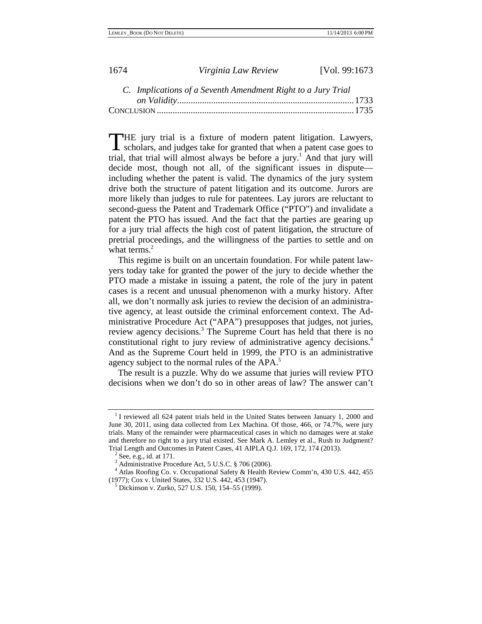| C. Implications of a Seventh Amendment Right to a Jury Trial |  |
|--------------------------------------------------------------|--|
|                                                              |  |
|                                                              |  |

HE jury trial is a fixture of modern patent litigation. Lawyers, THE jury trial is a fixture of modern patent litigation. Lawyers, scholars, and judges take for granted that when a patent case goes to trial, that trial will almost always be before a jury.<sup>1</sup> And that jury will decide most, though not all, of the significant issues in dispute including whether the patent is valid. The dynamics of the jury system drive both the structure of patent litigation and its outcome. Jurors are more likely than judges to rule for patentees. Lay jurors are reluctant to second-guess the Patent and Trademark Office ("PTO") and invalidate a patent the PTO has issued. And the fact that the parties are gearing up for a jury trial affects the high cost of patent litigation, the structure of pretrial proceedings, and the willingness of the parties to settle and on what terms. $<sup>2</sup>$ </sup>

This regime is built on an uncertain foundation. For while patent lawyers today take for granted the power of the jury to decide whether the PTO made a mistake in issuing a patent, the role of the jury in patent cases is a recent and unusual phenomenon with a murky history. After all, we don't normally ask juries to review the decision of an administrative agency, at least outside the criminal enforcement context. The Administrative Procedure Act ("APA") presupposes that judges, not juries, review agency decisions.<sup>3</sup> The Supreme Court has held that there is no constitutional right to jury review of administrative agency decisions.4 And as the Supreme Court held in 1999, the PTO is an administrative agency subject to the normal rules of the APA.<sup>5</sup>

The result is a puzzle. Why do we assume that juries will review PTO decisions when we don't do so in other areas of law? The answer can't

 $1$  I reviewed all 624 patent trials held in the United States between January 1, 2000 and June 30, 2011, using data collected from Lex Machina. Of those, 466, or 74.7%, were jury trials. Many of the remainder were pharmaceutical cases in which no damages were at stake and therefore no right to a jury trial existed. See Mark A. Lemley et al., Rush to Judgment? Trial Length and Outcomes in Patent Cases, 41 AIPLA Q.J. 169, 172, 174 (2013).<br><sup>2</sup> See, e.g., id. at 171.

<sup>&</sup>lt;sup>3</sup> Administrative Procedure Act, 5 U.S.C. § 706 (2006).

<sup>4</sup> Atlas Roofing Co. v. Occupational Safety & Health Review Comm'n, 430 U.S. 442, 455 (1977); Cox v. United States, 332 U.S. 442, 453 (1947). 5 Dickinson v. Zurko, 527 U.S. 150, 154–55 (1999).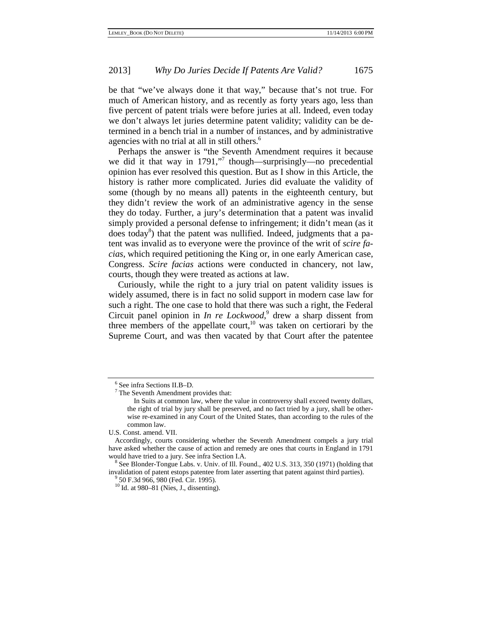be that "we've always done it that way," because that's not true. For much of American history, and as recently as forty years ago, less than five percent of patent trials were before juries at all. Indeed, even today we don't always let juries determine patent validity; validity can be determined in a bench trial in a number of instances, and by administrative agencies with no trial at all in still others.<sup>6</sup>

Perhaps the answer is "the Seventh Amendment requires it because we did it that way in 1791,"<sup>7</sup> though—surprisingly—no precedential opinion has ever resolved this question. But as I show in this Article, the history is rather more complicated. Juries did evaluate the validity of some (though by no means all) patents in the eighteenth century, but they didn't review the work of an administrative agency in the sense they do today. Further, a jury's determination that a patent was invalid simply provided a personal defense to infringement; it didn't mean (as it does today<sup>8</sup>) that the patent was nullified. Indeed, judgments that a patent was invalid as to everyone were the province of the writ of *scire facias*, which required petitioning the King or, in one early American case, Congress. *Scire facias* actions were conducted in chancery, not law, courts, though they were treated as actions at law.

Curiously, while the right to a jury trial on patent validity issues is widely assumed, there is in fact no solid support in modern case law for such a right. The one case to hold that there was such a right, the Federal Circuit panel opinion in *In re Lockwood*, 9 drew a sharp dissent from three members of the appellate court, $^{10}$  was taken on certiorari by the Supreme Court, and was then vacated by that Court after the patentee

<sup>6</sup> See infra Sections II.B–D.

<sup>7</sup> The Seventh Amendment provides that:

In Suits at common law, where the value in controversy shall exceed twenty dollars, the right of trial by jury shall be preserved, and no fact tried by a jury, shall be otherwise re-examined in any Court of the United States, than according to the rules of the common law.

U.S. Const. amend. VII.

Accordingly, courts considering whether the Seventh Amendment compels a jury trial have asked whether the cause of action and remedy are ones that courts in England in 1791 would have tried to a jury. See infra Section I.A.<br><sup>8</sup> See Blonder-Tongue Labs. v. Univ. of Ill. Found., 402 U.S. 313, 350 (1971) (holding that

invalidation of patent estops patentee from later asserting that patent against third parties). 9 50 F.3d 966, 980 (Fed. Cir. 1995).

 $10$  Id. at 980–81 (Nies, J., dissenting).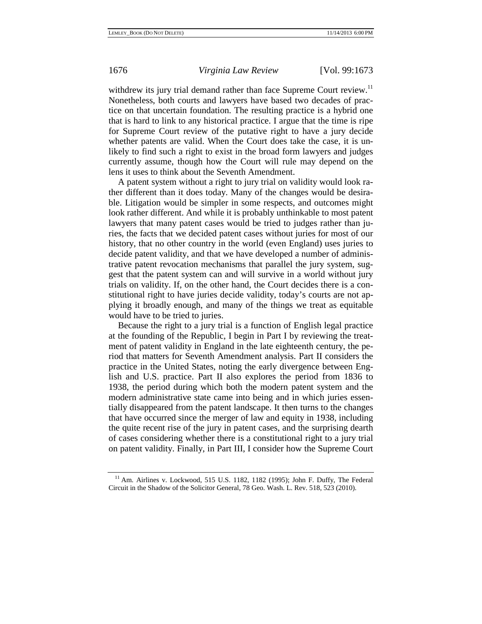withdrew its jury trial demand rather than face Supreme Court review.<sup>11</sup> Nonetheless, both courts and lawyers have based two decades of practice on that uncertain foundation. The resulting practice is a hybrid one that is hard to link to any historical practice. I argue that the time is ripe for Supreme Court review of the putative right to have a jury decide whether patents are valid. When the Court does take the case, it is unlikely to find such a right to exist in the broad form lawyers and judges currently assume, though how the Court will rule may depend on the lens it uses to think about the Seventh Amendment.

A patent system without a right to jury trial on validity would look rather different than it does today. Many of the changes would be desirable. Litigation would be simpler in some respects, and outcomes might look rather different. And while it is probably unthinkable to most patent lawyers that many patent cases would be tried to judges rather than juries, the facts that we decided patent cases without juries for most of our history, that no other country in the world (even England) uses juries to decide patent validity, and that we have developed a number of administrative patent revocation mechanisms that parallel the jury system, suggest that the patent system can and will survive in a world without jury trials on validity. If, on the other hand, the Court decides there is a constitutional right to have juries decide validity, today's courts are not applying it broadly enough, and many of the things we treat as equitable would have to be tried to juries.

Because the right to a jury trial is a function of English legal practice at the founding of the Republic, I begin in Part I by reviewing the treatment of patent validity in England in the late eighteenth century, the period that matters for Seventh Amendment analysis. Part II considers the practice in the United States, noting the early divergence between English and U.S. practice. Part II also explores the period from 1836 to 1938, the period during which both the modern patent system and the modern administrative state came into being and in which juries essentially disappeared from the patent landscape. It then turns to the changes that have occurred since the merger of law and equity in 1938, including the quite recent rise of the jury in patent cases, and the surprising dearth of cases considering whether there is a constitutional right to a jury trial on patent validity. Finally, in Part III, I consider how the Supreme Court

<sup>&</sup>lt;sup>11</sup> Am. Airlines v. Lockwood, 515 U.S. 1182, 1182 (1995); John F. Duffy, The Federal Circuit in the Shadow of the Solicitor General, 78 Geo. Wash. L. Rev. 518, 523 (2010).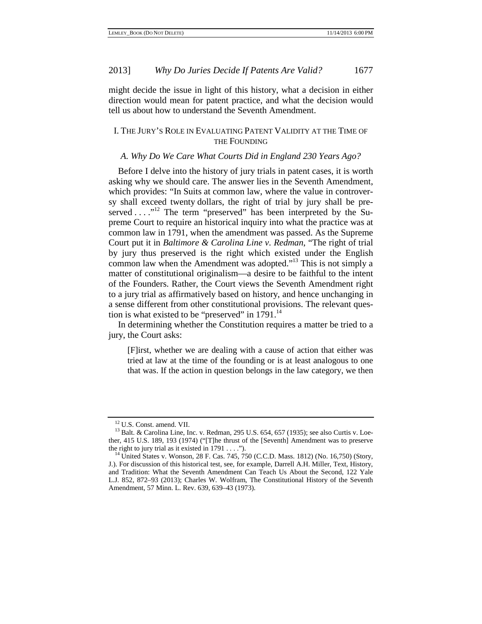might decide the issue in light of this history, what a decision in either direction would mean for patent practice, and what the decision would tell us about how to understand the Seventh Amendment.

# I. THE JURY'S ROLE IN EVALUATING PATENT VALIDITY AT THE TIME OF THE FOUNDING

### *A. Why Do We Care What Courts Did in England 230 Years Ago?*

Before I delve into the history of jury trials in patent cases, it is worth asking why we should care. The answer lies in the Seventh Amendment, which provides: "In Suits at common law, where the value in controversy shall exceed twenty dollars, the right of trial by jury shall be preserved . . . .<sup>"12</sup> The term "preserved" has been interpreted by the Supreme Court to require an historical inquiry into what the practice was at common law in 1791, when the amendment was passed. As the Supreme Court put it in *Baltimore & Carolina Line v. Redman*, "The right of trial by jury thus preserved is the right which existed under the English common law when the Amendment was adopted."13 This is not simply a matter of constitutional originalism—a desire to be faithful to the intent of the Founders. Rather, the Court views the Seventh Amendment right to a jury trial as affirmatively based on history, and hence unchanging in a sense different from other constitutional provisions. The relevant question is what existed to be "preserved" in  $1791$ .<sup>14</sup>

In determining whether the Constitution requires a matter be tried to a jury, the Court asks:

[F]irst, whether we are dealing with a cause of action that either was tried at law at the time of the founding or is at least analogous to one that was. If the action in question belongs in the law category, we then

<sup>&</sup>lt;sup>12</sup> U.S. Const. amend. VII.<br><sup>13</sup> Balt. & Carolina Line, Inc. v. Redman, 295 U.S. 654, 657 (1935); see also Curtis v. Loether, 415 U.S. 189, 193 (1974) ("[T]he thrust of the [Seventh] Amendment was to preserve the right to jury trial as it existed in 1791  $\dots$ ").<br><sup>14</sup> United States v. Wonson, 28 F. Cas. 745, 750 (C.C.D. Mass. 1812) (No. 16,750) (Story,

J.). For discussion of this historical test, see, for example, Darrell A.H. Miller, Text, History, and Tradition: What the Seventh Amendment Can Teach Us About the Second, 122 Yale L.J. 852, 872–93 (2013); Charles W. Wolfram, The Constitutional History of the Seventh Amendment, 57 Minn. L. Rev. 639, 639–43 (1973).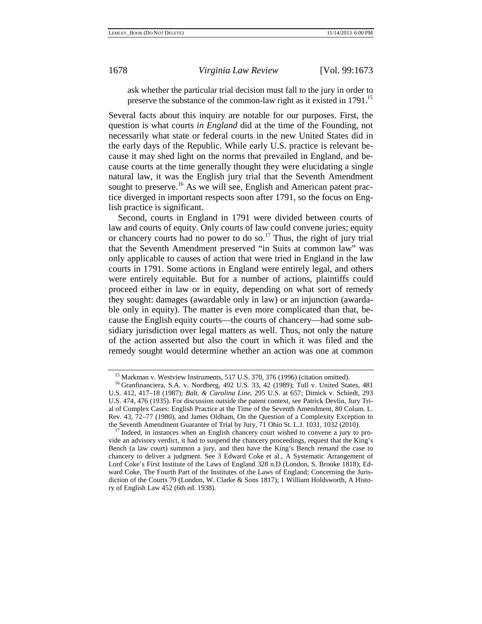ask whether the particular trial decision must fall to the jury in order to preserve the substance of the common-law right as it existed in 1791.<sup>15</sup>

Several facts about this inquiry are notable for our purposes. First, the question is what courts *in England* did at the time of the Founding, not necessarily what state or federal courts in the new United States did in the early days of the Republic. While early U.S. practice is relevant because it may shed light on the norms that prevailed in England, and because courts at the time generally thought they were elucidating a single natural law, it was the English jury trial that the Seventh Amendment sought to preserve.<sup>16</sup> As we will see, English and American patent practice diverged in important respects soon after 1791, so the focus on English practice is significant.

Second, courts in England in 1791 were divided between courts of law and courts of equity. Only courts of law could convene juries; equity or chancery courts had no power to do so.<sup>17</sup> Thus, the right of jury trial that the Seventh Amendment preserved "in Suits at common law" was only applicable to causes of action that were tried in England in the law courts in 1791. Some actions in England were entirely legal, and others were entirely equitable. But for a number of actions, plaintiffs could proceed either in law or in equity, depending on what sort of remedy they sought: damages (awardable only in law) or an injunction (awardable only in equity). The matter is even more complicated than that, because the English equity courts—the courts of chancery—had some subsidiary jurisdiction over legal matters as well. Thus, not only the nature of the action asserted but also the court in which it was filed and the remedy sought would determine whether an action was one at common

<sup>&</sup>lt;sup>15</sup> Markman v. Westview Instruments, 517 U.S. 370, 376 (1996) (citation omitted). <sup>16</sup> Granfinanciera, S.A. v. Nordberg, 492 U.S. 33, 42 (1989); Tull v. United States, 481

U.S. 412, 417–18 (1987); *Balt. & Carolina Line*, 295 U.S. at 657; Dimick v. Schiedt, 293 U.S. 474, 476 (1935). For discussion outside the patent context, see Patrick Devlin, Jury Trial of Complex Cases: English Practice at the Time of the Seventh Amendment, 80 Colum. L. Rev. 43, 72–77 (1980), and James Oldham, On the Question of a Complexity Exception to the Seventh Amendment Guarantee of Trial by Jury, 71 Ohio St. L.J. 1031, 1032 (2010).

 $17$  Indeed, in instances when an English chancery court wished to convene a jury to provide an advisory verdict, it had to suspend the chancery proceedings, request that the King's Bench (a law court) summon a jury, and then have the King's Bench remand the case to chancery to deliver a judgment. See 3 Edward Coke et al., A Systematic Arrangement of Lord Coke's First Institute of the Laws of England 328 n.D (London, S. Brooke 1818); Edward Coke, The Fourth Part of the Institutes of the Laws of England; Concerning the Jurisdiction of the Courts 79 (London, W. Clarke & Sons 1817); 1 William Holdsworth, A History of English Law 452 (6th ed. 1938).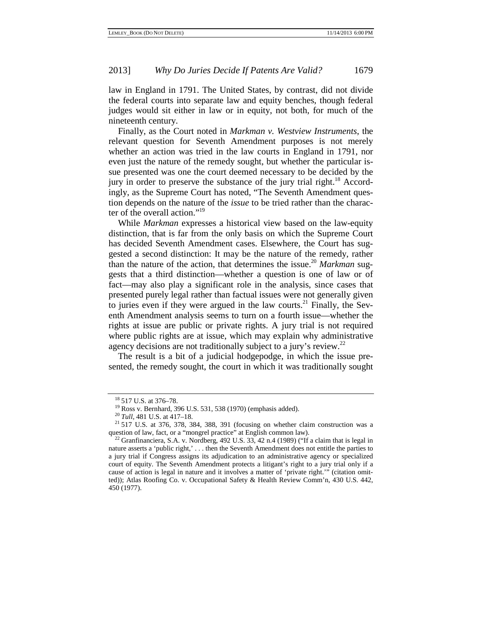law in England in 1791. The United States, by contrast, did not divide the federal courts into separate law and equity benches, though federal judges would sit either in law or in equity, not both, for much of the nineteenth century.

Finally, as the Court noted in *Markman v. Westview Instruments*, the relevant question for Seventh Amendment purposes is not merely whether an action was tried in the law courts in England in 1791, nor even just the nature of the remedy sought, but whether the particular issue presented was one the court deemed necessary to be decided by the jury in order to preserve the substance of the jury trial right.<sup>18</sup> Accordingly, as the Supreme Court has noted, "The Seventh Amendment question depends on the nature of the *issue* to be tried rather than the character of the overall action."<sup>19</sup>

While *Markman* expresses a historical view based on the law-equity distinction, that is far from the only basis on which the Supreme Court has decided Seventh Amendment cases. Elsewhere, the Court has suggested a second distinction: It may be the nature of the remedy, rather than the nature of the action, that determines the issue.<sup>20</sup> *Markman* suggests that a third distinction—whether a question is one of law or of fact—may also play a significant role in the analysis, since cases that presented purely legal rather than factual issues were not generally given to juries even if they were argued in the law courts.<sup>21</sup> Finally, the Seventh Amendment analysis seems to turn on a fourth issue—whether the rights at issue are public or private rights. A jury trial is not required where public rights are at issue, which may explain why administrative agency decisions are not traditionally subject to a jury's review.<sup>22</sup>

The result is a bit of a judicial hodgepodge, in which the issue presented, the remedy sought, the court in which it was traditionally sought

<sup>&</sup>lt;sup>18</sup> 517 U.S. at 376–78.<br><sup>19</sup> Ross v. Bernhard, 396 U.S. 531, 538 (1970) (emphasis added).<br><sup>20</sup> *Tull*, 481 U.S. at 417–18.<br><sup>21</sup> 517 U.S. at 376, 378, 384, 388, 391 (focusing on whether claim construction was a question o

 $^{22}$  Granfinanciera, S.A. v. Nordberg, 492 U.S. 33, 42 n.4 (1989) ("If a claim that is legal in nature asserts a 'public right,' . . . then the Seventh Amendment does not entitle the parties to a jury trial if Congress assigns its adjudication to an administrative agency or specialized court of equity. The Seventh Amendment protects a litigant's right to a jury trial only if a cause of action is legal in nature and it involves a matter of 'private right.'" (citation omitted)); Atlas Roofing Co. v. Occupational Safety & Health Review Comm'n, 430 U.S. 442, 450 (1977).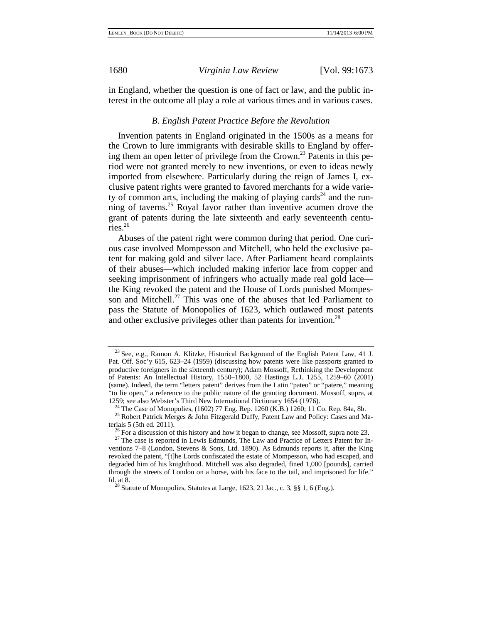in England, whether the question is one of fact or law, and the public interest in the outcome all play a role at various times and in various cases.

#### *B. English Patent Practice Before the Revolution*

Invention patents in England originated in the 1500s as a means for the Crown to lure immigrants with desirable skills to England by offering them an open letter of privilege from the Crown.<sup>23</sup> Patents in this period were not granted merely to new inventions, or even to ideas newly imported from elsewhere. Particularly during the reign of James I, exclusive patent rights were granted to favored merchants for a wide variety of common arts, including the making of playing cards<sup>24</sup> and the running of taverns.<sup>25</sup> Royal favor rather than inventive acumen drove the grant of patents during the late sixteenth and early seventeenth centuries.26

Abuses of the patent right were common during that period. One curious case involved Mompesson and Mitchell, who held the exclusive patent for making gold and silver lace. After Parliament heard complaints of their abuses—which included making inferior lace from copper and seeking imprisonment of infringers who actually made real gold lace the King revoked the patent and the House of Lords punished Mompesson and Mitchell.<sup>27</sup> This was one of the abuses that led Parliament to pass the Statute of Monopolies of 1623, which outlawed most patents and other exclusive privileges other than patents for invention.<sup>28</sup>

<sup>23</sup> See, e.g., Ramon A. Klitzke, Historical Background of the English Patent Law, 41 J. Pat. Off. Soc'y 615, 623–24 (1959) (discussing how patents were like passports granted to productive foreigners in the sixteenth century); Adam Mossoff, Rethinking the Development of Patents: An Intellectual History, 1550–1800, 52 Hastings L.J. 1255, 1259–60 (2001) (same). Indeed, the term "letters patent" derives from the Latin "pateo" or "patere," meaning "to lie open," a reference to the public nature of the granting document. Mossoff, supra, at

<sup>1259;</sup> see also Webster's Third New International Dictionary 1654 (1976).<br><sup>24</sup> The Case of Monopolies, (1602) 77 Eng. Rep. 1260 (K.B.) 1260; 11 Co. Rep. 84a, 8b.<br><sup>25</sup> Robert Patrick Merges & John Fitzgerald Duffy, Patent L

terials 5 (5th ed. 2011). <sup>26</sup> For a discussion of this history and how it began to change, see Mossoff, supra note 23. <sup>27</sup> The case is reported in Lewis Edmunds, The Law and Practice of Letters Patent for Inventions 7–8 (London, Stevens & Sons, Ltd. 1890). As Edmunds reports it, after the King revoked the patent, "[t]he Lords confiscated the estate of Mompesson, who had escaped, and degraded him of his knighthood. Mitchell was also degraded, fined 1,000 [pounds], carried through the streets of London on a horse, with his face to the tail, and imprisoned for life." Id. at 8.<br><sup>28</sup> Statute of Monopolies, Statutes at Large, 1623, 21 Jac., c. 3, §§ 1, 6 (Eng.).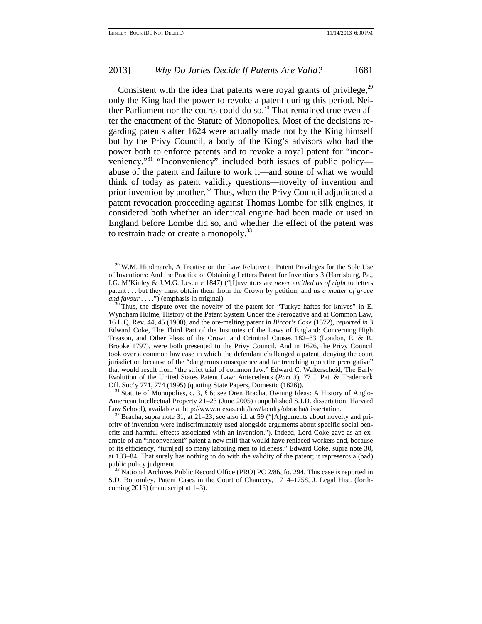Consistent with the idea that patents were royal grants of privilege, $^{29}$ only the King had the power to revoke a patent during this period. Neither Parliament nor the courts could do so. $30$  That remained true even after the enactment of the Statute of Monopolies. Most of the decisions regarding patents after 1624 were actually made not by the King himself but by the Privy Council, a body of the King's advisors who had the power both to enforce patents and to revoke a royal patent for "inconveniency."<sup>31</sup> "Inconveniency" included both issues of public policy abuse of the patent and failure to work it—and some of what we would think of today as patent validity questions—novelty of invention and prior invention by another.<sup>32</sup> Thus, when the Privy Council adjudicated a patent revocation proceeding against Thomas Lombe for silk engines, it considered both whether an identical engine had been made or used in England before Lombe did so, and whether the effect of the patent was to restrain trade or create a monopoly.<sup>33</sup>

<sup>31</sup> Statute of Monopolies, c. 3, § 6; see Oren Bracha, Owning Ideas: A History of Anglo-American Intellectual Property 21–23 (June 2005) (unpublished S.J.D. dissertation, Harvard Law School), available at http://www.utexas.edu/law/faculty/obracha/dissertation.<br><sup>32</sup> Bracha, supra note 31, at 21–23; see also id. at 59 ("[A]rguments about novelty and pri-

 $29$  W.M. Hindmarch, A Treatise on the Law Relative to Patent Privileges for the Sole Use of Inventions: And the Practice of Obtaining Letters Patent for Inventions 3 (Harrisburg, Pa., I.G. M'Kinley & J.M.G. Lescure 1847) ("[I]nventors are *never entitled as of right* to letters patent . . . but they must obtain them from the Crown by petition, and *as a matter of grace and favour* . . . .") (emphasis in original). <sup>30</sup> Thus, the dispute over the novelty of the patent for "Turkye haftes for knives" in E.

Wyndham Hulme, History of the Patent System Under the Prerogative and at Common Law, 16 L.Q. Rev. 44, 45 (1900), and the ore-melting patent in *Bircot's Case* (1572), *reported in* 3 Edward Coke, The Third Part of the Institutes of the Laws of England: Concerning High Treason, and Other Pleas of the Crown and Criminal Causes 182–83 (London, E. & R. Brooke 1797), were both presented to the Privy Council. And in 1626, the Privy Council took over a common law case in which the defendant challenged a patent, denying the court jurisdiction because of the "dangerous consequence and far trenching upon the prerogative" that would result from "the strict trial of common law." Edward C. Walterscheid, The Early Evolution of the United States Patent Law: Antecedents (*Part 3*), 77 J. Pat. & Trademark

ority of invention were indiscriminately used alongside arguments about specific social benefits and harmful effects associated with an invention."). Indeed, Lord Coke gave as an example of an "inconvenient" patent a new mill that would have replaced workers and, because of its efficiency, "turn[ed] so many laboring men to idleness." Edward Coke, supra note 30, at 183–84. That surely has nothing to do with the validity of the patent; it represents a (bad)

<sup>&</sup>lt;sup>33</sup> National Archives Public Record Office (PRO) PC 2/86, fo. 294. This case is reported in S.D. Bottomley, Patent Cases in the Court of Chancery, 1714–1758, J. Legal Hist. (forthcoming 2013) (manuscript at 1–3).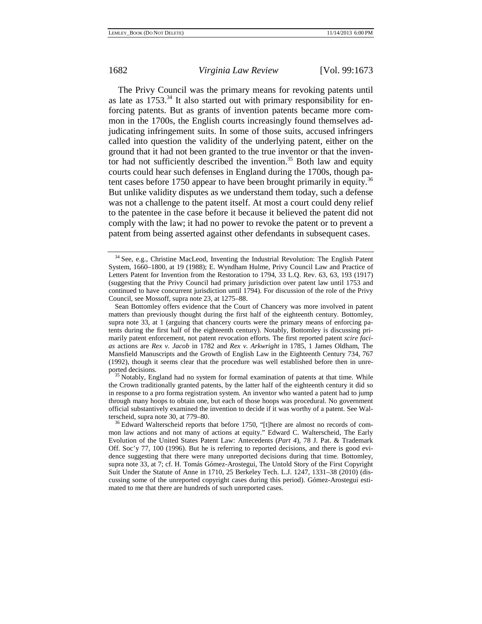The Privy Council was the primary means for revoking patents until as late as  $1753<sup>34</sup>$  It also started out with primary responsibility for enforcing patents. But as grants of invention patents became more common in the 1700s, the English courts increasingly found themselves adjudicating infringement suits. In some of those suits, accused infringers called into question the validity of the underlying patent, either on the ground that it had not been granted to the true inventor or that the inventor had not sufficiently described the invention.<sup>35</sup> Both law and equity courts could hear such defenses in England during the 1700s, though patent cases before 1750 appear to have been brought primarily in equity.<sup>36</sup> But unlike validity disputes as we understand them today, such a defense was not a challenge to the patent itself. At most a court could deny relief to the patentee in the case before it because it believed the patent did not comply with the law; it had no power to revoke the patent or to prevent a patent from being asserted against other defendants in subsequent cases.

<sup>34</sup> See, e.g., Christine MacLeod, Inventing the Industrial Revolution: The English Patent System, 1660–1800, at 19 (1988); E. Wyndham Hulme, Privy Council Law and Practice of Letters Patent for Invention from the Restoration to 1794, 33 L.Q. Rev. 63, 63, 193 (1917) (suggesting that the Privy Council had primary jurisdiction over patent law until 1753 and continued to have concurrent jurisdiction until 1794). For discussion of the role of the Privy Council, see Mossoff, supra note 23, at 1275–88.

Sean Bottomley offers evidence that the Court of Chancery was more involved in patent matters than previously thought during the first half of the eighteenth century. Bottomley, supra note 33, at 1 (arguing that chancery courts were the primary means of enforcing patents during the first half of the eighteenth century). Notably, Bottomley is discussing primarily patent enforcement, not patent revocation efforts. The first reported patent *scire facias* actions are *Rex v. Jacob* in 1782 and *Rex v. Arkwright* in 1785, 1 James Oldham, The Mansfield Manuscripts and the Growth of English Law in the Eighteenth Century 734, 767 (1992), though it seems clear that the procedure was well established before then in unre-

ported decisions.<br><sup>35</sup> Notably, England had no system for formal examination of patents at that time. While the Crown traditionally granted patents, by the latter half of the eighteenth century it did so in response to a pro forma registration system. An inventor who wanted a patent had to jump through many hoops to obtain one, but each of those hoops was procedural. No government official substantively examined the invention to decide if it was worthy of a patent. See Wal-

terscheid, supra note 30, at 779–80.<br><sup>36</sup> Edward Walterscheid reports that before 1750, "[t]here are almost no records of common law actions and not many of actions at equity." Edward C. Walterscheid, The Early Evolution of the United States Patent Law: Antecedents (*Part 4*), 78 J. Pat. & Trademark Off. Soc'y 77, 100 (1996). But he is referring to reported decisions, and there is good evidence suggesting that there were many unreported decisions during that time. Bottomley, supra note 33, at 7; cf. H. Tomás Gómez-Arostegui, The Untold Story of the First Copyright Suit Under the Statute of Anne in 1710, 25 Berkeley Tech. L.J. 1247, 1331–38 (2010) (discussing some of the unreported copyright cases during this period). Gómez-Arostegui estimated to me that there are hundreds of such unreported cases.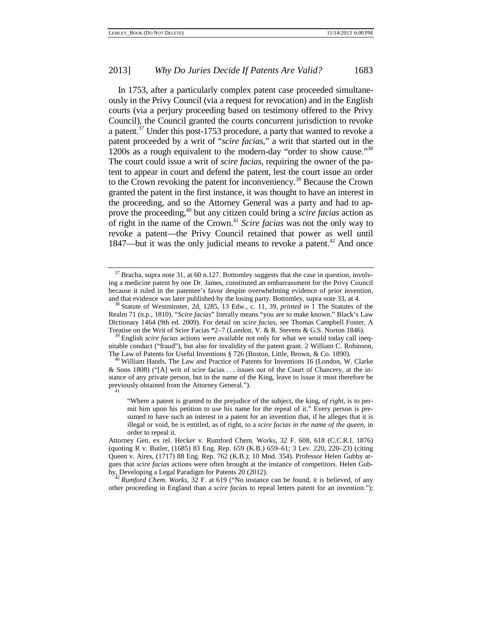In 1753, after a particularly complex patent case proceeded simultaneously in the Privy Council (via a request for revocation) and in the English courts (via a perjury proceeding based on testimony offered to the Privy Council), the Council granted the courts concurrent jurisdiction to revoke a patent.37 Under this post-1753 procedure, a party that wanted to revoke a patent proceeded by a writ of "*scire facias*," a writ that started out in the 1200s as a rough equivalent to the modern-day "order to show cause."38 The court could issue a writ of *scire facias*, requiring the owner of the patent to appear in court and defend the patent, lest the court issue an order to the Crown revoking the patent for inconveniency.39 Because the Crown granted the patent in the first instance, it was thought to have an interest in the proceeding, and so the Attorney General was a party and had to approve the proceeding,40 but any citizen could bring a *scire facias* action as of right in the name of the Crown.41 *Scire facias* was not the only way to revoke a patent—the Privy Council retained that power as well until  $1847$ —but it was the only judicial means to revoke a patent.<sup>42</sup> And once

other proceeding in England than a *scire facias* to repeal letters patent for an invention.");

 $37$  Bracha, supra note 31, at 60 n.127. Bottomley suggests that the case in question, involving a medicine patent by one Dr. James, constituted an embarrassment for the Privy Council because it ruled in the patentee's favor despite overwhelming evidence of prior invention, and that evidence was later published by the losing party. Bottomley, supra note 33, at 4.

<sup>&</sup>lt;sup>38</sup> Statute of Westminster, 2d, 1285, 13 Edw., c. 11, 39, *printed in* 1 The Statutes of the Realm 71 (n.p., 1810). "*Scire facias*" literally means "you are to make known." Black's Law Dictionary 1464 (9th ed. 2009). For detail on *scire facias*, see Thomas Campbell Foster, A

Treatise on the Writ of Scire Facias \*2–7 (London, V. & R. Stevens & G.S. Norton 1846). 39 English *scire facias* actions were available not only for what we would today call inequitable conduct ("fraud"), but also for invalidity of the patent grant. 2 William C. Robinson,

The Law of Patents for Useful Inventions § 726 (Boston, Little, Brown, & Co. 1890).<br><sup>40</sup> William Hands, The Law and Practice of Patents for Inventions 16 (London, W. Clarke & Sons 1808) ("[A] writ of scire facias . . . issues out of the Court of Chancery, at the instance of any private person, but in the name of the King, leave to issue it must therefore be previously obtained from the Attorney General.").

<sup>&</sup>quot;Where a patent is granted to the prejudice of the subject, the king, *of right*, is to permit him upon his petition to use his name for the repeal of it." Every person is presumed to have such an interest in a patent for an invention that, if he alleges that it is illegal or void, he is entitled, as of right, to a *scire facias in the name of the queen*, in order to repeal it.

Attorney Gen. ex rel. Hecker v. Rumford Chem. Works, 32 F. 608, 618 (C.C.R.I. 1876) (quoting R v. Butler, (1685) 83 Eng. Rep. 659 (K.B.) 659–61; 3 Lev. 220, 220–23) (citing Queen v. Aires, (1717) 88 Eng. Rep. 762 (K.B.); 10 Mod. 354). Professor Helen Gubby argues that *scire facias* actions were often brought at the instance of competitors. Helen Gubby, Developing a Legal Paradigm for Patents 20 (2012). 42 *Rumford Chem. Works*, 32 F. at 619 ("No instance can be found, it is believed, of any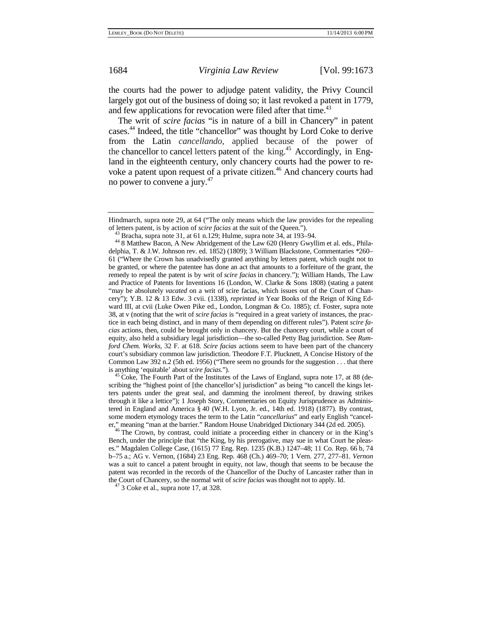the courts had the power to adjudge patent validity, the Privy Council largely got out of the business of doing so; it last revoked a patent in 1779, and few applications for revocation were filed after that time.<sup>43</sup>

The writ of *scire facias* "is in nature of a bill in Chancery" in patent cases.44 Indeed, the title "chancellor" was thought by Lord Coke to derive from the Latin *cancellando*, applied because of the power of the chancellor to cancel letters patent of the king.<sup>45</sup> Accordingly, in England in the eighteenth century, only chancery courts had the power to revoke a patent upon request of a private citizen.<sup>46</sup> And chancery courts had no power to convene a jury.<sup>47</sup>

is anything 'equitable' about *scire facias*."). 45 Coke, The Fourth Part of the Institutes of the Laws of England, supra note 17, at 88 (describing the "highest point of [the chancellor's] jurisdiction" as being "to cancell the kings letters patents under the great seal, and damming the inrolment thereof, by drawing strikes through it like a lettice"); 1 Joseph Story, Commentaries on Equity Jurisprudence as Administered in England and America § 40 (W.H. Lyon, Jr. ed., 14th ed. 1918) (1877). By contrast, some modern etymology traces the term to the Latin "*cancellarius*" and early English "cancel-<br>er," meaning "man at the barrier." Random House Unabridged Dictionary 344 (2d ed. 2005).

<sup>46</sup> The Crown, by contrast, could initiate a proceeding either in chancery or in the King's Bench, under the principle that "the King, by his prerogative, may sue in what Court he pleases." Magdalen College Case, (1615) 77 Eng. Rep. 1235 (K.B.) 1247–48; 11 Co. Rep. 66 b, 74 b–75 a.; AG v. Vernon, (1684) 23 Eng. Rep. 468 (Ch.) 469–70; 1 Vern. 277, 277–81. *Vernon*  was a suit to cancel a patent brought in equity, not law, though that seems to be because the patent was recorded in the records of the Chancellor of the Duchy of Lancaster rather than in the Court of Chancery, so the normal writ of *scire facias* was thought not to apply. Id. 47 3 Coke et al., supra note 17, at 328.

Hindmarch, supra note 29, at 64 ("The only means which the law provides for the repealing of letters patent, is by action of *scire facias* at the suit of the Queen.").<br><sup>43</sup> Bracha, supra note 31, at 61 n.129; Hulme, supra note 34, at 193–94.<br><sup>44</sup> 8 Matthew Bacon, A New Abridgement of the Law 620 (Henry Gwyllim

delphia, T. & J.W. Johnson rev. ed. 1852) (1809); 3 William Blackstone, Commentaries \*260– 61 ("Where the Crown has unadvisedly granted anything by letters patent, which ought not to be granted, or where the patentee has done an act that amounts to a forfeiture of the grant, the remedy to repeal the patent is by writ of *scire facias* in chancery."); William Hands, The Law and Practice of Patents for Inventions 16 (London, W. Clarke & Sons 1808) (stating a patent "may be absolutely *vacated* on a writ of scire facias, which issues out of the Court of Chancery"); Y.B. 12 & 13 Edw. 3 cvii. (1338), *reprinted in* Year Books of the Reign of King Edward III, at cvii (Luke Owen Pike ed., London, Longman & Co. 1885); cf. Foster, supra note 38, at v (noting that the writ of *scire facias* is "required in a great variety of instances, the practice in each being distinct, and in many of them depending on different rules"). Patent *scire facias* actions, then, could be brought only in chancery. But the chancery court, while a court of equity, also held a subsidiary legal jurisdiction—the so-called Petty Bag jurisdiction. See *Rumford Chem. Works*, 32 F. at 618. *Scire facias* actions seem to have been part of the chancery court's subsidiary common law jurisdiction. Theodore F.T. Plucknett, A Concise History of the Common Law 392 n.2 (5th ed. 1956) ("There seem no grounds for the suggestion . . . that there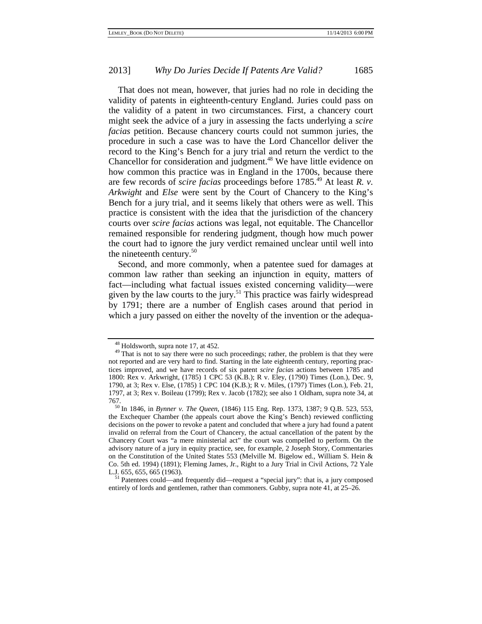That does not mean, however, that juries had no role in deciding the validity of patents in eighteenth-century England. Juries could pass on the validity of a patent in two circumstances. First, a chancery court might seek the advice of a jury in assessing the facts underlying a *scire facias* petition. Because chancery courts could not summon juries, the procedure in such a case was to have the Lord Chancellor deliver the record to the King's Bench for a jury trial and return the verdict to the Chancellor for consideration and judgment.<sup>48</sup> We have little evidence on how common this practice was in England in the 1700s, because there are few records of *scire facias* proceedings before 1785.<sup>49</sup> At least *R. v. Arkwight* and *Else* were sent by the Court of Chancery to the King's Bench for a jury trial, and it seems likely that others were as well. This practice is consistent with the idea that the jurisdiction of the chancery courts over *scire facias* actions was legal, not equitable. The Chancellor remained responsible for rendering judgment, though how much power the court had to ignore the jury verdict remained unclear until well into the nineteenth century. $50$ 

Second, and more commonly, when a patentee sued for damages at common law rather than seeking an injunction in equity, matters of fact—including what factual issues existed concerning validity—were given by the law courts to the jury.<sup>51</sup> This practice was fairly widespread by 1791; there are a number of English cases around that period in which a jury passed on either the novelty of the invention or the adequa-

<sup>&</sup>lt;sup>48</sup> Holdsworth, supra note 17, at 452.  $49$  That is not to say there were no such proceedings; rather, the problem is that they were not reported and are very hard to find. Starting in the late eighteenth century, reporting practices improved, and we have records of six patent *scire facias* actions between 1785 and 1800: Rex v. Arkwright, (1785) 1 CPC 53 (K.B.); R v. Eley, (1790) Times (Lon.), Dec. 9, 1790, at 3; Rex v. Else, (1785) 1 CPC 104 (K.B.); R v. Miles, (1797) Times (Lon.), Feb. 21, 1797, at 3; Rex v. Boileau (1799); Rex v. Jacob (1782); see also 1 Oldham, supra note 34, at

<sup>767. 50</sup> In 1846, in *Bynner v. The Queen*, (1846) 115 Eng. Rep. 1373, 1387; 9 Q.B. 523, 553, the Exchequer Chamber (the appeals court above the King's Bench) reviewed conflicting decisions on the power to revoke a patent and concluded that where a jury had found a patent invalid on referral from the Court of Chancery, the actual cancellation of the patent by the Chancery Court was "a mere ministerial act" the court was compelled to perform. On the advisory nature of a jury in equity practice, see, for example, 2 Joseph Story, Commentaries on the Constitution of the United States 553 (Melville M. Bigelow ed., William S. Hein & Co. 5th ed. 1994) (1891); Fleming James, Jr., Right to a Jury Trial in Civil Actions, 72 Yale L.J. 655, 655, 665 (1963).<br><sup>51</sup> Patentees could—and frequently did—request a "special jury": that is, a jury composed

entirely of lords and gentlemen, rather than commoners. Gubby, supra note 41, at 25–26.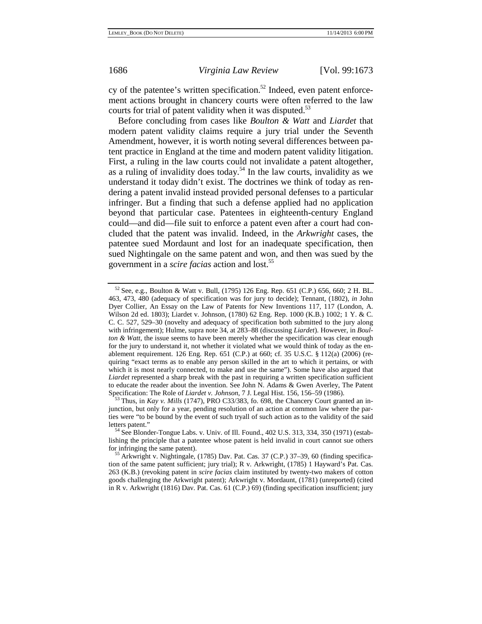cy of the patentee's written specification.<sup>52</sup> Indeed, even patent enforcement actions brought in chancery courts were often referred to the law courts for trial of patent validity when it was disputed.<sup>53</sup>

Before concluding from cases like *Boulton & Watt* and *Liardet* that modern patent validity claims require a jury trial under the Seventh Amendment, however, it is worth noting several differences between patent practice in England at the time and modern patent validity litigation. First, a ruling in the law courts could not invalidate a patent altogether, as a ruling of invalidity does today.<sup>54</sup> In the law courts, invalidity as we understand it today didn't exist. The doctrines we think of today as rendering a patent invalid instead provided personal defenses to a particular infringer. But a finding that such a defense applied had no application beyond that particular case. Patentees in eighteenth-century England could—and did—file suit to enforce a patent even after a court had concluded that the patent was invalid. Indeed, in the *Arkwright* cases, the patentee sued Mordaunt and lost for an inadequate specification, then sued Nightingale on the same patent and won, and then was sued by the government in a *scire facias* action and lost.55

junction, but only for a year, pending resolution of an action at common law where the parties were "to be bound by the event of such tryall of such action as to the validity of the said letters patent."<br><sup>54</sup> See Blonder-Tongue Labs. v. Univ. of Ill. Found., 402 U.S. 313, 334, 350 (1971) (estab-

<sup>52</sup> See, e.g., Boulton & Watt v. Bull, (1795) 126 Eng. Rep. 651 (C.P.) 656, 660; 2 H. BL. 463, 473, 480 (adequacy of specification was for jury to decide); Tennant, (1802), *in* John Dyer Collier, An Essay on the Law of Patents for New Inventions 117, 117 (London, A. Wilson 2d ed. 1803); Liardet v. Johnson, (1780) 62 Eng. Rep. 1000 (K.B.) 1002; 1 Y. & C. C. C. 527, 529–30 (novelty and adequacy of specification both submitted to the jury along with infringement); Hulme, supra note 34, at 283–88 (discussing *Liardet*). However, in *Boulton & Watt*, the issue seems to have been merely whether the specification was clear enough for the jury to understand it, not whether it violated what we would think of today as the enablement requirement. 126 Eng. Rep. 651 (C.P.) at 660; cf. 35 U.S.C. § 112(a) (2006) (requiring "exact terms as to enable any person skilled in the art to which it pertains, or with which it is most nearly connected, to make and use the same"). Some have also argued that *Liardet* represented a sharp break with the past in requiring a written specification sufficient to educate the reader about the invention. See John N. Adams & Gwen Averley, The Patent Specification: The Role of *Liardet v. Johnson*, 7 J. Legal Hist. 156, 156–59 (1986). <sup>53</sup> Thus, in *Kay v. Mills* (1747), PRO C33/383, fo. 698, the Chancery Court granted an in-

lishing the principle that a patentee whose patent is held invalid in court cannot sue others for infringing the same patent).<br><sup>55</sup> Arkwright v. Nightingale, (1785) Dav. Pat. Cas. 37 (C.P.) 37–39, 60 (finding specifica-

tion of the same patent sufficient; jury trial); R v. Arkwright, (1785) 1 Hayward's Pat. Cas. 263 (K.B.) (revoking patent in *scire facias* claim instituted by twenty-two makers of cotton goods challenging the Arkwright patent); Arkwright v. Mordaunt, (1781) (unreported) (cited in R v. Arkwright (1816) Dav. Pat. Cas. 61 (C.P.) 69) (finding specification insufficient; jury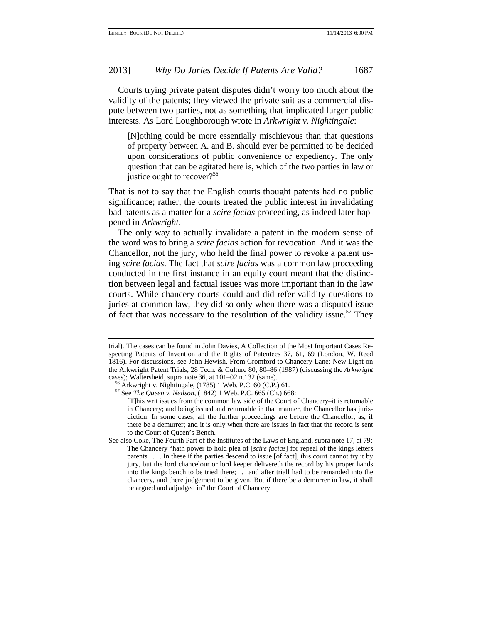Courts trying private patent disputes didn't worry too much about the validity of the patents; they viewed the private suit as a commercial dispute between two parties, not as something that implicated larger public interests. As Lord Loughborough wrote in *Arkwright v. Nightingale*:

[N]othing could be more essentially mischievous than that questions of property between A. and B. should ever be permitted to be decided upon considerations of public convenience or expediency. The only question that can be agitated here is, which of the two parties in law or justice ought to recover?<sup>56</sup>

That is not to say that the English courts thought patents had no public significance; rather, the courts treated the public interest in invalidating bad patents as a matter for a *scire facias* proceeding, as indeed later happened in *Arkwright*.

The only way to actually invalidate a patent in the modern sense of the word was to bring a *scire facias* action for revocation. And it was the Chancellor, not the jury, who held the final power to revoke a patent using *scire facias*. The fact that *scire facias* was a common law proceeding conducted in the first instance in an equity court meant that the distinction between legal and factual issues was more important than in the law courts. While chancery courts could and did refer validity questions to juries at common law, they did so only when there was a disputed issue of fact that was necessary to the resolution of the validity issue.<sup>57</sup> They

trial). The cases can be found in John Davies, A Collection of the Most Important Cases Respecting Patents of Invention and the Rights of Patentees 37, 61, 69 (London, W. Reed 1816). For discussions, see John Hewish, From Cromford to Chancery Lane: New Light on the Arkwright Patent Trials, 28 Tech. & Culture 80, 80–86 (1987) (discussing the *Arkwright*  cases); Waltersheid, supra note 36, at 101–02 n.132 (same). 56 Arkwright v. Nightingale, (1785) 1 Web. P.C. 60 (C.P.) 61. 57 See *The Queen v. Neilson*, (1842) 1 Web. P.C. 665 (Ch.) 668:

<sup>[</sup>T]his writ issues from the common law side of the Court of Chancery–it is returnable in Chancery; and being issued and returnable in that manner, the Chancellor has jurisdiction. In some cases, all the further proceedings are before the Chancellor, as, if there be a demurrer; and it is only when there are issues in fact that the record is sent to the Court of Queen's Bench.

See also Coke, The Fourth Part of the Institutes of the Laws of England, supra note 17, at 79: The Chancery "hath power to hold plea of [*scire facias*] for repeal of the kings letters patents . . . . In these if the parties descend to issue [of fact], this court cannot try it by jury, but the lord chancelour or lord keeper delivereth the record by his proper hands into the kings bench to be tried there; . . . and after triall had to be remanded into the chancery, and there judgement to be given. But if there be a demurrer in law, it shall be argued and adjudged in" the Court of Chancery.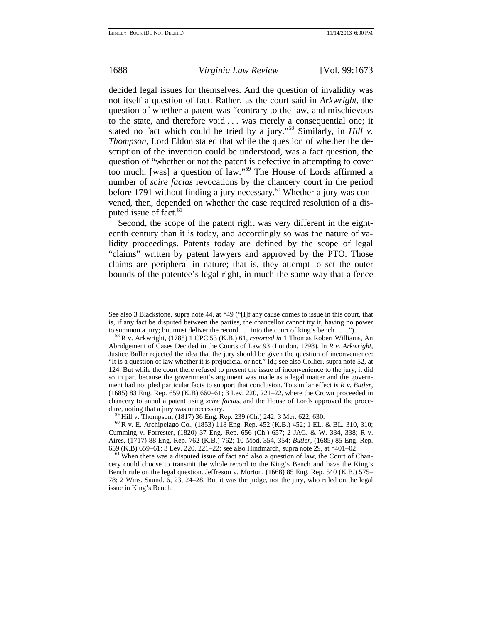decided legal issues for themselves. And the question of invalidity was not itself a question of fact. Rather, as the court said in *Arkwright*, the question of whether a patent was "contrary to the law, and mischievous to the state, and therefore void . . . was merely a consequential one; it stated no fact which could be tried by a jury."58 Similarly, in *Hill v. Thompson*, Lord Eldon stated that while the question of whether the description of the invention could be understood, was a fact question, the question of "whether or not the patent is defective in attempting to cover too much, [was] a question of law."59 The House of Lords affirmed a number of *scire facias* revocations by the chancery court in the period before 1791 without finding a jury necessary. $60$  Whether a jury was convened, then, depended on whether the case required resolution of a disputed issue of fact.<sup>61</sup>

Second, the scope of the patent right was very different in the eighteenth century than it is today, and accordingly so was the nature of validity proceedings. Patents today are defined by the scope of legal "claims" written by patent lawyers and approved by the PTO. Those claims are peripheral in nature; that is, they attempt to set the outer bounds of the patentee's legal right, in much the same way that a fence

See also 3 Blackstone, supra note 44, at \*49 ("[I]f any cause comes to issue in this court, that is, if any fact be disputed between the parties, the chancellor cannot try it, having no power

to summon a jury; but must deliver the record . . . into the court of king's bench . . . ."). 58 R v. Arkwright, (1785) 1 CPC 53 (K.B.) 61, *reported in* 1 Thomas Robert Williams, An Abridgement of Cases Decided in the Courts of Law 93 (London, 1798). In *R v. Arkwright*, Justice Buller rejected the idea that the jury should be given the question of inconvenience: "It is a question of law whether it is prejudicial or not." Id.; see also Collier, supra note 52, at 124. But while the court there refused to present the issue of inconvenience to the jury, it did so in part because the government's argument was made as a legal matter and the government had not pled particular facts to support that conclusion. To similar effect is *R v. Butler*, (1685) 83 Eng. Rep. 659 (K.B) 660–61; 3 Lev. 220, 221–22, where the Crown proceeded in chancery to annul a patent using *scire facias*, and the House of Lords approved the procedure, noting that a jury was unnecessary.<br><sup>59</sup> Hill v. Thompson, (1817) 36 Eng. Rep. 239 (Ch.) 242; 3 Mer. 622, 630.<br><sup>60</sup> R v. E. Archipelago Co., (1853) 118 Eng. Rep. 452 (K.B.) 452; 1 EL. & BL. 310, 310;

Cumming v. Forrester, (1820) 37 Eng. Rep. 656 (Ch.) 657; 2 JAC. & W. 334, 338; R v. Aires, (1717) 88 Eng. Rep. 762 (K.B.) 762; 10 Mod. 354, 354; *Butler*, (1685) 85 Eng. Rep. 659 (K.B) 659–61; 3 Lev. 220, 221–22; see also Hindmarch, supra note 29, at \*401–02.<br><sup>61</sup> When there was a disputed issue of fact and also a question of law, the Court of Chan-

cery could choose to transmit the whole record to the King's Bench and have the King's Bench rule on the legal question. Jeffreson v. Morton, (1668) 85 Eng. Rep. 540 (K.B.) 575– 78; 2 Wms. Saund. 6, 23, 24–28. But it was the judge, not the jury, who ruled on the legal issue in King's Bench.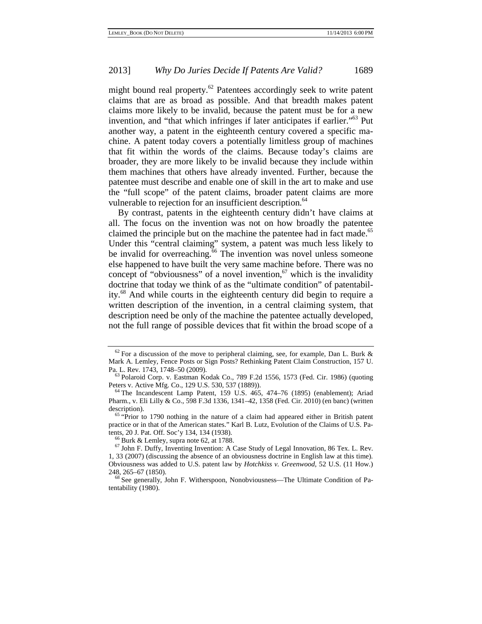might bound real property.<sup>62</sup> Patentees accordingly seek to write patent claims that are as broad as possible. And that breadth makes patent claims more likely to be invalid, because the patent must be for a new invention, and "that which infringes if later anticipates if earlier."<sup>63</sup> Put another way, a patent in the eighteenth century covered a specific machine. A patent today covers a potentially limitless group of machines that fit within the words of the claims. Because today's claims are broader, they are more likely to be invalid because they include within them machines that others have already invented. Further, because the patentee must describe and enable one of skill in the art to make and use the "full scope" of the patent claims, broader patent claims are more vulnerable to rejection for an insufficient description.<sup>64</sup>

By contrast, patents in the eighteenth century didn't have claims at all. The focus on the invention was not on how broadly the patentee claimed the principle but on the machine the patentee had in fact made.<sup>65</sup> Under this "central claiming" system, a patent was much less likely to be invalid for overreaching.<sup>66</sup> The invention was novel unless someone else happened to have built the very same machine before. There was no concept of "obviousness" of a novel invention, $67$  which is the invalidity doctrine that today we think of as the "ultimate condition" of patentability.68 And while courts in the eighteenth century did begin to require a written description of the invention, in a central claiming system, that description need be only of the machine the patentee actually developed, not the full range of possible devices that fit within the broad scope of a

 $62$  For a discussion of the move to peripheral claiming, see, for example, Dan L. Burk & Mark A. Lemley, Fence Posts or Sign Posts? Rethinking Patent Claim Construction, 157 U.

Pa. L. Rev. 1743, 1748–50 (2009).<br><sup>63</sup> Polaroid Corp. v. Eastman Kodak Co., 789 F.2d 1556, 1573 (Fed. Cir. 1986) (quoting Peters v. Active Mfg. Co., 129 U.S. 530, 537 (1889)).

 $^{64}$  The Incandescent Lamp Patent, 159 U.S. 465, 474–76 (1895) (enablement); Ariad Pharm., v. Eli Lilly & Co., 598 F.3d 1336, 1341–42, 1358 (Fed. Cir. 2010) (en banc) (written description). 65 "Prior to 1790 nothing in the nature of a claim had appeared either in British patent

practice or in that of the American states." Karl B. Lutz, Evolution of the Claims of U.S. Patents, 20 J. Pat. Off. Soc'y 134, 134 (1938).

<sup>&</sup>lt;sup>66</sup> Burk & Lemley, supra note 62, at 1788.  $\frac{67}{100}$  Tohn F. Duffy, Inventing Invention: A Case Study of Legal Innovation, 86 Tex. L. Rev. 1, 33 (2007) (discussing the absence of an obviousness doctrine in English law at this time). Obviousness was added to U.S. patent law by *Hotchkiss v. Greenwood*, 52 U.S. (11 How.)

<sup>&</sup>lt;sup>68</sup> See generally, John F. Witherspoon, Nonobviousness—The Ultimate Condition of Patentability (1980).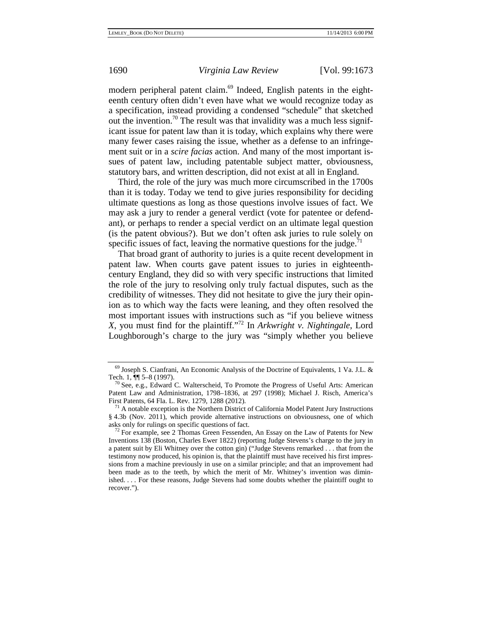modern peripheral patent claim.<sup>69</sup> Indeed, English patents in the eighteenth century often didn't even have what we would recognize today as a specification, instead providing a condensed "schedule" that sketched out the invention.<sup>70</sup> The result was that invalidity was a much less significant issue for patent law than it is today, which explains why there were many fewer cases raising the issue, whether as a defense to an infringement suit or in a *scire facias* action. And many of the most important issues of patent law, including patentable subject matter, obviousness, statutory bars, and written description, did not exist at all in England.

Third, the role of the jury was much more circumscribed in the 1700s than it is today. Today we tend to give juries responsibility for deciding ultimate questions as long as those questions involve issues of fact. We may ask a jury to render a general verdict (vote for patentee or defendant), or perhaps to render a special verdict on an ultimate legal question (is the patent obvious?). But we don't often ask juries to rule solely on specific issues of fact, leaving the normative questions for the judge. $^{71}$ 

That broad grant of authority to juries is a quite recent development in patent law. When courts gave patent issues to juries in eighteenthcentury England, they did so with very specific instructions that limited the role of the jury to resolving only truly factual disputes, such as the credibility of witnesses. They did not hesitate to give the jury their opinion as to which way the facts were leaning, and they often resolved the most important issues with instructions such as "if you believe witness *X*, you must find for the plaintiff."72 In *Arkwright v. Nightingale*, Lord Loughborough's charge to the jury was "simply whether you believe

<sup>&</sup>lt;sup>69</sup> Joseph S. Cianfrani, An Economic Analysis of the Doctrine of Equivalents, 1 Va. J.L. & Tech. 1,  $\P$  $\parallel$  5–8 (1997).

<sup>&</sup>lt;sup>70</sup> See, e.g., Edward C. Walterscheid, To Promote the Progress of Useful Arts: American Patent Law and Administration, 1798–1836, at 297 (1998); Michael J. Risch, America's First Patents, 64 Fla. L. Rev. 1279, 1288 (2012).<br><sup>71</sup> A notable exception is the Northern District of California Model Patent Jury Instructions

<sup>§ 4.3</sup>b (Nov. 2011), which provide alternative instructions on obviousness, one of which asks only for rulings on specific questions of fact. 72 For example, see 2 Thomas Green Fessenden, An Essay on the Law of Patents for New

Inventions 138 (Boston, Charles Ewer 1822) (reporting Judge Stevens's charge to the jury in a patent suit by Eli Whitney over the cotton gin) ("Judge Stevens remarked . . . that from the testimony now produced, his opinion is, that the plaintiff must have received his first impressions from a machine previously in use on a similar principle; and that an improvement had been made as to the teeth, by which the merit of Mr. Whitney's invention was diminished. . . . For these reasons, Judge Stevens had some doubts whether the plaintiff ought to recover.").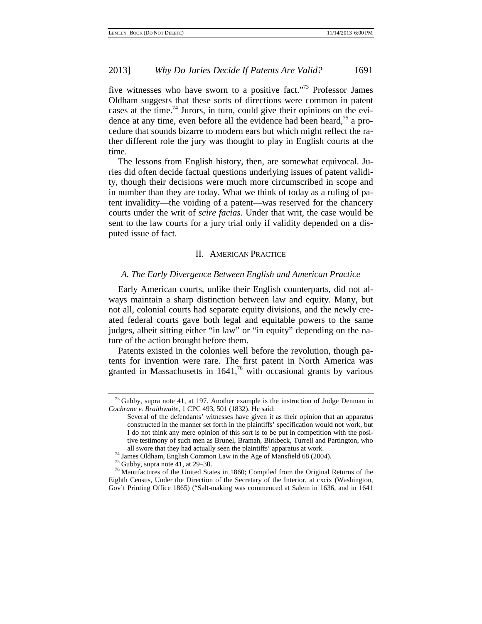five witnesses who have sworn to a positive fact."<sup>73</sup> Professor James Oldham suggests that these sorts of directions were common in patent cases at the time.<sup>74</sup> Jurors, in turn, could give their opinions on the evidence at any time, even before all the evidence had been heard,  $^{75}$  a procedure that sounds bizarre to modern ears but which might reflect the rather different role the jury was thought to play in English courts at the time.

The lessons from English history, then, are somewhat equivocal. Juries did often decide factual questions underlying issues of patent validity, though their decisions were much more circumscribed in scope and in number than they are today. What we think of today as a ruling of patent invalidity—the voiding of a patent—was reserved for the chancery courts under the writ of *scire facias*. Under that writ, the case would be sent to the law courts for a jury trial only if validity depended on a disputed issue of fact.

#### II. AMERICAN PRACTICE

### *A. The Early Divergence Between English and American Practice*

Early American courts, unlike their English counterparts, did not always maintain a sharp distinction between law and equity. Many, but not all, colonial courts had separate equity divisions, and the newly created federal courts gave both legal and equitable powers to the same judges, albeit sitting either "in law" or "in equity" depending on the nature of the action brought before them.

Patents existed in the colonies well before the revolution, though patents for invention were rare. The first patent in North America was granted in Massachusetts in  $1641<sup>76</sup>$  with occasional grants by various

 $73$  Gubby, supra note 41, at 197. Another example is the instruction of Judge Denman in *Cochrane v. Braithwaite*, 1 CPC 493, 501 (1832). He said:

Several of the defendants' witnesses have given it as their opinion that an apparatus constructed in the manner set forth in the plaintiffs' specification would not work, but I do not think any mere opinion of this sort is to be put in competition with the positive testimony of such men as Brunel, Bramah, Birkbeck, Turrell and Partington, who

all swore that they had actually seen the plaintiffs' apparatus at work.<br><sup>74</sup> James Oldham, English Common Law in the Age of Mansfield 68 (2004).<br><sup>75</sup> Gubby, supra note 41, at 29–30.<br><sup>76</sup> Manufactures of the United States Eighth Census, Under the Direction of the Secretary of the Interior, at cxcix (Washington, Gov't Printing Office 1865) ("Salt-making was commenced at Salem in 1636, and in 1641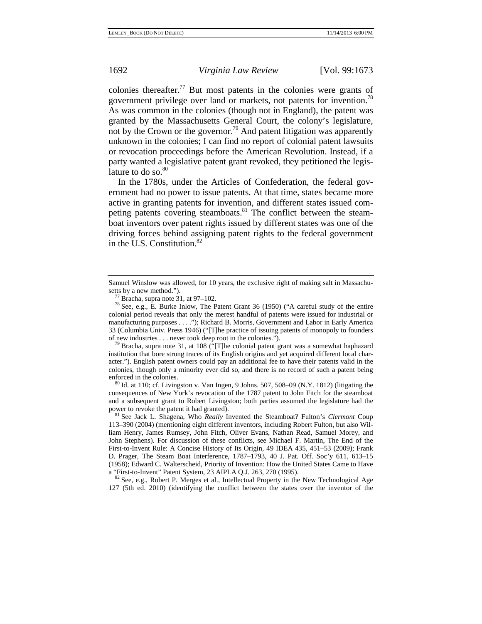colonies thereafter.<sup>77</sup> But most patents in the colonies were grants of government privilege over land or markets, not patents for invention.<sup>78</sup> As was common in the colonies (though not in England), the patent was granted by the Massachusetts General Court, the colony's legislature, not by the Crown or the governor.<sup>79</sup> And patent litigation was apparently unknown in the colonies; I can find no report of colonial patent lawsuits or revocation proceedings before the American Revolution. Instead, if a party wanted a legislative patent grant revoked, they petitioned the legislature to do so. $80$ 

In the 1780s, under the Articles of Confederation, the federal government had no power to issue patents. At that time, states became more active in granting patents for invention, and different states issued competing patents covering steamboats.<sup>81</sup> The conflict between the steamboat inventors over patent rights issued by different states was one of the driving forces behind assigning patent rights to the federal government in the U.S. Constitution. $82$ 

consequences of New York's revocation of the 1787 patent to John Fitch for the steamboat and a subsequent grant to Robert Livingston; both parties assumed the legislature had the power to revoke the patent it had granted). 81 See Jack L. Shagena, Who *Really* Invented the Steamboat? Fulton's *Clermont* Coup

Samuel Winslow was allowed, for 10 years, the exclusive right of making salt in Massachu-

setts by a new method.").<br>
<sup>77</sup> Bracha, supra note 31, at 97–102.<br>
<sup>78</sup> See, e.g., E. Burke Inlow, The Patent Grant 36 (1950) ("A careful study of the entire colonial period reveals that only the merest handful of patents were issued for industrial or manufacturing purposes . . . ."); Richard B. Morris, Government and Labor in Early America 33 (Columbia Univ. Press 1946) ("[T]he practice of issuing patents of monopoly to founders of new industries . . . never took deep root in the colonies.").  $\frac{79}{7}$  Bracha, supra note 31, at 108 ("[T]he colonial patent grant was a somewhat haphazard

institution that bore strong traces of its English origins and yet acquired different local character."). English patent owners could pay an additional fee to have their patents valid in the colonies, though only a minority ever did so, and there is no record of such a patent being enforced in the colonies.<br><sup>80</sup> Id. at 110; cf. Livingston v. Van Ingen, 9 Johns. 507, 508–09 (N.Y. 1812) (litigating the

<sup>113–390 (2004) (</sup>mentioning eight different inventors, including Robert Fulton, but also William Henry, James Rumsey, John Fitch, Oliver Evans, Nathan Read, Samuel Morey, and John Stephens). For discussion of these conflicts, see Michael F. Martin, The End of the First-to-Invent Rule: A Concise History of Its Origin, 49 IDEA 435, 451–53 (2009); Frank D. Prager, The Steam Boat Interference, 1787–1793, 40 J. Pat. Off. Soc'y 611, 613–15 (1958); Edward C. Walterscheid, Priority of Invention: How the United States Came to Have

a "First-to-Invent" Patent System, 23 AIPLA Q.J. 263, 270 (1995).<br><sup>82</sup> See, e.g., Robert P. Merges et al., Intellectual Property in the New Technological Age 127 (5th ed. 2010) (identifying the conflict between the states over the inventor of the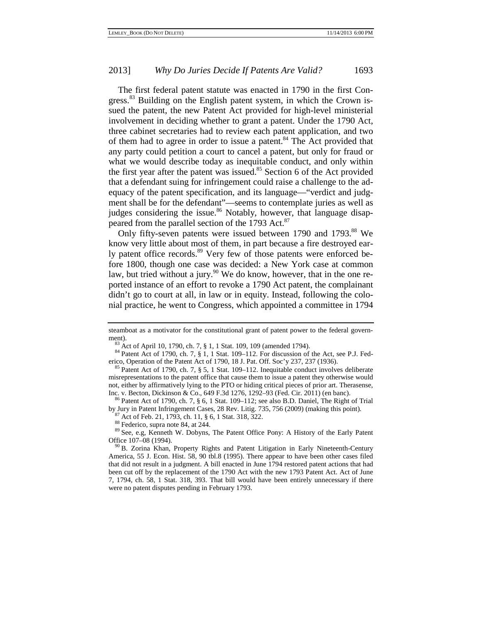The first federal patent statute was enacted in 1790 in the first Congress.<sup>83</sup> Building on the English patent system, in which the Crown issued the patent, the new Patent Act provided for high-level ministerial involvement in deciding whether to grant a patent. Under the 1790 Act, three cabinet secretaries had to review each patent application, and two of them had to agree in order to issue a patent.<sup>84</sup> The Act provided that any party could petition a court to cancel a patent, but only for fraud or what we would describe today as inequitable conduct, and only within the first year after the patent was issued.<sup>85</sup> Section 6 of the Act provided that a defendant suing for infringement could raise a challenge to the adequacy of the patent specification, and its language—"verdict and judgment shall be for the defendant"—seems to contemplate juries as well as judges considering the issue.<sup>86</sup> Notably, however, that language disappeared from the parallel section of the 1793 Act.<sup>87</sup>

Only fifty-seven patents were issued between 1790 and 1793.<sup>88</sup> We know very little about most of them, in part because a fire destroyed early patent office records.<sup>89</sup> Very few of those patents were enforced before 1800, though one case was decided: a New York case at common law, but tried without a jury.<sup>90</sup> We do know, however, that in the one reported instance of an effort to revoke a 1790 Act patent, the complainant didn't go to court at all, in law or in equity. Instead, following the colonial practice, he went to Congress, which appointed a committee in 1794

steamboat as a motivator for the constitutional grant of patent power to the federal govern-

ment).<br><sup>83</sup> Act of April 10, 1790, ch. 7, § 1, 1 Stat. 109, 109 (amended 1794).<br><sup>84</sup> Patent Act of 1790, ch. 7, § 1, 1 Stat. 109–112. For discussion of the Act, see P.J. Federico, Operation of the Patent Act of 1790, 18 J. Pat. Off. Soc'y 237, 237 (1936). <sup>85</sup> Patent Act of 1790, ch. 7, § 5, 1 Stat. 109–112. Inequitable conduct involves deliberate

misrepresentations to the patent office that cause them to issue a patent they otherwise would not, either by affirmatively lying to the PTO or hiding critical pieces of prior art. Therasense, Inc. v. Becton, Dickinson & Co., 649 F.3d 1276, 1292–93 (Fed. Cir. 2011) (en banc). 86 Patent Act of 1790, ch. 7, § 6, 1 Stat. 109–112; see also B.D. Daniel, The Right of Trial

by Jury in Patent Infringement Cases, 28 Rev. Litig. 735, 756 (2009) (making this point).<br><sup>87</sup> Act of Feb. 21, 1793, ch. 11, § 6, 1 Stat. 318, 322.<br><sup>88</sup> Federico, supra note 84, at 244.<br><sup>89</sup> See, e.g, Kenneth W. Dobyns, T

Office 107–08 (1994).<br><sup>90</sup> B. Zorina Khan, Property Rights and Patent Litigation in Early Nineteenth-Century

America, 55 J. Econ. Hist. 58, 90 tbl.8 (1995). There appear to have been other cases filed that did not result in a judgment. A bill enacted in June 1794 restored patent actions that had been cut off by the replacement of the 1790 Act with the new 1793 Patent Act. Act of June 7, 1794, ch. 58, 1 Stat. 318, 393. That bill would have been entirely unnecessary if there were no patent disputes pending in February 1793.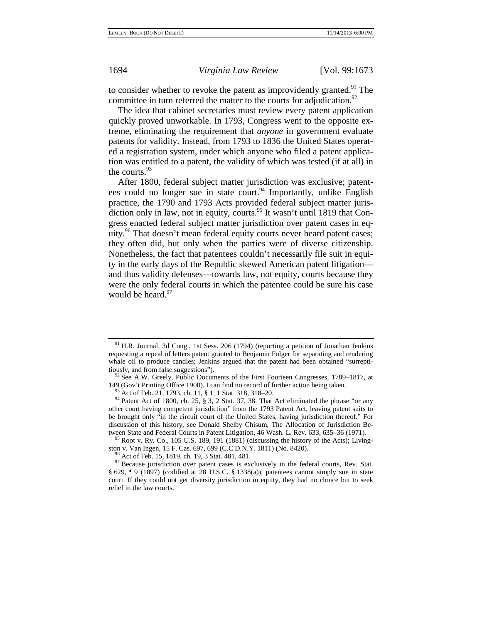to consider whether to revoke the patent as improvidently granted.<sup>91</sup> The committee in turn referred the matter to the courts for adjudication.<sup>92</sup>

The idea that cabinet secretaries must review every patent application quickly proved unworkable. In 1793, Congress went to the opposite extreme, eliminating the requirement that *anyone* in government evaluate patents for validity. Instead, from 1793 to 1836 the United States operated a registration system, under which anyone who filed a patent application was entitled to a patent, the validity of which was tested (if at all) in the courts.<sup>93</sup>

After 1800, federal subject matter jurisdiction was exclusive; patentees could no longer sue in state court.<sup>94</sup> Importantly, unlike English practice, the 1790 and 1793 Acts provided federal subject matter jurisdiction only in law, not in equity, courts.<sup>95</sup> It wasn't until 1819 that Congress enacted federal subject matter jurisdiction over patent cases in equity.<sup>96</sup> That doesn't mean federal equity courts never heard patent cases; they often did, but only when the parties were of diverse citizenship. Nonetheless, the fact that patentees couldn't necessarily file suit in equity in the early days of the Republic skewed American patent litigation and thus validity defenses—towards law, not equity, courts because they were the only federal courts in which the patentee could be sure his case would be heard.<sup>97</sup>

 $91$  H.R. Journal, 3d Cong., 1st Sess. 206 (1794) (reporting a petition of Jonathan Jenkins requesting a repeal of letters patent granted to Benjamin Folger for separating and rendering whale oil to produce candles; Jenkins argued that the patent had been obtained "surrepti-

tiously, and from false suggestions").<br><sup>92</sup> See A.W. Greely, Public Documents of the First Fourteen Congresses, 1789–1817, at 149 (Gov't Printing Office 1900). I can find no record of further action being taken.

<sup>&</sup>lt;sup>93</sup> Act of Feb. 21, 1793, ch. 11, § 1, 1 Stat. 318, 318–20.<br><sup>94</sup> Patent Act of 1800, ch. 25, § 3, 2 Stat. 37, 38. That Act eliminated the phrase "or any other court having competent jurisdiction" from the 1793 Patent Act, leaving patent suits to be brought only "in the circuit court of the United States, having jurisdiction thereof." For discussion of this history, see Donald Shelby Chisum, The Allocation of Jurisdiction Be-<br>tween State and Federal Courts in Patent Litigation, 46 Wash. L. Rev. 633, 635–36 (1971).

 $55$  Root v. Ry. Co., 105 U.S. 189, 191 (1881) (discussing the history of the Acts); Livingston v. Van Ingen, 15 F. Cas. 697, 699 (C.C.D.N.Y. 1811) (No. 8420). <sup>96</sup> Act of Feb. 15, 1819, ch. 19, 3 Stat. 481, 481. <sup>97</sup> Because jurisdiction over patent cases is exclusively in the federal courts, Rev. Stat.

<sup>§ 629, ¶9 (1897) (</sup>codified at 28 U.S.C. § 1338(a)), patentees cannot simply sue in state court. If they could not get diversity jurisdiction in equity, they had no choice but to seek relief in the law courts.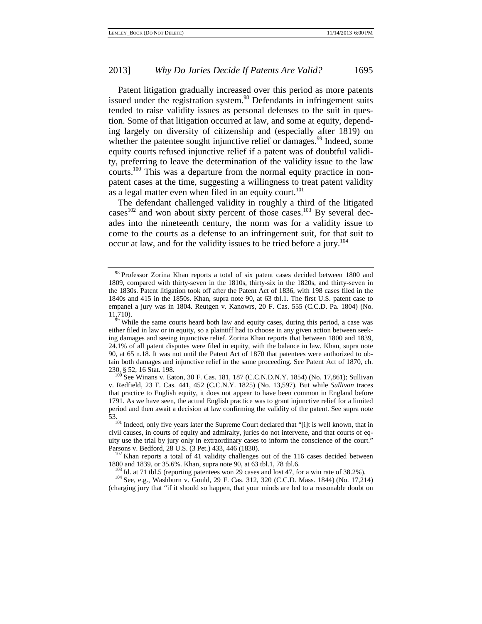Patent litigation gradually increased over this period as more patents issued under the registration system.<sup>98</sup> Defendants in infringement suits tended to raise validity issues as personal defenses to the suit in question. Some of that litigation occurred at law, and some at equity, depending largely on diversity of citizenship and (especially after 1819) on whether the patentee sought injunctive relief or damages.<sup>99</sup> Indeed, some equity courts refused injunctive relief if a patent was of doubtful validity, preferring to leave the determination of the validity issue to the law courts.<sup>100</sup> This was a departure from the normal equity practice in nonpatent cases at the time, suggesting a willingness to treat patent validity as a legal matter even when filed in an equity court.<sup>101</sup>

The defendant challenged validity in roughly a third of the litigated cases<sup>102</sup> and won about sixty percent of those cases.<sup>103</sup> By several decades into the nineteenth century, the norm was for a validity issue to come to the courts as a defense to an infringement suit, for that suit to occur at law, and for the validity issues to be tried before a jury.<sup>104</sup>

<sup>&</sup>lt;sup>98</sup> Professor Zorina Khan reports a total of six patent cases decided between 1800 and 1809, compared with thirty-seven in the 1810s, thirty-six in the 1820s, and thirty-seven in the 1830s. Patent litigation took off after the Patent Act of 1836, with 198 cases filed in the 1840s and 415 in the 1850s. Khan, supra note 90, at 63 tbl.1. The first U.S. patent case to empanel a jury was in 1804. Reutgen v. Kanowrs, 20 F. Cas. 555 (C.C.D. Pa. 1804) (No.

<sup>11,710).&</sup>lt;br><sup>99</sup> While the same courts heard both law and equity cases, during this period, a case was either filed in law or in equity, so a plaintiff had to choose in any given action between seeking damages and seeing injunctive relief. Zorina Khan reports that between 1800 and 1839, 24.1% of all patent disputes were filed in equity, with the balance in law. Khan, supra note 90, at 65 n.18. It was not until the Patent Act of 1870 that patentees were authorized to obtain both damages and injunctive relief in the same proceeding. See Patent Act of 1870, ch.

<sup>230, § 52, 16</sup> Stat. 198.<br><sup>100</sup> See Winans v. Eaton, 30 F. Cas. 181, 187 (C.C.N.D.N.Y. 1854) (No. 17,861); Sullivan v. Redfield, 23 F. Cas. 441, 452 (C.C.N.Y. 1825) (No. 13,597). But while *Sullivan* traces that practice to English equity, it does not appear to have been common in England before 1791. As we have seen, the actual English practice was to grant injunctive relief for a limited period and then await a decision at law confirming the validity of the patent. See supra note<br>53.<br><sup>101</sup> Indeed, only five years later the Supreme Court declared that "filt is well known, that in

Indeed, only five years later the Supreme Court declared that "[i]t is well known, that in civil causes, in courts of equity and admiralty, juries do not intervene, and that courts of equity use the trial by jury only in extraordinary cases to inform the conscience of the court."

Parsons v. Bedford, 28 U.S. (3 Pet.) 433, 446 (1830).<br><sup>102</sup> Khan reports a total of 41 validity challenges out of the 116 cases decided between 1800 and 1839, or 35.6%. Khan, supra note 90, at 63 tbl.1, 78 tbl.6.

<sup>&</sup>lt;sup>103</sup> Id. at 71 tbl.5 (reporting patentees won 29 cases and lost 47, for a win rate of 38.2%).<br><sup>104</sup> See, e.g., Washburn v. Gould, 29 F. Cas. 312, 320 (C.C.D. Mass. 1844) (No. 17,214) (charging jury that "if it should so happen, that your minds are led to a reasonable doubt on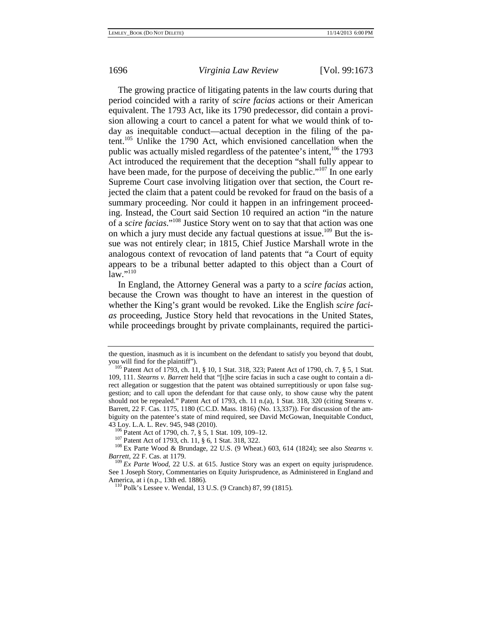The growing practice of litigating patents in the law courts during that period coincided with a rarity of *scire facias* actions or their American equivalent. The 1793 Act, like its 1790 predecessor, did contain a provision allowing a court to cancel a patent for what we would think of today as inequitable conduct—actual deception in the filing of the patent.105 Unlike the 1790 Act, which envisioned cancellation when the public was actually misled regardless of the patentee's intent,<sup>106</sup> the 1793 Act introduced the requirement that the deception "shall fully appear to have been made, for the purpose of deceiving the public."<sup>107</sup> In one early Supreme Court case involving litigation over that section, the Court rejected the claim that a patent could be revoked for fraud on the basis of a summary proceeding. Nor could it happen in an infringement proceeding. Instead, the Court said Section 10 required an action "in the nature of a *scire facias*."108 Justice Story went on to say that that action was one on which a jury must decide any factual questions at issue.<sup>109</sup> But the issue was not entirely clear; in 1815, Chief Justice Marshall wrote in the analogous context of revocation of land patents that "a Court of equity appears to be a tribunal better adapted to this object than a Court of  $\overline{\text{law}}$ ."110

In England, the Attorney General was a party to a *scire facias* action, because the Crown was thought to have an interest in the question of whether the King's grant would be revoked. Like the English *scire facias* proceeding, Justice Story held that revocations in the United States, while proceedings brought by private complainants, required the partici-

the question, inasmuch as it is incumbent on the defendant to satisfy you beyond that doubt,

 $^{105}$  Patent Act of 1793, ch. 11, § 10, 1 Stat. 318, 323; Patent Act of 1790, ch. 7, § 5, 1 Stat. 109, 111. *Stearns v. Barrett* held that "[t]he scire facias in such a case ought to contain a direct allegation or suggestion that the patent was obtained surreptitiously or upon false suggestion; and to call upon the defendant for that cause only, to show cause why the patent should not be repealed." Patent Act of 1793, ch. 11 n.(a), 1 Stat. 318, 320 (citing Stearns v. Barrett, 22 F. Cas. 1175, 1180 (C.C.D. Mass. 1816) (No. 13,337)). For discussion of the ambiguity on the patentee's state of mind required, see David McGowan, Inequitable Conduct,

<sup>43</sup> Loy. L.A. L. Rev. 945, 948 (2010).<br><sup>106</sup> Patent Act of 1790, ch. 7, § 5, 1 Stat. 109, 109–12.<br><sup>107</sup> Patent Act of 1793, ch. 11, § 6, 1 Stat. 318, 322.<br><sup>108</sup> Ex Parte Wood & Brundage, 22 U.S. (9 Wheat.) 603, 614 (1824);

 $^{109}Ex$  *Parte Wood*, 22 U.S. at 615. Justice Story was an expert on equity jurisprudence. See 1 Joseph Story, Commentaries on Equity Jurisprudence, as Administered in England and America, at i (n.p., 13th ed. 1886).<br><sup>110</sup> Polk's Lessee v. Wendal, 13 U.S. (9 Cranch) 87, 99 (1815).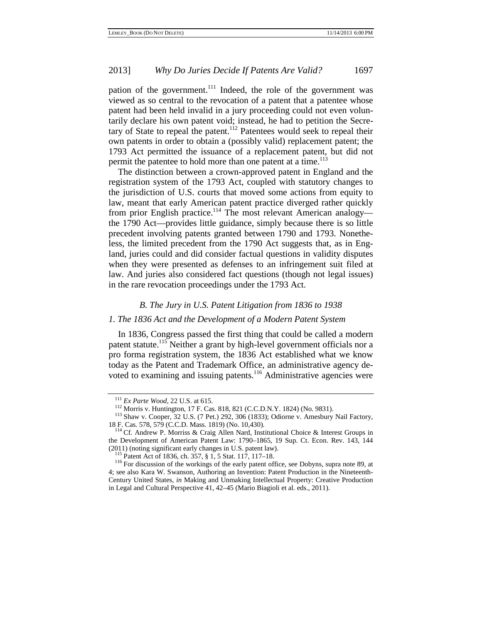pation of the government.<sup>111</sup> Indeed, the role of the government was viewed as so central to the revocation of a patent that a patentee whose patent had been held invalid in a jury proceeding could not even voluntarily declare his own patent void; instead, he had to petition the Secretary of State to repeal the patent.112 Patentees would seek to repeal their own patents in order to obtain a (possibly valid) replacement patent; the 1793 Act permitted the issuance of a replacement patent, but did not permit the patentee to hold more than one patent at a time.<sup>113</sup>

The distinction between a crown-approved patent in England and the registration system of the 1793 Act, coupled with statutory changes to the jurisdiction of U.S. courts that moved some actions from equity to law, meant that early American patent practice diverged rather quickly from prior English practice.<sup>114</sup> The most relevant American analogy the 1790 Act—provides little guidance, simply because there is so little precedent involving patents granted between 1790 and 1793. Nonetheless, the limited precedent from the 1790 Act suggests that, as in England, juries could and did consider factual questions in validity disputes when they were presented as defenses to an infringement suit filed at law. And juries also considered fact questions (though not legal issues) in the rare revocation proceedings under the 1793 Act.

#### *B. The Jury in U.S. Patent Litigation from 1836 to 1938*

#### *1. The 1836 Act and the Development of a Modern Patent System*

In 1836, Congress passed the first thing that could be called a modern patent statute.115 Neither a grant by high-level government officials nor a pro forma registration system, the 1836 Act established what we know today as the Patent and Trademark Office, an administrative agency devoted to examining and issuing patents.<sup>116</sup> Administrative agencies were

<sup>&</sup>lt;sup>111</sup> *Ex Parte Wood*, 22 U.S. at 615.<br><sup>112</sup> Morris v. Huntington, 17 F. Cas. 818, 821 (C.C.D.N.Y. 1824) (No. 9831). <sup>113</sup> Shaw v. Cooper, 32 U.S. (7 Pet.) 292, 306 (1833); Odiorne v. Amesbury Nail Factory, 18 F. Cas. 578, 579 (C.C.D. Mass. 1819) (No. 10,430).<br><sup>114</sup> Cf. Andrew P. Morriss & Craig Allen Nard, Institutional Choice & Interest Groups in

the Development of American Patent Law: 1790–1865, 19 Sup. Ct. Econ. Rev. 143, 144 (2011) (noting significant early changes in U.S. patent law). <sup>115</sup> Patent Act of 1836, ch. 357, § 1, 5 Stat. 117, 117–18.<br><sup>116</sup> For discussion of the workings of the early patent office, see Dobyns, supra note 89, at

<sup>4;</sup> see also Kara W. Swanson, Authoring an Invention: Patent Production in the Nineteenth-Century United States, *in* Making and Unmaking Intellectual Property: Creative Production in Legal and Cultural Perspective 41, 42–45 (Mario Biagioli et al. eds., 2011).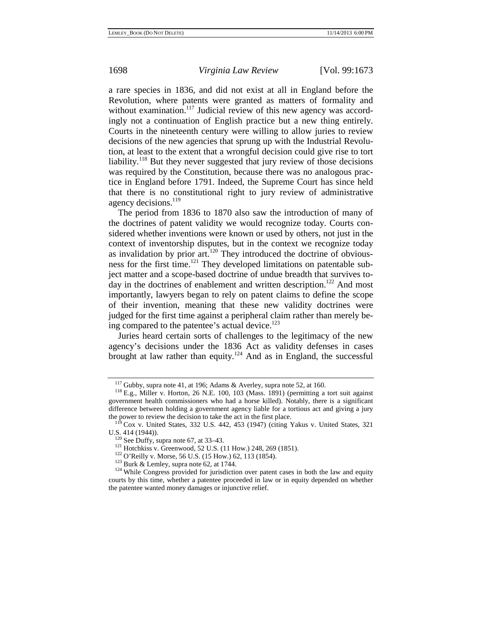a rare species in 1836, and did not exist at all in England before the Revolution, where patents were granted as matters of formality and without examination.<sup>117</sup> Judicial review of this new agency was accordingly not a continuation of English practice but a new thing entirely. Courts in the nineteenth century were willing to allow juries to review decisions of the new agencies that sprung up with the Industrial Revolution, at least to the extent that a wrongful decision could give rise to tort liability.118 But they never suggested that jury review of those decisions was required by the Constitution, because there was no analogous practice in England before 1791. Indeed, the Supreme Court has since held that there is no constitutional right to jury review of administrative agency decisions.<sup>119</sup>

The period from 1836 to 1870 also saw the introduction of many of the doctrines of patent validity we would recognize today. Courts considered whether inventions were known or used by others, not just in the context of inventorship disputes, but in the context we recognize today as invalidation by prior  $art^{120}$ . They introduced the doctrine of obviousness for the first time.<sup>121</sup> They developed limitations on patentable subject matter and a scope-based doctrine of undue breadth that survives today in the doctrines of enablement and written description.<sup>122</sup> And most importantly, lawyers began to rely on patent claims to define the scope of their invention, meaning that these new validity doctrines were judged for the first time against a peripheral claim rather than merely being compared to the patentee's actual device. $123$ 

Juries heard certain sorts of challenges to the legitimacy of the new agency's decisions under the 1836 Act as validity defenses in cases brought at law rather than equity.<sup>124</sup> And as in England, the successful

<sup>&</sup>lt;sup>117</sup> Gubby, supra note 41, at 196; Adams & Averley, supra note 52, at 160.<br><sup>118</sup> E.g., Miller v. Horton, 26 N.E. 100, 103 (Mass. 1891) (permitting a tort suit against government health commissioners who had a horse killed). Notably, there is a significant difference between holding a government agency liable for a tortious act and giving a jury the power to review the decision to take the act in the first place.

 $t^{119}$  Cox v. United States, 332 U.S. 442, 453 (1947) (citing Yakus v. United States, 321 U.S. 414 (1944)).

<sup>&</sup>lt;sup>120</sup> See Duffy, supra note 67, at 33–43.<br><sup>121</sup> Hotchkiss v. Greenwood, 52 U.S. (11 How.) 248, 269 (1851).<br><sup>122</sup> O'Reilly v. Morse, 56 U.S. (15 How.) 62, 113 (1854).<br><sup>123</sup> Burk & Lemley, supra note 62, at 1744.<br><sup>124</sup> Whil courts by this time, whether a patentee proceeded in law or in equity depended on whether the patentee wanted money damages or injunctive relief.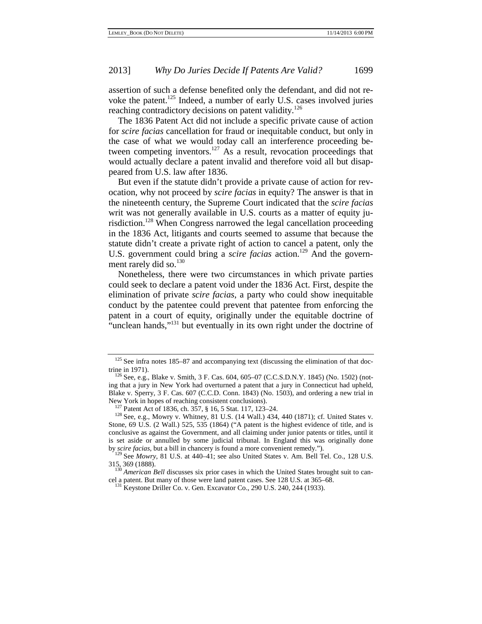assertion of such a defense benefited only the defendant, and did not revoke the patent.<sup>125</sup> Indeed, a number of early U.S. cases involved juries reaching contradictory decisions on patent validity.<sup>126</sup>

The 1836 Patent Act did not include a specific private cause of action for *scire facias* cancellation for fraud or inequitable conduct, but only in the case of what we would today call an interference proceeding between competing inventors.<sup>127</sup> As a result, revocation proceedings that would actually declare a patent invalid and therefore void all but disappeared from U.S. law after 1836.

But even if the statute didn't provide a private cause of action for revocation, why not proceed by *scire facias* in equity? The answer is that in the nineteenth century, the Supreme Court indicated that the *scire facias*  writ was not generally available in U.S. courts as a matter of equity jurisdiction.128 When Congress narrowed the legal cancellation proceeding in the 1836 Act, litigants and courts seemed to assume that because the statute didn't create a private right of action to cancel a patent, only the U.S. government could bring a *scire facias* action.<sup>129</sup> And the government rarely did so.<sup>130</sup>

Nonetheless, there were two circumstances in which private parties could seek to declare a patent void under the 1836 Act. First, despite the elimination of private *scire facias*, a party who could show inequitable conduct by the patentee could prevent that patentee from enforcing the patent in a court of equity, originally under the equitable doctrine of "unclean hands,"<sup>131</sup> but eventually in its own right under the doctrine of

 $125$  See infra notes 185–87 and accompanying text (discussing the elimination of that doctrine in 1971).

 $t^{126}$  See, e.g., Blake v. Smith, 3 F. Cas. 604, 605–07 (C.C.S.D.N.Y. 1845) (No. 1502) (noting that a jury in New York had overturned a patent that a jury in Connecticut had upheld, Blake v. Sperry, 3 F. Cas. 607 (C.C.D. Conn. 1843) (No. 1503), and ordering a new trial in New York in hopes of reaching consistent conclusions).<br><sup>127</sup> Patent Act of 1836, ch. 357, § 16, 5 Stat. 117, 123–24.<br><sup>128</sup> See, e.g., Mowry v. Whitney, 81 U.S. (14 Wall.) 434, 440 (1871); cf. United States v.

Stone, 69 U.S. (2 Wall.) 525, 535 (1864) ("A patent is the highest evidence of title, and is conclusive as against the Government, and all claiming under junior patents or titles, until it is set aside or annulled by some judicial tribunal. In England this was originally done

by *scire facias*, but a bill in chancery is found a more convenient remedy.").<br><sup>129</sup> See *Mowry*, 81 U.S. at 440–41; see also United States v. Am. Bell Tel. Co., 128 U.S.<br>315, 369 (1888).

<sup>&</sup>lt;sup>130</sup> *American Bell* discusses six prior cases in which the United States brought suit to can-<br>cel a patent. But many of those were land patent cases. See 128 U.S. at 365–68.

 $^{131}$  Keystone Driller Co. v. Gen. Excavator Co., 290 U.S. 240, 244 (1933).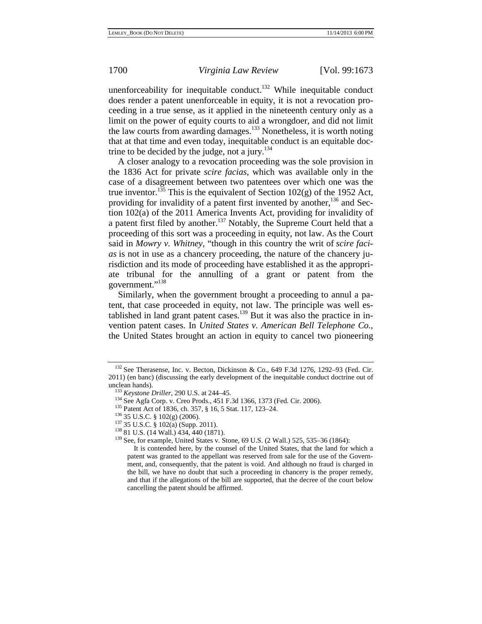unenforceability for inequitable conduct.<sup>132</sup> While inequitable conduct does render a patent unenforceable in equity, it is not a revocation proceeding in a true sense, as it applied in the nineteenth century only as a limit on the power of equity courts to aid a wrongdoer, and did not limit the law courts from awarding damages.<sup>133</sup> Nonetheless, it is worth noting that at that time and even today, inequitable conduct is an equitable doctrine to be decided by the judge, not a jury. $134$ 

A closer analogy to a revocation proceeding was the sole provision in the 1836 Act for private *scire facias*, which was available only in the case of a disagreement between two patentees over which one was the true inventor.<sup>135</sup> This is the equivalent of Section 102(g) of the 1952 Act, providing for invalidity of a patent first invented by another,  $136$  and Section 102(a) of the 2011 America Invents Act, providing for invalidity of a patent first filed by another.<sup>137</sup> Notably, the Supreme Court held that a proceeding of this sort was a proceeding in equity, not law. As the Court said in *Mowry v. Whitney*, "though in this country the writ of *scire facias* is not in use as a chancery proceeding, the nature of the chancery jurisdiction and its mode of proceeding have established it as the appropriate tribunal for the annulling of a grant or patent from the government."138

Similarly, when the government brought a proceeding to annul a patent, that case proceeded in equity, not law. The principle was well established in land grant patent cases.<sup>139</sup> But it was also the practice in invention patent cases. In *United States v. American Bell Telephone Co.*, the United States brought an action in equity to cancel two pioneering

 $132$  See Therasense, Inc. v. Becton, Dickinson & Co., 649 F.3d 1276, 1292–93 (Fed. Cir. 2011) (en banc) (discussing the early development of the inequitable conduct doctrine out of

<sup>&</sup>lt;sup>133</sup> Keystone Driller, 290 U.S. at 244–45.<br><sup>134</sup> See Agfa Corp. v. Creo Prods., 451 F.3d 1366, 1373 (Fed. Cir. 2006).<br><sup>135</sup> Patent Act of 1836, ch. 357, § 16, 5 Stat. 117, 123–24.<br><sup>136</sup> 35 U.S.C. § 102(g) (2006).<br><sup>137</sup> 3

It is contended here, by the counsel of the United States, that the land for which a patent was granted to the appellant was reserved from sale for the use of the Government, and, consequently, that the patent is void. And although no fraud is charged in the bill, we have no doubt that such a proceeding in chancery is the proper remedy, and that if the allegations of the bill are supported, that the decree of the court below cancelling the patent should be affirmed.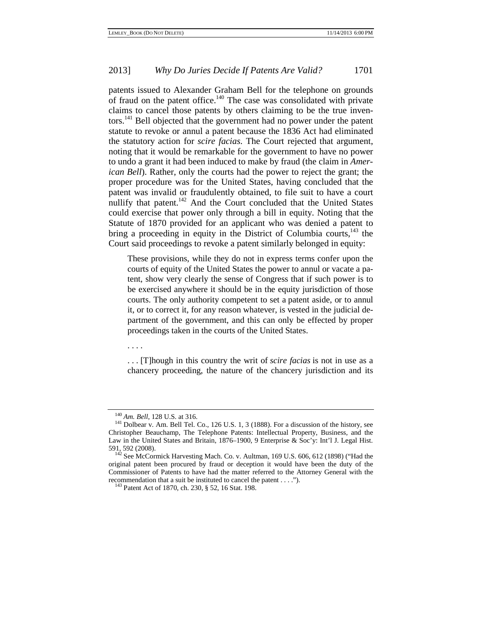patents issued to Alexander Graham Bell for the telephone on grounds of fraud on the patent office.<sup>140</sup> The case was consolidated with private claims to cancel those patents by others claiming to be the true inventors.<sup>141</sup> Bell objected that the government had no power under the patent statute to revoke or annul a patent because the 1836 Act had eliminated the statutory action for *scire facias*. The Court rejected that argument, noting that it would be remarkable for the government to have no power to undo a grant it had been induced to make by fraud (the claim in *American Bell*). Rather, only the courts had the power to reject the grant; the proper procedure was for the United States, having concluded that the patent was invalid or fraudulently obtained, to file suit to have a court nullify that patent.<sup>142</sup> And the Court concluded that the United States could exercise that power only through a bill in equity. Noting that the Statute of 1870 provided for an applicant who was denied a patent to bring a proceeding in equity in the District of Columbia courts, $143$  the Court said proceedings to revoke a patent similarly belonged in equity:

These provisions, while they do not in express terms confer upon the courts of equity of the United States the power to annul or vacate a patent, show very clearly the sense of Congress that if such power is to be exercised anywhere it should be in the equity jurisdiction of those courts. The only authority competent to set a patent aside, or to annul it, or to correct it, for any reason whatever, is vested in the judicial department of the government, and this can only be effected by proper proceedings taken in the courts of the United States.

. . . .

. . . [T]hough in this country the writ of *scire facias* is not in use as a chancery proceeding, the nature of the chancery jurisdiction and its

<sup>&</sup>lt;sup>140</sup> *Am. Bell*, 128 U.S. at 316.  $\frac{141}{141}$  Dolbear v. Am. Bell Tel. Co., 126 U.S. 1, 3 (1888). For a discussion of the history, see Christopher Beauchamp, The Telephone Patents: Intellectual Property, Business, and the Law in the United States and Britain, 1876–1900, 9 Enterprise & Soc'y: Int'l J. Legal Hist.

 $142$  See McCormick Harvesting Mach. Co. v. Aultman, 169 U.S. 606, 612 (1898) ("Had the original patent been procured by fraud or deception it would have been the duty of the Commissioner of Patents to have had the matter referred to the Attorney General with the recommendation that a suit be instituted to cancel the patent . . . ."). <sup>143</sup> Patent Act of 1870, ch. 230, § 52, 16 Stat. 198.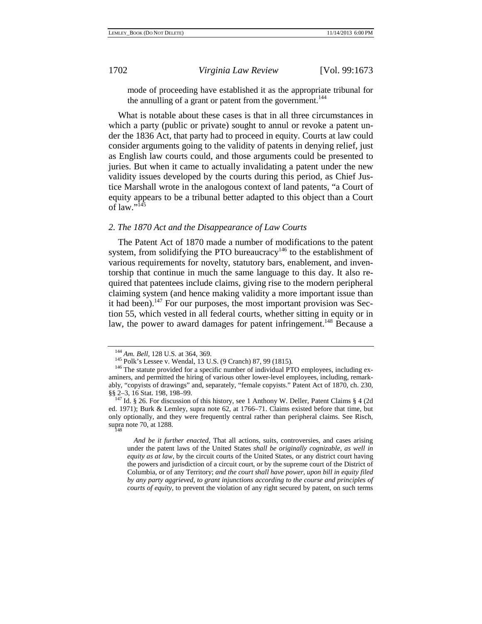mode of proceeding have established it as the appropriate tribunal for the annulling of a grant or patent from the government.<sup>144</sup>

What is notable about these cases is that in all three circumstances in which a party (public or private) sought to annul or revoke a patent under the 1836 Act, that party had to proceed in equity. Courts at law could consider arguments going to the validity of patents in denying relief, just as English law courts could, and those arguments could be presented to juries. But when it came to actually invalidating a patent under the new validity issues developed by the courts during this period, as Chief Justice Marshall wrote in the analogous context of land patents, "a Court of equity appears to be a tribunal better adapted to this object than a Court of law."<sup>145</sup>

#### *2. The 1870 Act and the Disappearance of Law Courts*

The Patent Act of 1870 made a number of modifications to the patent system, from solidifying the PTO bureaucracy<sup>146</sup> to the establishment of various requirements for novelty, statutory bars, enablement, and inventorship that continue in much the same language to this day. It also required that patentees include claims, giving rise to the modern peripheral claiming system (and hence making validity a more important issue than it had been).<sup>147</sup> For our purposes, the most important provision was Section 55, which vested in all federal courts, whether sitting in equity or in law, the power to award damages for patent infringement.<sup>148</sup> Because a

<sup>&</sup>lt;sup>144</sup> *Am. Bell*, 128 U.S. at 364, 369.<br><sup>145</sup> Polk's Lessee v. Wendal, 13 U.S. (9 Cranch) 87, 99 (1815).<br><sup>146</sup> The statute provided for a specific number of individual PTO employees, including examiners, and permitted the hiring of various other lower-level employees, including, remarkably, "copyists of drawings" and, separately, "female copyists." Patent Act of 1870, ch. 230, §§ 2–3, 16 Stat. 198, 198–99.

 $^{147}$  Id. § 26. For discussion of this history, see 1 Anthony W. Deller, Patent Claims § 4 (2d) ed. 1971); Burk & Lemley, supra note 62, at 1766–71. Claims existed before that time, but only optionally, and they were frequently central rather than peripheral claims. See Risch, supra note 70, at 1288.

*And be it further enacted*, That all actions, suits, controversies, and cases arising under the patent laws of the United States *shall be originally cognizable, as well in equity as at law*, by the circuit courts of the United States, or any district court having the powers and jurisdiction of a circuit court, or by the supreme court of the District of Columbia, or of any Territory; *and the court shall have power, upon bill in equity filed by any party aggrieved, to grant injunctions according to the course and principles of courts of equity*, to prevent the violation of any right secured by patent, on such terms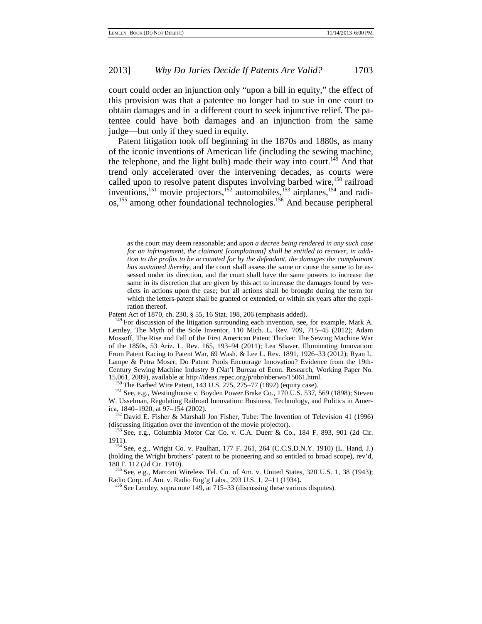court could order an injunction only "upon a bill in equity," the effect of this provision was that a patentee no longer had to sue in one court to obtain damages and in a different court to seek injunctive relief. The patentee could have both damages and an injunction from the same judge—but only if they sued in equity.

Patent litigation took off beginning in the 1870s and 1880s, as many of the iconic inventions of American life (including the sewing machine, the telephone, and the light bulb) made their way into court.<sup>149</sup> And that trend only accelerated over the intervening decades, as courts were called upon to resolve patent disputes involving barbed wire,  $150$  railroad inventions,<sup>151</sup> movie projectors,<sup>152</sup> automobiles,<sup>153</sup> airplanes,<sup>154</sup> and radios,155 among other foundational technologies.156 And because peripheral

W. Usselman, Regulating Railroad Innovation: Business, Technology, and Politics in Amer-

ica, 1840–1920, at 97–154 (2002).<br><sup>152</sup> David E. Fisher & Marshall Jon Fisher, Tube: The Invention of Television 41 (1996) (discussing litigation over the invention of the movie projector).  $^{153}$  See, e.g., Columbia Motor Car Co. v. C.A. Duerr & Co., 184 F. 893, 901 (2d Cir.

<sup>155</sup> See, e.g., Marconi Wireless Tel. Co. of Am. v. United States, 320 U.S. 1, 38 (1943); Radio Corp. of Am. v. Radio Eng'g Labs., 293 U.S. 1, 2–11 (1934).

<sup>156</sup> See Lemley, supra note 149, at 715–33 (discussing these various disputes).

as the court may deem reasonable; and *upon a decree being rendered in any such case for an infringement, the claimant [complainant] shall be entitled to recover, in addition to the profits to be accounted for by the defendant, the damages the complainant has sustained thereby*, and the court shall assess the same or cause the same to be assessed under its direction, and the court shall have the same powers to increase the same in its discretion that are given by this act to increase the damages found by verdicts in actions upon the case; but all actions shall be brought during the term for which the letters-patent shall be granted or extended, or within six years after the expiration thereof.<br>Patent Act of 1870, ch. 230, § 55, 16 Stat. 198, 206 (emphasis added).

 $^{149}$  For discussion of the litigation surrounding each invention, see, for example, Mark A. Lemley, The Myth of the Sole Inventor, 110 Mich. L. Rev. 709, 715–45 (2012); Adam Mossoff, The Rise and Fall of the First American Patent Thicket: The Sewing Machine War of the 1850s, 53 Ariz. L. Rev. 165, 193–94 (2011); Lea Shaver, Illuminating Innovation: From Patent Racing to Patent War, 69 Wash. & Lee L. Rev. 1891, 1926–33 (2012); Ryan L. Lampe & Petra Moser, Do Patent Pools Encourage Innovation? Evidence from the 19th-Century Sewing Machine Industry 9 (Nat'l Bureau of Econ. Research, Working Paper No. 15,061, 2009), available at http://ideas.repec.org/p/nbr/nberwo/15061.html.<br><sup>150</sup> The Barbed Wire Patent, 143 U.S. 275, 275–77 (1892) (equity case).<br><sup>151</sup> See, e.g., Westinghouse v. Boyden Power Brake Co., 170 U.S. 537, 5

<sup>1911). 154</sup> See, e.g., Wright Co. v. Paulhan, 177 F. 261, 264 (C.C.S.D.N.Y. 1910) (L. Hand, J.)

<sup>(</sup>holding the Wright brothers' patent to be pioneering and so entitled to broad scope), rev'd, 180 F. 112 (2d Cir. 1910).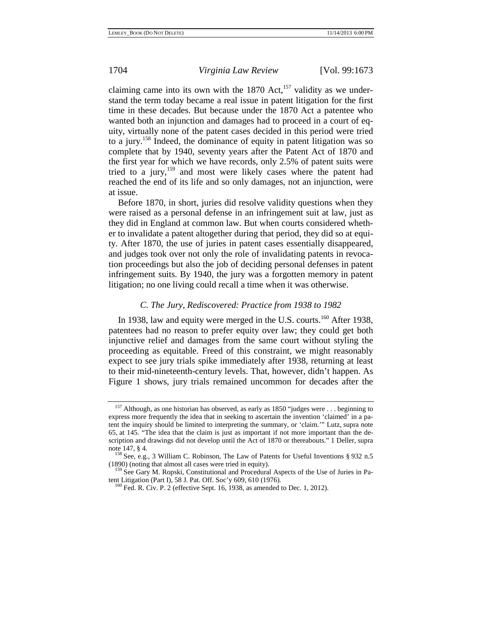claiming came into its own with the  $1870$  Act,<sup>157</sup> validity as we understand the term today became a real issue in patent litigation for the first time in these decades. But because under the 1870 Act a patentee who wanted both an injunction and damages had to proceed in a court of equity, virtually none of the patent cases decided in this period were tried to a jury.158 Indeed, the dominance of equity in patent litigation was so complete that by 1940, seventy years after the Patent Act of 1870 and the first year for which we have records, only 2.5% of patent suits were tried to a jury,<sup>159</sup> and most were likely cases where the patent had reached the end of its life and so only damages, not an injunction, were at issue.

Before 1870, in short, juries did resolve validity questions when they were raised as a personal defense in an infringement suit at law, just as they did in England at common law. But when courts considered whether to invalidate a patent altogether during that period, they did so at equity. After 1870, the use of juries in patent cases essentially disappeared, and judges took over not only the role of invalidating patents in revocation proceedings but also the job of deciding personal defenses in patent infringement suits. By 1940, the jury was a forgotten memory in patent litigation; no one living could recall a time when it was otherwise.

### *C. The Jury, Rediscovered: Practice from 1938 to 1982*

In 1938, law and equity were merged in the U.S. courts.<sup>160</sup> After 1938, patentees had no reason to prefer equity over law; they could get both injunctive relief and damages from the same court without styling the proceeding as equitable. Freed of this constraint, we might reasonably expect to see jury trials spike immediately after 1938, returning at least to their mid-nineteenth-century levels. That, however, didn't happen. As Figure 1 shows, jury trials remained uncommon for decades after the

<sup>&</sup>lt;sup>157</sup> Although, as one historian has observed, as early as 1850 "judges were . . . beginning to express more frequently the idea that in seeking to ascertain the invention 'claimed' in a patent the inquiry should be limited to interpreting the summary, or 'claim.'" Lutz, supra note 65, at 145. "The idea that the claim is just as important if not more important than the description and drawings did not develop until the Act of 1870 or thereabouts." 1 Deller, supra

note 147, § 4.<br><sup>158</sup> See, e.g., 3 William C. Robinson, The Law of Patents for Useful Inventions § 932 n.5 (1890) (noting that almost all cases were tried in equity).

<sup>&</sup>lt;sup>159</sup> See Gary M. Ropski, Constitutional and Procedural Aspects of the Use of Juries in Patent Litigation (Part I), 58 J. Pat. Off. Soc'y 609, 610 (1976).

 $^{160}$  Fed. R. Civ. P. 2 (effective Sept. 16, 1938, as amended to Dec. 1, 2012).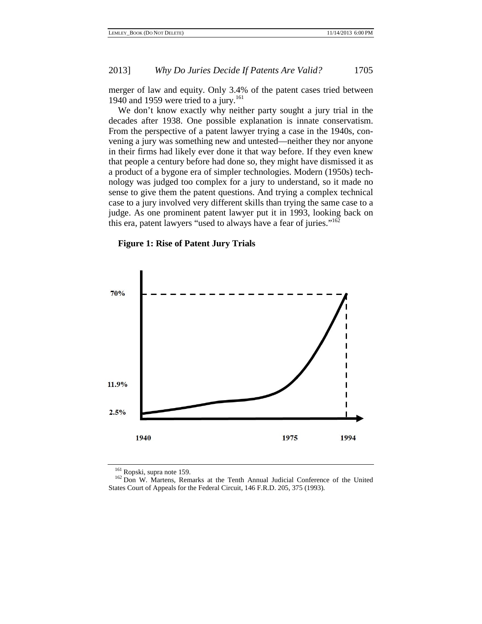merger of law and equity. Only 3.4% of the patent cases tried between 1940 and 1959 were tried to a jury.<sup>161</sup>

We don't know exactly why neither party sought a jury trial in the decades after 1938. One possible explanation is innate conservatism. From the perspective of a patent lawyer trying a case in the 1940s, convening a jury was something new and untested—neither they nor anyone in their firms had likely ever done it that way before. If they even knew that people a century before had done so, they might have dismissed it as a product of a bygone era of simpler technologies. Modern (1950s) technology was judged too complex for a jury to understand, so it made no sense to give them the patent questions. And trying a complex technical case to a jury involved very different skills than trying the same case to a judge. As one prominent patent lawyer put it in 1993, looking back on this era, patent lawyers "used to always have a fear of juries."162

### **Figure 1: Rise of Patent Jury Trials**



<sup>&</sup>lt;sup>161</sup> Ropski, supra note 159.<br><sup>162</sup> Don W. Martens, Remarks at the Tenth Annual Judicial Conference of the United States Court of Appeals for the Federal Circuit, 146 F.R.D. 205, 375 (1993).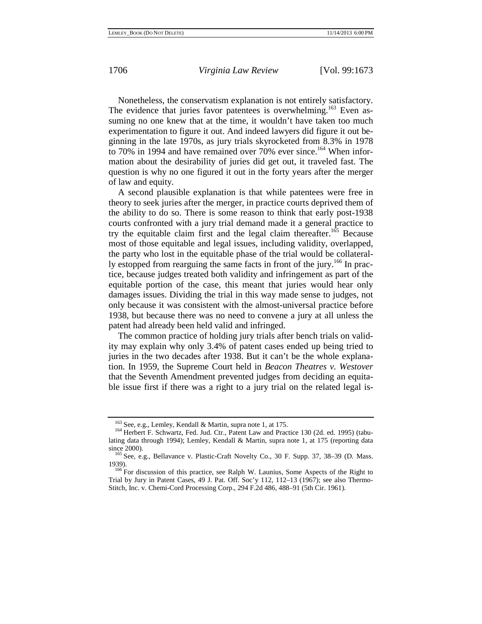Nonetheless, the conservatism explanation is not entirely satisfactory. The evidence that juries favor patentees is overwhelming.<sup>163</sup> Even assuming no one knew that at the time, it wouldn't have taken too much experimentation to figure it out. And indeed lawyers did figure it out beginning in the late 1970s, as jury trials skyrocketed from 8.3% in 1978 to 70% in 1994 and have remained over 70% ever since.<sup>164</sup> When information about the desirability of juries did get out, it traveled fast. The question is why no one figured it out in the forty years after the merger of law and equity.

A second plausible explanation is that while patentees were free in theory to seek juries after the merger, in practice courts deprived them of the ability to do so. There is some reason to think that early post-1938 courts confronted with a jury trial demand made it a general practice to try the equitable claim first and the legal claim thereafter.<sup>165</sup> Because most of those equitable and legal issues, including validity, overlapped, the party who lost in the equitable phase of the trial would be collaterally estopped from rearguing the same facts in front of the jury.<sup>166</sup> In practice, because judges treated both validity and infringement as part of the equitable portion of the case, this meant that juries would hear only damages issues. Dividing the trial in this way made sense to judges, not only because it was consistent with the almost-universal practice before 1938, but because there was no need to convene a jury at all unless the patent had already been held valid and infringed.

The common practice of holding jury trials after bench trials on validity may explain why only 3.4% of patent cases ended up being tried to juries in the two decades after 1938. But it can't be the whole explanation. In 1959, the Supreme Court held in *Beacon Theatres v. Westover* that the Seventh Amendment prevented judges from deciding an equitable issue first if there was a right to a jury trial on the related legal is-

<sup>&</sup>lt;sup>163</sup> See, e.g., Lemley, Kendall & Martin, supra note 1, at 175.<br><sup>164</sup> Herbert F. Schwartz, Fed. Jud. Ctr., Patent Law and Practice 130 (2d. ed. 1995) (tabulating data through 1994); Lemley, Kendall & Martin, supra note 1, at 175 (reporting data since 2000).<br><sup>165</sup> See, e.g., Bellavance v. Plastic-Craft Novelty Co., 30 F. Supp. 37, 38–39 (D. Mass.

<sup>1939).</sup>  $\frac{166}{6}$  For discussion of this practice, see Ralph W. Launius, Some Aspects of the Right to

Trial by Jury in Patent Cases, 49 J. Pat. Off. Soc'y 112, 112–13 (1967); see also Thermo-Stitch, Inc. v. Chemi-Cord Processing Corp., 294 F.2d 486, 488–91 (5th Cir. 1961).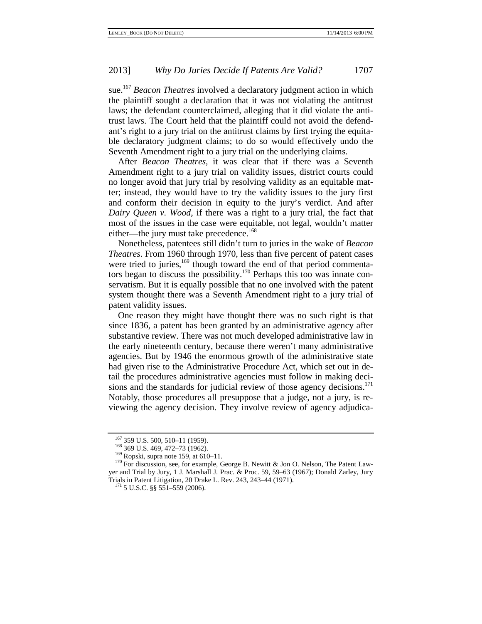sue.167 *Beacon Theatres* involved a declaratory judgment action in which the plaintiff sought a declaration that it was not violating the antitrust laws; the defendant counterclaimed, alleging that it did violate the antitrust laws. The Court held that the plaintiff could not avoid the defendant's right to a jury trial on the antitrust claims by first trying the equitable declaratory judgment claims; to do so would effectively undo the Seventh Amendment right to a jury trial on the underlying claims.

After *Beacon Theatres*, it was clear that if there was a Seventh Amendment right to a jury trial on validity issues, district courts could no longer avoid that jury trial by resolving validity as an equitable matter; instead, they would have to try the validity issues to the jury first and conform their decision in equity to the jury's verdict. And after *Dairy Queen v. Wood*, if there was a right to a jury trial, the fact that most of the issues in the case were equitable, not legal, wouldn't matter either—the jury must take precedence.<sup>168</sup>

Nonetheless, patentees still didn't turn to juries in the wake of *Beacon Theatres*. From 1960 through 1970, less than five percent of patent cases were tried to juries, $169$  though toward the end of that period commentators began to discuss the possibility.<sup>170</sup> Perhaps this too was innate conservatism. But it is equally possible that no one involved with the patent system thought there was a Seventh Amendment right to a jury trial of patent validity issues.

One reason they might have thought there was no such right is that since 1836, a patent has been granted by an administrative agency after substantive review. There was not much developed administrative law in the early nineteenth century, because there weren't many administrative agencies. But by 1946 the enormous growth of the administrative state had given rise to the Administrative Procedure Act, which set out in detail the procedures administrative agencies must follow in making decisions and the standards for judicial review of those agency decisions.<sup>171</sup> Notably, those procedures all presuppose that a judge, not a jury, is reviewing the agency decision. They involve review of agency adjudica-

<sup>&</sup>lt;sup>167</sup> 359 U.S. 500, 510–11 (1959).<br><sup>168</sup> 369 U.S. 469, 472–73 (1962).<br><sup>169</sup> Ropski, supra note 159, at 610–11.<br><sup>170</sup> For discussion, see, for example, George B. Newitt & Jon O. Nelson, The Patent Lawyer and Trial by Jury, 1 J. Marshall J. Prac. & Proc. 59, 59–63 (1967); Donald Zarley, Jury Trials in Patent Litigation, 20 Drake L. Rev. 243, 243–44 (1971).<br><sup>171</sup> 5 U.S.C. §§ 551–559 (2006).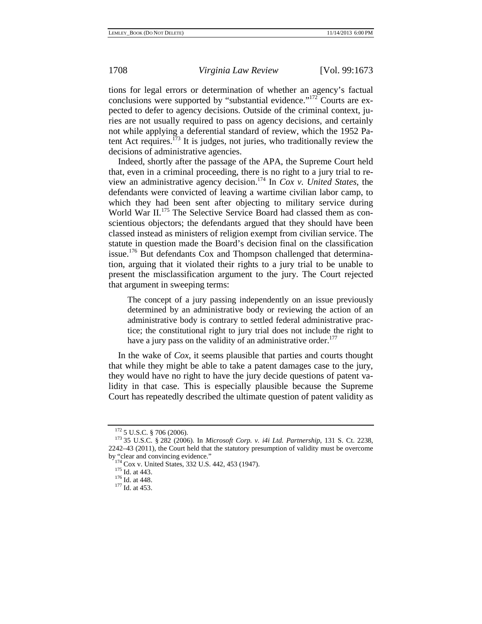tions for legal errors or determination of whether an agency's factual conclusions were supported by "substantial evidence."172 Courts are expected to defer to agency decisions. Outside of the criminal context, juries are not usually required to pass on agency decisions, and certainly not while applying a deferential standard of review, which the 1952 Patent Act requires.<sup> $173$ </sup> It is judges, not juries, who traditionally review the decisions of administrative agencies.

Indeed, shortly after the passage of the APA, the Supreme Court held that, even in a criminal proceeding, there is no right to a jury trial to review an administrative agency decision.174 In *Cox v. United States*, the defendants were convicted of leaving a wartime civilian labor camp, to which they had been sent after objecting to military service during World War II.<sup>175</sup> The Selective Service Board had classed them as conscientious objectors; the defendants argued that they should have been classed instead as ministers of religion exempt from civilian service. The statute in question made the Board's decision final on the classification issue.176 But defendants Cox and Thompson challenged that determination, arguing that it violated their rights to a jury trial to be unable to present the misclassification argument to the jury. The Court rejected that argument in sweeping terms:

The concept of a jury passing independently on an issue previously determined by an administrative body or reviewing the action of an administrative body is contrary to settled federal administrative practice; the constitutional right to jury trial does not include the right to have a jury pass on the validity of an administrative order.<sup>177</sup>

In the wake of *Cox*, it seems plausible that parties and courts thought that while they might be able to take a patent damages case to the jury, they would have no right to have the jury decide questions of patent validity in that case. This is especially plausible because the Supreme Court has repeatedly described the ultimate question of patent validity as

<sup>172</sup> 5 U.S.C. § 706 (2006). 173 35 U.S.C. § 282 (2006). In *Microsoft Corp. v. i4i Ltd. Partnership*, 131 S. Ct. 2238, 2242–43 (2011), the Court held that the statutory presumption of validity must be overcome by "clear and convincing evidence."<br>
<sup>174</sup> Cox v. United States, 332 U.S. 442, 453 (1947).<br>
<sup>175</sup> Id. at 443. <sup>176</sup> Id. at 448. <sup>177</sup> Id. at 453.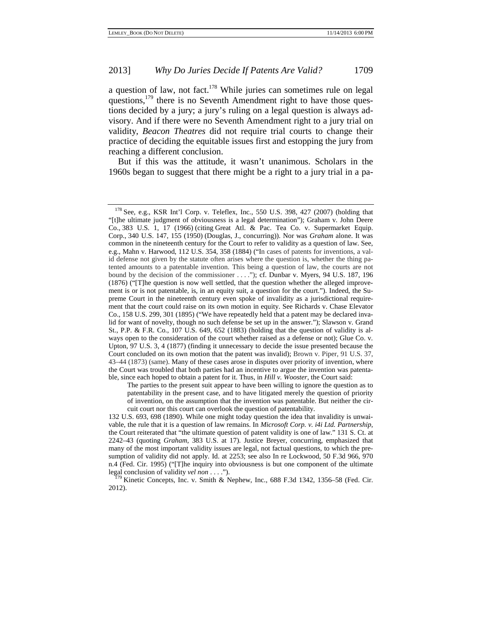a question of law, not fact.<sup>178</sup> While juries can sometimes rule on legal questions,<sup>179</sup> there is no Seventh Amendment right to have those questions decided by a jury; a jury's ruling on a legal question is always advisory. And if there were no Seventh Amendment right to a jury trial on validity, *Beacon Theatres* did not require trial courts to change their practice of deciding the equitable issues first and estopping the jury from reaching a different conclusion.

But if this was the attitude, it wasn't unanimous. Scholars in the 1960s began to suggest that there might be a right to a jury trial in a pa-

2012).

<sup>178</sup> See, e.g., KSR Int'l Corp. v. Teleflex, Inc., 550 U.S. 398, 427 (2007) (holding that "[t]he ultimate judgment of obviousness is a legal determination"); Graham v. John Deere Co., 383 U.S. 1, 17 (1966) (citing Great Atl. & Pac. Tea Co. v. Supermarket Equip. Corp., 340 U.S. 147, 155 (1950) (Douglas, J., concurring)). Nor was *Graham* alone. It was common in the nineteenth century for the Court to refer to validity as a question of law. See, e.g., Mahn v. Harwood, 112 U.S. 354, 358 (1884) ("In cases of patents for inventions, a valid defense not given by the statute often arises where the question is, whether the thing patented amounts to a patentable invention. This being a question of law, the courts are not bound by the decision of the commissioner . . . ."); cf. Dunbar v. Myers, 94 U.S. 187, 196 (1876) ("[T]he question is now well settled, that the question whether the alleged improvement is or is not patentable, is, in an equity suit, a question for the court."). Indeed, the Supreme Court in the nineteenth century even spoke of invalidity as a jurisdictional requirement that the court could raise on its own motion in equity. See Richards v. Chase Elevator Co., 158 U.S. 299, 301 (1895) ("We have repeatedly held that a patent may be declared invalid for want of novelty, though no such defense be set up in the answer."); Slawson v. Grand St., P.P. & F.R. Co., 107 U.S. 649, 652 (1883) (holding that the question of validity is always open to the consideration of the court whether raised as a defense or not); Glue Co. v. Upton, 97 U.S. 3, 4 (1877) (finding it unnecessary to decide the issue presented because the Court concluded on its own motion that the patent was invalid); Brown v. Piper, 91 U.S. 37, 43–44 (1873) (same). Many of these cases arose in disputes over priority of invention, where the Court was troubled that both parties had an incentive to argue the invention was patentable, since each hoped to obtain a patent for it. Thus, in *Hill v. Wooster*, the Court said:

The parties to the present suit appear to have been willing to ignore the question as to patentability in the present case, and to have litigated merely the question of priority of invention, on the assumption that the invention was patentable. But neither the circuit court nor this court can overlook the question of patentability.

<sup>132</sup> U.S. 693, 698 (1890). While one might today question the idea that invalidity is unwaivable, the rule that it is a question of law remains. In *Microsoft Corp. v. i4i Ltd. Partnership*, the Court reiterated that "the ultimate question of patent validity is one of law." 131 S. Ct. at 2242–43 (quoting *Graham*, 383 U.S. at 17). Justice Breyer, concurring, emphasized that many of the most important validity issues are legal, not factual questions, to which the presumption of validity did not apply. Id. at 2253; see also In re Lockwood, 50 F.3d 966, 970 n.4 (Fed. Cir. 1995) ("[T]he inquiry into obviousness is but one component of the ultimate legal conclusion of validity *vel non* . . . .").<br><sup>179</sup> Kinetic Concepts, Inc. v. Smith & Nephew, Inc., 688 F.3d 1342, 1356–58 (Fed. Cir.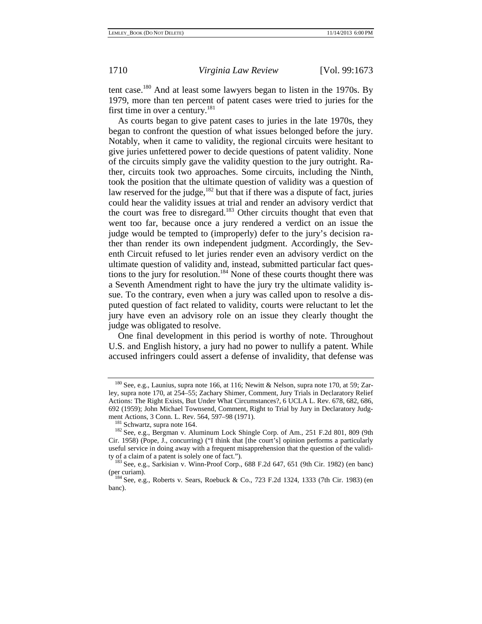tent case.<sup>180</sup> And at least some lawyers began to listen in the 1970s. By 1979, more than ten percent of patent cases were tried to juries for the first time in over a century. $^{181}$ 

As courts began to give patent cases to juries in the late 1970s, they began to confront the question of what issues belonged before the jury. Notably, when it came to validity, the regional circuits were hesitant to give juries unfettered power to decide questions of patent validity. None of the circuits simply gave the validity question to the jury outright. Rather, circuits took two approaches. Some circuits, including the Ninth, took the position that the ultimate question of validity was a question of law reserved for the judge, $182$  but that if there was a dispute of fact, juries could hear the validity issues at trial and render an advisory verdict that the court was free to disregard.<sup>183</sup> Other circuits thought that even that went too far, because once a jury rendered a verdict on an issue the judge would be tempted to (improperly) defer to the jury's decision rather than render its own independent judgment. Accordingly, the Seventh Circuit refused to let juries render even an advisory verdict on the ultimate question of validity and, instead, submitted particular fact questions to the jury for resolution.<sup>184</sup> None of these courts thought there was a Seventh Amendment right to have the jury try the ultimate validity issue. To the contrary, even when a jury was called upon to resolve a disputed question of fact related to validity, courts were reluctant to let the jury have even an advisory role on an issue they clearly thought the judge was obligated to resolve.

One final development in this period is worthy of note. Throughout U.S. and English history, a jury had no power to nullify a patent. While accused infringers could assert a defense of invalidity, that defense was

<sup>&</sup>lt;sup>180</sup> See, e.g., Launius, supra note 166, at 116; Newitt & Nelson, supra note 170, at 59; Zarley, supra note 170, at 254–55; Zachary Shimer, Comment, Jury Trials in Declaratory Relief Actions: The Right Exists, But Under What Circumstances?, 6 UCLA L. Rev. 678, 682, 686, 692 (1959); John Michael Townsend, Comment, Right to Trial by Jury in Declaratory Judg-

<sup>&</sup>lt;sup>181</sup> Schwartz, supra note 164.<br><sup>182</sup> See, e.g., Bergman v. Aluminum Lock Shingle Corp. of Am., 251 F.2d 801, 809 (9th Cir. 1958) (Pope, J., concurring) ("I think that [the court's] opinion performs a particularly useful service in doing away with a frequent misapprehension that the question of the validity of a claim of a patent is solely one of fact.").<br><sup>183</sup> See, e.g., Sarkisian v. Winn-Proof Corp., 688 F.2d 647, 651 (9th Cir. 1982) (en banc)

<sup>(</sup>per curiam).<br><sup>184</sup> See, e.g., Roberts v. Sears, Roebuck & Co., 723 F.2d 1324, 1333 (7th Cir. 1983) (en

banc).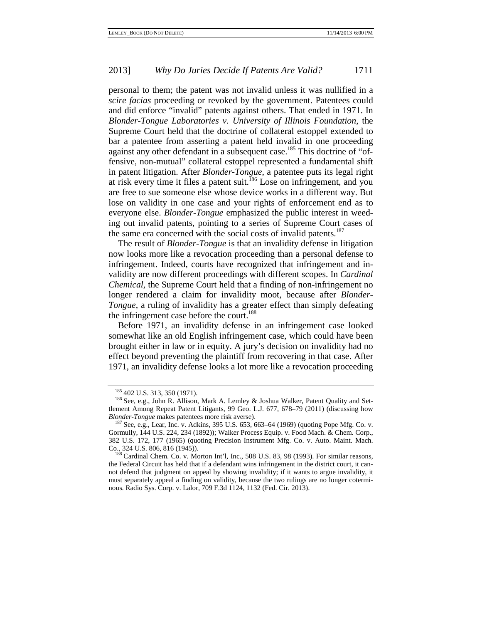personal to them; the patent was not invalid unless it was nullified in a *scire facias* proceeding or revoked by the government. Patentees could and did enforce "invalid" patents against others. That ended in 1971. In *Blonder-Tongue Laboratories v. University of Illinois Foundation*, the Supreme Court held that the doctrine of collateral estoppel extended to bar a patentee from asserting a patent held invalid in one proceeding against any other defendant in a subsequent case.<sup>185</sup> This doctrine of "offensive, non-mutual" collateral estoppel represented a fundamental shift in patent litigation. After *Blonder-Tongue*, a patentee puts its legal right at risk every time it files a patent suit.<sup>186</sup> Lose on infringement, and you are free to sue someone else whose device works in a different way. But lose on validity in one case and your rights of enforcement end as to everyone else. *Blonder-Tongue* emphasized the public interest in weeding out invalid patents, pointing to a series of Supreme Court cases of the same era concerned with the social costs of invalid patents.<sup>187</sup>

The result of *Blonder-Tongue* is that an invalidity defense in litigation now looks more like a revocation proceeding than a personal defense to infringement. Indeed, courts have recognized that infringement and invalidity are now different proceedings with different scopes. In *Cardinal Chemical*, the Supreme Court held that a finding of non-infringement no longer rendered a claim for invalidity moot, because after *Blonder-Tongue*, a ruling of invalidity has a greater effect than simply defeating the infringement case before the court.<sup>188</sup>

Before 1971, an invalidity defense in an infringement case looked somewhat like an old English infringement case, which could have been brought either in law or in equity. A jury's decision on invalidity had no effect beyond preventing the plaintiff from recovering in that case. After 1971, an invalidity defense looks a lot more like a revocation proceeding

<sup>&</sup>lt;sup>185</sup> 402 U.S. 313, 350 (1971).<br><sup>186</sup> See, e.g., John R. Allison, Mark A. Lemley & Joshua Walker, Patent Quality and Settlement Among Repeat Patent Litigants, 99 Geo. L.J. 677, 678–79 (2011) (discussing how *Blonder-Tongue* makes patentees more risk averse).

<sup>&</sup>lt;sup>187</sup> See, e.g., Lear, Inc. v. Adkins, 395 U.S. 653, 663–64 (1969) (quoting Pope Mfg. Co. v. Gormully, 144 U.S. 224, 234 (1892)); Walker Process Equip. v. Food Mach. & Chem. Corp., 382 U.S. 172, 177 (1965) (quoting Precision Instrument Mfg. Co. v. Auto. Maint. Mach. Co., 324 U.S. 806, 816 (1945)). 188 Cardinal Chem. Co. v. Morton Int'l, Inc., 508 U.S. 83, 98 (1993). For similar reasons,

the Federal Circuit has held that if a defendant wins infringement in the district court, it cannot defend that judgment on appeal by showing invalidity; if it wants to argue invalidity, it must separately appeal a finding on validity, because the two rulings are no longer coterminous. Radio Sys. Corp. v. Lalor, 709 F.3d 1124, 1132 (Fed. Cir. 2013).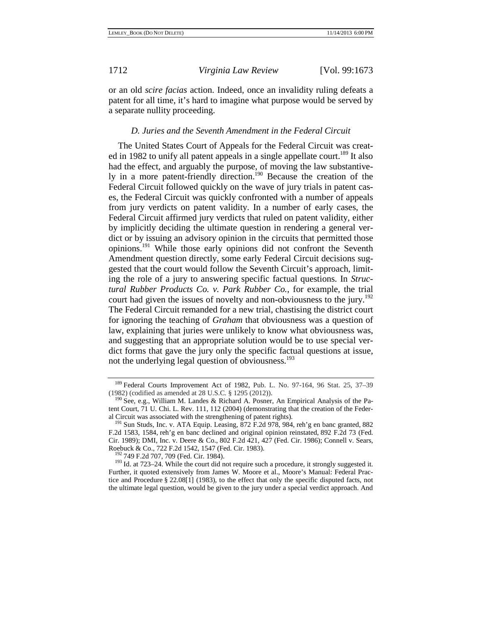or an old *scire facias* action. Indeed, once an invalidity ruling defeats a patent for all time, it's hard to imagine what purpose would be served by a separate nullity proceeding.

### *D. Juries and the Seventh Amendment in the Federal Circuit*

The United States Court of Appeals for the Federal Circuit was created in 1982 to unify all patent appeals in a single appellate court.<sup>189</sup> It also had the effect, and arguably the purpose, of moving the law substantively in a more patent-friendly direction.<sup>190</sup> Because the creation of the Federal Circuit followed quickly on the wave of jury trials in patent cases, the Federal Circuit was quickly confronted with a number of appeals from jury verdicts on patent validity. In a number of early cases, the Federal Circuit affirmed jury verdicts that ruled on patent validity, either by implicitly deciding the ultimate question in rendering a general verdict or by issuing an advisory opinion in the circuits that permitted those opinions.<sup>191</sup> While those early opinions did not confront the Seventh Amendment question directly, some early Federal Circuit decisions suggested that the court would follow the Seventh Circuit's approach, limiting the role of a jury to answering specific factual questions. In *Structural Rubber Products Co. v. Park Rubber Co.*, for example, the trial court had given the issues of novelty and non-obviousness to the jury.<sup>192</sup> The Federal Circuit remanded for a new trial, chastising the district court for ignoring the teaching of *Graham* that obviousness was a question of law, explaining that juries were unlikely to know what obviousness was, and suggesting that an appropriate solution would be to use special verdict forms that gave the jury only the specific factual questions at issue, not the underlying legal question of obviousness.<sup>193</sup>

Further, it quoted extensively from James W. Moore et al., Moore's Manual: Federal Practice and Procedure § 22.08[1] (1983), to the effect that only the specific disputed facts, not the ultimate legal question, would be given to the jury under a special verdict approach. And

<sup>189</sup> Federal Courts Improvement Act of 1982, Pub. L. No. 97-164, 96 Stat. 25, 37–39 (1982) (codified as amended at 28 U.S.C. § 1295 (2012)). <sup>190</sup> See, e.g., William M. Landes & Richard A. Posner, An Empirical Analysis of the Pa-

tent Court,  $71$  U. Chi. L. Rev. 111, 112 (2004) (demonstrating that the creation of the Feder-<br>al Circuit was associated with the strengthening of patent rights).

<sup>&</sup>lt;sup>191</sup> Sun Studs, Inc. v. ATA Equip. Leasing,  $872$  F.2d 978, 984, reh'g en banc granted, 882 F.2d 1583, 1584, reh'g en banc declined and original opinion reinstated, 892 F.2d 73 (Fed. Cir. 1989); DMI, Inc. v. Deere & Co., 802 F.2d 421, 427 (Fed. Cir. 1986); Connell v. Sears, Roebuck & Co., 722 F.2d 1542, 1547 (Fed. Cir. 1983). <sup>192</sup> 749 F.2d 707, 709 (Fed. Cir. 1984). <sup>193</sup> Id. at 723–24. While the court did not require such a procedure, it strongly suggested it.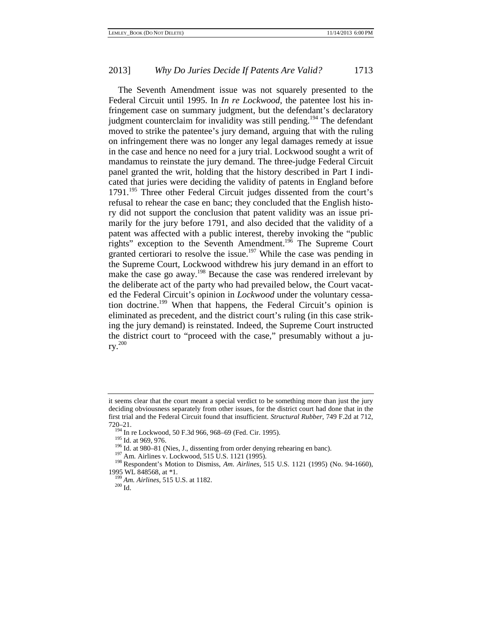The Seventh Amendment issue was not squarely presented to the Federal Circuit until 1995. In *In re Lockwood*, the patentee lost his infringement case on summary judgment, but the defendant's declaratory judgment counterclaim for invalidity was still pending.<sup>194</sup> The defendant moved to strike the patentee's jury demand, arguing that with the ruling on infringement there was no longer any legal damages remedy at issue in the case and hence no need for a jury trial. Lockwood sought a writ of mandamus to reinstate the jury demand. The three-judge Federal Circuit panel granted the writ, holding that the history described in Part I indicated that juries were deciding the validity of patents in England before 1791.195 Three other Federal Circuit judges dissented from the court's refusal to rehear the case en banc; they concluded that the English history did not support the conclusion that patent validity was an issue primarily for the jury before 1791, and also decided that the validity of a patent was affected with a public interest, thereby invoking the "public rights" exception to the Seventh Amendment.196 The Supreme Court granted certiorari to resolve the issue.<sup>197</sup> While the case was pending in the Supreme Court, Lockwood withdrew his jury demand in an effort to make the case go away.<sup>198</sup> Because the case was rendered irrelevant by the deliberate act of the party who had prevailed below, the Court vacated the Federal Circuit's opinion in *Lockwood* under the voluntary cessation doctrine.<sup>199</sup> When that happens, the Federal Circuit's opinion is eliminated as precedent, and the district court's ruling (in this case striking the jury demand) is reinstated. Indeed, the Supreme Court instructed the district court to "proceed with the case," presumably without a jury.<sup>200</sup>

it seems clear that the court meant a special verdict to be something more than just the jury deciding obviousness separately from other issues, for the district court had done that in the first trial and the Federal Circuit found that insufficient. *Structural Rubber*, 749 F.2d at 712,

<sup>720–21.&</sup>lt;br><sup>194</sup> In re Lockwood, 50 F.3d 966, 968–69 (Fed. Cir. 1995).<br><sup>195</sup> Id. at 969, 976.<br><sup>196</sup> Id. at 980–81 (Nies, J., dissenting from order denying rehearing en banc).<br><sup>197</sup> Am. Airlines v. Lockwood, 515 U.S. 1121 (19

<sup>1995</sup> WL 848568, at \*1.<br><sup>199</sup> *Am. Airlines*, 515 U.S. at 1182.<br><sup>200</sup> Id.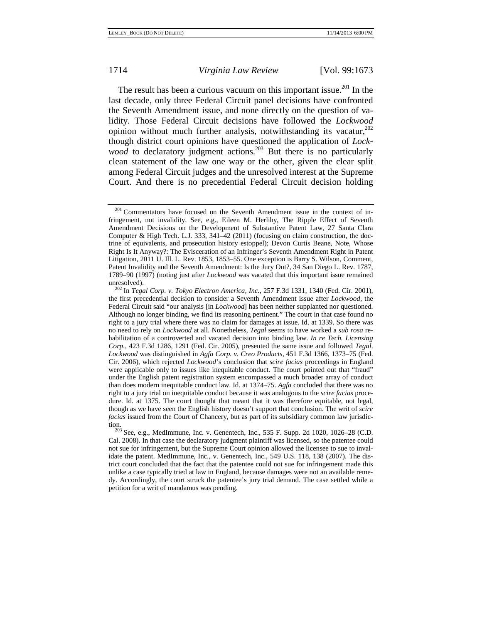The result has been a curious vacuum on this important issue.<sup>201</sup> In the last decade, only three Federal Circuit panel decisions have confronted the Seventh Amendment issue, and none directly on the question of validity. Those Federal Circuit decisions have followed the *Lockwood* opinion without much further analysis, notwithstanding its vacatur, $^{202}$ though district court opinions have questioned the application of *Lockwood* to declaratory judgment actions.<sup>203</sup> But there is no particularly clean statement of the law one way or the other, given the clear split among Federal Circuit judges and the unresolved interest at the Supreme Court. And there is no precedential Federal Circuit decision holding

<sup>&</sup>lt;sup>201</sup> Commentators have focused on the Seventh Amendment issue in the context of infringement, not invalidity. See, e.g., Eileen M. Herlihy, The Ripple Effect of Seventh Amendment Decisions on the Development of Substantive Patent Law, 27 Santa Clara Computer & High Tech. L.J. 333,  $341-42$  (2011) (focusing on claim construction, the doctrine of equivalents, and prosecution history estoppel); Devon Curtis Beane, Note, Whose Right Is It Anyway?: The Evisceration of an Infringer's Seventh Amendment Right in Patent Litigation, 2011 U. Ill. L. Rev. 1853, 1853–55. One exception is Barry S. Wilson, Comment, Patent Invalidity and the Seventh Amendment: Is the Jury Out?, 34 San Diego L. Rev. 1787, 1789–90 (1997) (noting just after *Lockwood* was vacated that this important issue remained

unresolved). 202 In *Tegal Corp. v. Tokyo Electron America, Inc.*, 257 F.3d 1331, 1340 (Fed. Cir. 2001), the first precedential decision to consider a Seventh Amendment issue after *Lockwood*, the Federal Circuit said "our analysis [in *Lockwood*] has been neither supplanted nor questioned. Although no longer binding, we find its reasoning pertinent." The court in that case found no right to a jury trial where there was no claim for damages at issue. Id. at 1339. So there was no need to rely on *Lockwood* at all. Nonetheless, *Tegal* seems to have worked a *sub rosa* rehabilitation of a controverted and vacated decision into binding law. *In re Tech. Licensing Corp.*, 423 F.3d 1286, 1291 (Fed. Cir. 2005), presented the same issue and followed *Tegal*. *Lockwood* was distinguished in *Agfa Corp. v. Creo Products*, 451 F.3d 1366, 1373–75 (Fed. Cir. 2006), which rejected *Lockwood*'s conclusion that *scire facias* proceedings in England were applicable only to issues like inequitable conduct. The court pointed out that "fraud" under the English patent registration system encompassed a much broader array of conduct than does modern inequitable conduct law. Id. at 1374–75. *Agfa* concluded that there was no right to a jury trial on inequitable conduct because it was analogous to the *scire facias* procedure. Id. at 1375. The court thought that meant that it was therefore equitable, not legal, though as we have seen the English history doesn't support that conclusion. The writ of *scire facias* issued from the Court of Chancery, but as part of its subsidiary common law jurisdiction.  $^{203}$  See, e.g., MedImmune, Inc. v. Genentech, Inc., 535 F. Supp. 2d 1020, 1026–28 (C.D.

Cal. 2008). In that case the declaratory judgment plaintiff was licensed, so the patentee could not sue for infringement, but the Supreme Court opinion allowed the licensee to sue to invalidate the patent. MedImmune, Inc., v. Genentech, Inc., 549 U.S. 118, 138 (2007). The district court concluded that the fact that the patentee could not sue for infringement made this unlike a case typically tried at law in England, because damages were not an available remedy. Accordingly, the court struck the patentee's jury trial demand. The case settled while a petition for a writ of mandamus was pending.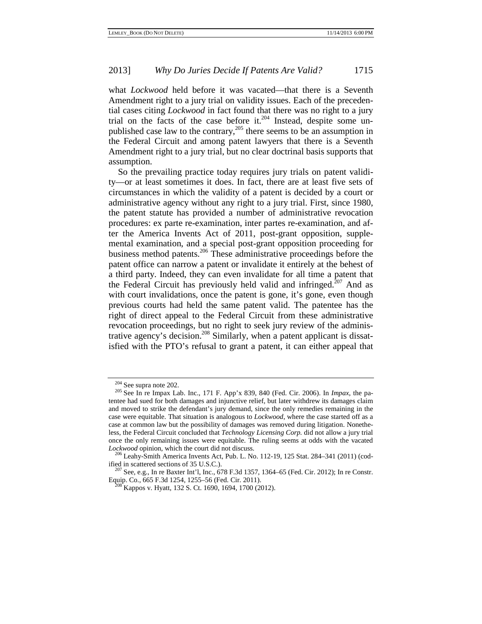what *Lockwood* held before it was vacated—that there is a Seventh Amendment right to a jury trial on validity issues. Each of the precedential cases citing *Lockwood* in fact found that there was no right to a jury trial on the facts of the case before it.<sup>204</sup> Instead, despite some unpublished case law to the contrary,<sup>205</sup> there seems to be an assumption in the Federal Circuit and among patent lawyers that there is a Seventh Amendment right to a jury trial, but no clear doctrinal basis supports that assumption.

So the prevailing practice today requires jury trials on patent validity—or at least sometimes it does. In fact, there are at least five sets of circumstances in which the validity of a patent is decided by a court or administrative agency without any right to a jury trial. First, since 1980, the patent statute has provided a number of administrative revocation procedures: ex parte re-examination, inter partes re-examination, and after the America Invents Act of 2011, post-grant opposition, supplemental examination, and a special post-grant opposition proceeding for business method patents.206 These administrative proceedings before the patent office can narrow a patent or invalidate it entirely at the behest of a third party. Indeed, they can even invalidate for all time a patent that the Federal Circuit has previously held valid and infringed.<sup>207</sup> And as with court invalidations, once the patent is gone, it's gone, even though previous courts had held the same patent valid. The patentee has the right of direct appeal to the Federal Circuit from these administrative revocation proceedings, but no right to seek jury review of the administrative agency's decision.<sup>208</sup> Similarly, when a patent applicant is dissatisfied with the PTO's refusal to grant a patent, it can either appeal that

<sup>&</sup>lt;sup>204</sup> See supra note 202.<br><sup>205</sup> See In re Impax Lab. Inc., 171 F. App'x 839, 840 (Fed. Cir. 2006). In *Impax*, the patentee had sued for both damages and injunctive relief, but later withdrew its damages claim and moved to strike the defendant's jury demand, since the only remedies remaining in the case were equitable. That situation is analogous to *Lockwood*, where the case started off as a case at common law but the possibility of damages was removed during litigation. Nonetheless, the Federal Circuit concluded that *Technology Licensing Corp.* did not allow a jury trial once the only remaining issues were equitable. The ruling seems at odds with the vacated

*Lockwood* opinion, which the court did not discuss.<br><sup>206</sup> Leahy-Smith America Invents Act, Pub. L. No. 112-19, 125 Stat. 284–341 (2011) (cod-

ified in scattered sections of 35 U.S.C.). <sup>207</sup> See, e.g., In re Baxter Int'l, Inc., 678 F.3d 1357, 1364–65 (Fed. Cir. 2012); In re Constr. Equip. Co., 665 F.3d 1254, 1255–56 (Fed. Cir. 2011). 208 Kappos v. Hyatt, 132 S. Ct. 1690, 1694, 1700 (2012).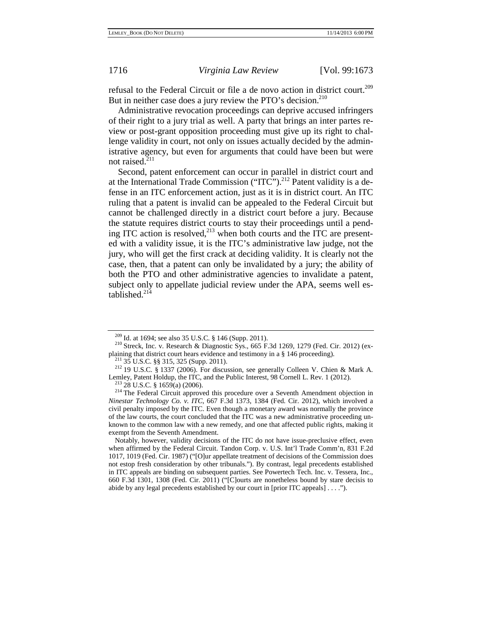refusal to the Federal Circuit or file a de novo action in district court.<sup>209</sup> But in neither case does a jury review the PTO's decision.<sup>210</sup>

Administrative revocation proceedings can deprive accused infringers of their right to a jury trial as well. A party that brings an inter partes review or post-grant opposition proceeding must give up its right to challenge validity in court, not only on issues actually decided by the administrative agency, but even for arguments that could have been but were not raised.<sup>211</sup>

Second, patent enforcement can occur in parallel in district court and at the International Trade Commission ("ITC").<sup>212</sup> Patent validity is a defense in an ITC enforcement action, just as it is in district court. An ITC ruling that a patent is invalid can be appealed to the Federal Circuit but cannot be challenged directly in a district court before a jury. Because the statute requires district courts to stay their proceedings until a pending ITC action is resolved, $^{213}$  when both courts and the ITC are presented with a validity issue, it is the ITC's administrative law judge, not the jury, who will get the first crack at deciding validity. It is clearly not the case, then, that a patent can only be invalidated by a jury; the ability of both the PTO and other administrative agencies to invalidate a patent, subject only to appellate judicial review under the APA, seems well established.214

 Notably, however, validity decisions of the ITC do not have issue-preclusive effect, even when affirmed by the Federal Circuit. Tandon Corp. v. U.S. Int'l Trade Comm'n, 831 F.2d 1017, 1019 (Fed. Cir. 1987) ("[O]ur appellate treatment of decisions of the Commission does not estop fresh consideration by other tribunals."). By contrast, legal precedents established in ITC appeals are binding on subsequent parties. See Powertech Tech. Inc. v. Tessera, Inc., 660 F.3d 1301, 1308 (Fed. Cir. 2011) ("[C]ourts are nonetheless bound by stare decisis to abide by any legal precedents established by our court in [prior ITC appeals] . . . .").

<sup>&</sup>lt;sup>209</sup> Id. at 1694; see also 35 U.S.C. § 146 (Supp. 2011).<br><sup>210</sup> Streck, Inc. v. Research & Diagnostic Sys., 665 F.3d 1269, 1279 (Fed. Cir. 2012) (ex-

plaining that district court hears evidence and testimony in a § 146 proceeding).<br><sup>211</sup> 35 U.S.C. §§ 315, 325 (Supp. 2011).<br><sup>212</sup> 19 U.S.C. § 1337 (2006). For discussion, see generally Colleen V. Chien & Mark A.<br>Lemley, Pa

<sup>&</sup>lt;sup>213</sup> 28 U.S.C. § 1659(a) (2006). <sup>213</sup> The Federal Circuit approved this procedure over a Seventh Amendment objection in *Ninestar Technology Co. v. ITC*, 667 F.3d 1373, 1384 (Fed. Cir. 2012), which involved a civil penalty imposed by the ITC. Even though a monetary award was normally the province of the law courts, the court concluded that the ITC was a new administrative proceeding unknown to the common law with a new remedy, and one that affected public rights, making it exempt from the Seventh Amendment.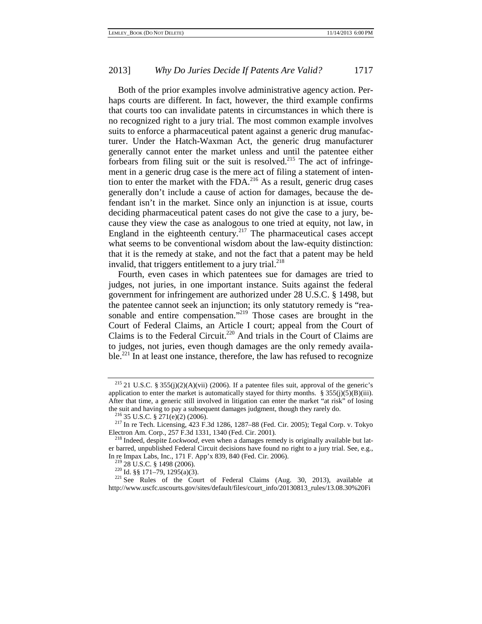Both of the prior examples involve administrative agency action. Perhaps courts are different. In fact, however, the third example confirms that courts too can invalidate patents in circumstances in which there is no recognized right to a jury trial. The most common example involves suits to enforce a pharmaceutical patent against a generic drug manufacturer. Under the Hatch-Waxman Act, the generic drug manufacturer generally cannot enter the market unless and until the patentee either forbears from filing suit or the suit is resolved.<sup>215</sup> The act of infringement in a generic drug case is the mere act of filing a statement of intention to enter the market with the  $FDA<sup>216</sup>$  As a result, generic drug cases generally don't include a cause of action for damages, because the defendant isn't in the market. Since only an injunction is at issue, courts deciding pharmaceutical patent cases do not give the case to a jury, because they view the case as analogous to one tried at equity, not law, in England in the eighteenth century.<sup>217</sup> The pharmaceutical cases accept what seems to be conventional wisdom about the law-equity distinction: that it is the remedy at stake, and not the fact that a patent may be held invalid, that triggers entitlement to a jury trial.<sup>218</sup>

Fourth, even cases in which patentees sue for damages are tried to judges, not juries, in one important instance. Suits against the federal government for infringement are authorized under 28 U.S.C. § 1498, but the patentee cannot seek an injunction; its only statutory remedy is "reasonable and entire compensation."219 Those cases are brought in the Court of Federal Claims, an Article I court; appeal from the Court of Claims is to the Federal Circuit.<sup>220</sup> And trials in the Court of Claims are to judges, not juries, even though damages are the only remedy available.<sup>221</sup> In at least one instance, therefore, the law has refused to recognize

<sup>&</sup>lt;sup>215</sup> 21 U.S.C. § 355(j)(2)(A)(vii) (2006). If a patentee files suit, approval of the generic's application to enter the market is automatically stayed for thirty months.  $\S 355(i)(5)(B)(iii)$ . After that time, a generic still involved in litigation can enter the market "at risk" of losing the suit and having to pay a subsequent damages judgment, though they rarely do.

<sup>&</sup>lt;sup>216</sup> 35 U.S.C. § 271(e)(2) (2006). <sup>217</sup> In re Tech. Licensing, 423 F.3d 1286, 1287–88 (Fed. Cir. 2005); Tegal Corp. v. Tokyo Electron Am. Corp., 257 F.3d 1331, 1340 (Fed. Cir. 2001).

<sup>&</sup>lt;sup>218</sup> Indeed, despite *Lockwood*, even when a damages remedy is originally available but later barred, unpublished Federal Circuit decisions have found no right to a jury trial. See, e.g., In re Impax Labs, Inc., 171 F. App'x 839, 840 (Fed. Cir. 2006).

<sup>&</sup>lt;sup>219</sup> 28 U.S.C. § 1498 (2006). <sup>220</sup> Id. §§ 171–79, 1295(a)(3). <sup>221</sup> See Rules of the Court of Federal Claims (Aug. 30, 2013), available at http://www.uscfc.uscourts.gov/sites/default/files/court\_info/20130813\_rules/13.08.30%20Fi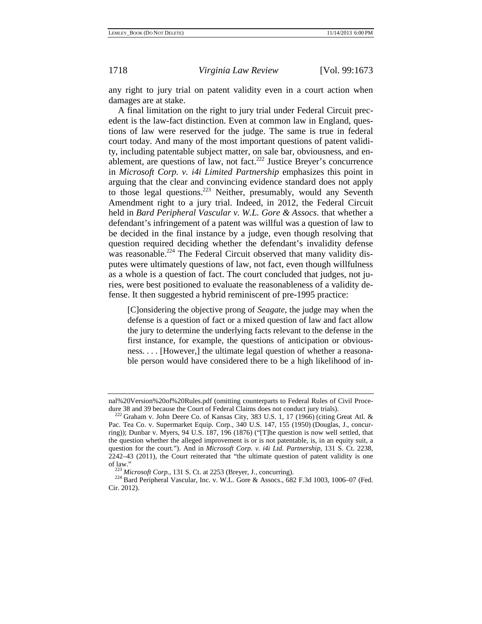any right to jury trial on patent validity even in a court action when damages are at stake.

A final limitation on the right to jury trial under Federal Circuit precedent is the law-fact distinction. Even at common law in England, questions of law were reserved for the judge. The same is true in federal court today. And many of the most important questions of patent validity, including patentable subject matter, on sale bar, obviousness, and enablement, are questions of law, not fact.<sup>222</sup> Justice Breyer's concurrence in *Microsoft Corp. v. i4i Limited Partnership* emphasizes this point in arguing that the clear and convincing evidence standard does not apply to those legal questions.<sup>223</sup> Neither, presumably, would any Seventh Amendment right to a jury trial. Indeed, in 2012, the Federal Circuit held in *Bard Peripheral Vascular v. W.L. Gore & Assocs*. that whether a defendant's infringement of a patent was willful was a question of law to be decided in the final instance by a judge, even though resolving that question required deciding whether the defendant's invalidity defense was reasonable.<sup>224</sup> The Federal Circuit observed that many validity disputes were ultimately questions of law, not fact, even though willfulness as a whole is a question of fact. The court concluded that judges, not juries, were best positioned to evaluate the reasonableness of a validity defense. It then suggested a hybrid reminiscent of pre-1995 practice:

[C]onsidering the objective prong of *Seagate*, the judge may when the defense is a question of fact or a mixed question of law and fact allow the jury to determine the underlying facts relevant to the defense in the first instance, for example, the questions of anticipation or obviousness. . . . [However,] the ultimate legal question of whether a reasonable person would have considered there to be a high likelihood of in-

nal%20Version%20of%20Rules.pdf (omitting counterparts to Federal Rules of Civil Procedure 38 and 39 because the Court of Federal Claims does not conduct jury trials).<br><sup>222</sup> Graham v. John Deere Co. of Kansas City, 383 U.S. 1, 17 (1966) (citing Great Atl. &

Pac. Tea Co. v. Supermarket Equip. Corp., 340 U.S. 147, 155 (1950) (Douglas, J., concurring)); Dunbar v. Myers, 94 U.S. 187, 196 (1876) ("[T]he question is now well settled, that the question whether the alleged improvement is or is not patentable, is, in an equity suit, a question for the court."). And in *Microsoft Corp. v. i4i Ltd. Partnership*, 131 S. Ct. 2238, 2242–43 (2011), the Court reiterated that "the ultimate question of patent validity is one

of law."<br><sup>223</sup> *Microsoft Corp.*, 131 S. Ct. at 2253 (Breyer, J., concurring).<br><sup>224</sup> Bard Peripheral Vascular, Inc. v. W.L. Gore & Assocs., 682 F.3d 1003, 1006–07 (Fed. Cir. 2012).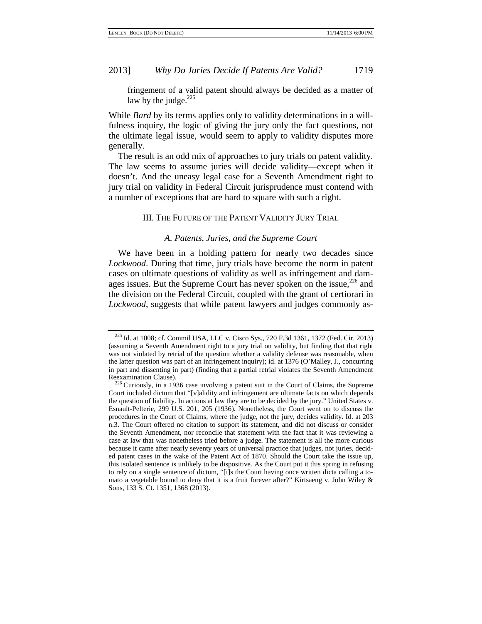fringement of a valid patent should always be decided as a matter of law by the judge. $225$ 

While *Bard* by its terms applies only to validity determinations in a willfulness inquiry, the logic of giving the jury only the fact questions, not the ultimate legal issue, would seem to apply to validity disputes more generally.

The result is an odd mix of approaches to jury trials on patent validity. The law seems to assume juries will decide validity—except when it doesn't. And the uneasy legal case for a Seventh Amendment right to jury trial on validity in Federal Circuit jurisprudence must contend with a number of exceptions that are hard to square with such a right.

### III. THE FUTURE OF THE PATENT VALIDITY JURY TRIAL

### *A. Patents, Juries, and the Supreme Court*

We have been in a holding pattern for nearly two decades since *Lockwood*. During that time, jury trials have become the norm in patent cases on ultimate questions of validity as well as infringement and damages issues. But the Supreme Court has never spoken on the issue,<sup>226</sup> and the division on the Federal Circuit, coupled with the grant of certiorari in *Lockwood*, suggests that while patent lawyers and judges commonly as-

<sup>225</sup> Id. at 1008; cf. Commil USA, LLC v. Cisco Sys., 720 F.3d 1361, 1372 (Fed. Cir. 2013) (assuming a Seventh Amendment right to a jury trial on validity, but finding that that right was not violated by retrial of the question whether a validity defense was reasonable, when the latter question was part of an infringement inquiry); id. at 1376 (O'Malley, J., concurring in part and dissenting in part) (finding that a partial retrial violates the Seventh Amendment Reexamination Clause).<br><sup>226</sup> Curiously, in a 1936 case involving a patent suit in the Court of Claims, the Supreme

Court included dictum that "[v]alidity and infringement are ultimate facts on which depends the question of liability. In actions at law they are to be decided by the jury." United States v. Esnault-Pelterie, 299 U.S. 201, 205 (1936). Nonetheless, the Court went on to discuss the procedures in the Court of Claims, where the judge, not the jury, decides validity. Id. at 203 n.3. The Court offered no citation to support its statement, and did not discuss or consider the Seventh Amendment, nor reconcile that statement with the fact that it was reviewing a case at law that was nonetheless tried before a judge. The statement is all the more curious because it came after nearly seventy years of universal practice that judges, not juries, decided patent cases in the wake of the Patent Act of 1870. Should the Court take the issue up, this isolated sentence is unlikely to be dispositive. As the Court put it this spring in refusing to rely on a single sentence of dictum, "[i]s the Court having once written dicta calling a tomato a vegetable bound to deny that it is a fruit forever after?" Kirtsaeng v. John Wiley & Sons, 133 S. Ct. 1351, 1368 (2013).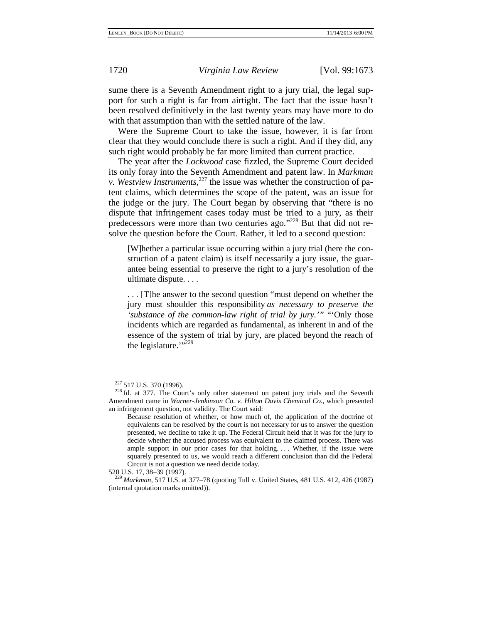sume there is a Seventh Amendment right to a jury trial, the legal support for such a right is far from airtight. The fact that the issue hasn't been resolved definitively in the last twenty years may have more to do with that assumption than with the settled nature of the law.

Were the Supreme Court to take the issue, however, it is far from clear that they would conclude there is such a right. And if they did, any such right would probably be far more limited than current practice.

The year after the *Lockwood* case fizzled, the Supreme Court decided its only foray into the Seventh Amendment and patent law. In *Markman v.* Westview Instruments,<sup>227</sup> the issue was whether the construction of patent claims, which determines the scope of the patent, was an issue for the judge or the jury. The Court began by observing that "there is no dispute that infringement cases today must be tried to a jury, as their predecessors were more than two centuries ago."<sup>228</sup> But that did not resolve the question before the Court. Rather, it led to a second question:

[W]hether a particular issue occurring within a jury trial (here the construction of a patent claim) is itself necessarily a jury issue, the guarantee being essential to preserve the right to a jury's resolution of the ultimate dispute. . . .

. . . [T]he answer to the second question "must depend on whether the jury must shoulder this responsibility *as necessary to preserve the 'substance of the common-law right of trial by jury.'"* "'Only those incidents which are regarded as fundamental, as inherent in and of the essence of the system of trial by jury, are placed beyond the reach of the legislature."<sup>229</sup>

 $227$  517 U.S. 370 (1996).<br> $228$  Id. at 377. The Court's only other statement on patent jury trials and the Seventh Amendment came in *Warner-Jenkinson Co. v. Hilton Davis Chemical Co.*, which presented an infringement question, not validity. The Court said:

Because resolution of whether, or how much of, the application of the doctrine of equivalents can be resolved by the court is not necessary for us to answer the question presented, we decline to take it up. The Federal Circuit held that it was for the jury to decide whether the accused process was equivalent to the claimed process. There was ample support in our prior cases for that holding. . . . Whether, if the issue were squarely presented to us, we would reach a different conclusion than did the Federal Circuit is not a question we need decide today.

<sup>520</sup> U.S. 17, 38–39 (1997). 229 *Markman*, 517 U.S. at 377–78 (quoting Tull v. United States, 481 U.S. 412, 426 (1987) (internal quotation marks omitted)).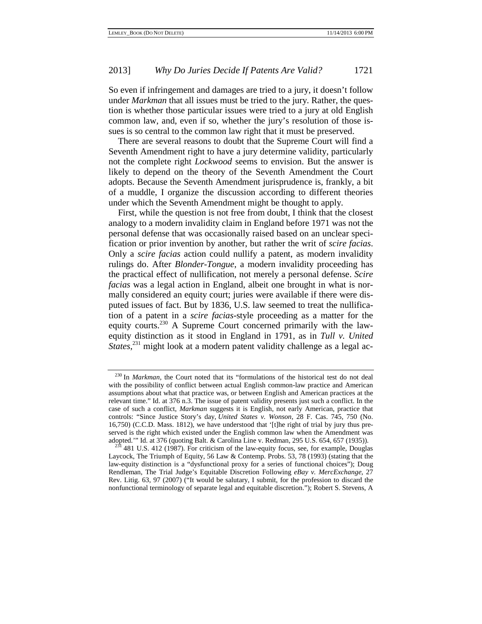So even if infringement and damages are tried to a jury, it doesn't follow under *Markman* that all issues must be tried to the jury. Rather, the question is whether those particular issues were tried to a jury at old English common law, and, even if so, whether the jury's resolution of those issues is so central to the common law right that it must be preserved.

There are several reasons to doubt that the Supreme Court will find a Seventh Amendment right to have a jury determine validity, particularly not the complete right *Lockwood* seems to envision. But the answer is likely to depend on the theory of the Seventh Amendment the Court adopts. Because the Seventh Amendment jurisprudence is, frankly, a bit of a muddle, I organize the discussion according to different theories under which the Seventh Amendment might be thought to apply.

First, while the question is not free from doubt, I think that the closest analogy to a modern invalidity claim in England before 1971 was not the personal defense that was occasionally raised based on an unclear specification or prior invention by another, but rather the writ of *scire facias*. Only a *scire facias* action could nullify a patent, as modern invalidity rulings do. After *Blonder-Tongue*, a modern invalidity proceeding has the practical effect of nullification, not merely a personal defense. *Scire facias* was a legal action in England, albeit one brought in what is normally considered an equity court; juries were available if there were disputed issues of fact. But by 1836, U.S. law seemed to treat the nullification of a patent in a *scire facias*-style proceeding as a matter for the equity courts.<sup>230</sup> A Supreme Court concerned primarily with the lawequity distinction as it stood in England in 1791, as in *Tull v. United States*, 231 might look at a modern patent validity challenge as a legal ac-

<sup>&</sup>lt;sup>230</sup> In *Markman*, the Court noted that its "formulations of the historical test do not deal with the possibility of conflict between actual English common-law practice and American assumptions about what that practice was, or between English and American practices at the relevant time." Id. at 376 n.3. The issue of patent validity presents just such a conflict. In the case of such a conflict, *Markman* suggests it is English, not early American, practice that controls: "Since Justice Story's day, *United States v. Wonson*, 28 F. Cas. 745, 750 (No. 16,750) (C.C.D. Mass. 1812), we have understood that '[t]he right of trial by jury thus preserved is the right which existed under the English common law when the Amendment was

adopted.'" Id. at 376 (quoting Balt. & Carolina Line v. Redman, 295 U.S. 654, 657 (1935)). 231 481 U.S. 412 (1987). For criticism of the law-equity focus, see, for example, Douglas Laycock, The Triumph of Equity, 56 Law & Contemp. Probs. 53, 78 (1993) (stating that the law-equity distinction is a "dysfunctional proxy for a series of functional choices"); Doug Rendleman, The Trial Judge's Equitable Discretion Following *eBay v. MercExchange*, 27 Rev. Litig. 63, 97 (2007) ("It would be salutary, I submit, for the profession to discard the nonfunctional terminology of separate legal and equitable discretion."); Robert S. Stevens, A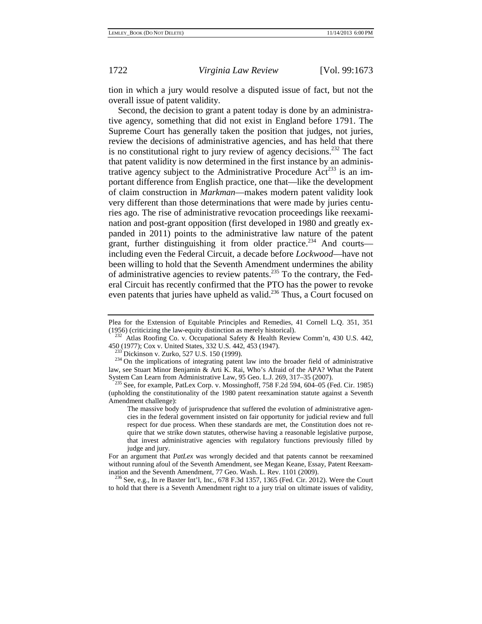tion in which a jury would resolve a disputed issue of fact, but not the overall issue of patent validity.

Second, the decision to grant a patent today is done by an administrative agency, something that did not exist in England before 1791. The Supreme Court has generally taken the position that judges, not juries, review the decisions of administrative agencies, and has held that there is no constitutional right to jury review of agency decisions.<sup>232</sup> The fact that patent validity is now determined in the first instance by an administrative agency subject to the Administrative Procedure  $Act^{233}$  is an important difference from English practice, one that—like the development of claim construction in *Markman*—makes modern patent validity look very different than those determinations that were made by juries centuries ago. The rise of administrative revocation proceedings like reexamination and post-grant opposition (first developed in 1980 and greatly expanded in 2011) points to the administrative law nature of the patent grant, further distinguishing it from older practice.<sup>234</sup> And courts including even the Federal Circuit, a decade before *Lockwood*—have not been willing to hold that the Seventh Amendment undermines the ability of administrative agencies to review patents.235 To the contrary, the Federal Circuit has recently confirmed that the PTO has the power to revoke even patents that juries have upheld as valid.<sup>236</sup> Thus, a Court focused on

to hold that there is a Seventh Amendment right to a jury trial on ultimate issues of validity,

Plea for the Extension of Equitable Principles and Remedies, 41 Cornell L.Q. 351, 351

<sup>(1956) (</sup>criticizing the law-equity distinction as merely historical).<br><sup>232</sup> Atlas Roofing Co. v. Occupational Safety & Health Review Comm'n, 430 U.S. 442,<br>450 (1977); Cox v. United States, 332 U.S. 442, 453 (1947).

 $\frac{233}{233}$  Dickinson v. Zurko, 527 U.S. 150 (1999).  $\frac{234}{24}$  On the implications of integrating patent law into the broader field of administrative law, see Stuart Minor Benjamin & Arti K. Rai, Who's Afraid of the APA? What the Patent System Can Learn from Administrative Law, 95 Geo. L.J. 269, 317–35 (2007).<br><sup>235</sup> See, for example, PatLex Corp. v. Mossinghoff, 758 F.2d 594, 604–05 (Fed. Cir. 1985)

<sup>(</sup>upholding the constitutionality of the 1980 patent reexamination statute against a Seventh Amendment challenge):

The massive body of jurisprudence that suffered the evolution of administrative agencies in the federal government insisted on fair opportunity for judicial review and full respect for due process. When these standards are met, the Constitution does not require that we strike down statutes, otherwise having a reasonable legislative purpose, that invest administrative agencies with regulatory functions previously filled by judge and jury.

For an argument that *PatLex* was wrongly decided and that patents cannot be reexamined without running afoul of the Seventh Amendment, see Megan Keane, Essay, Patent Reexamination and the Seventh Amendment, 77 Geo. Wash. L. Rev. 1101 (2009).<br><sup>236</sup> See, e.g., In re Baxter Int'l, Inc., 678 F.3d 1357, 1365 (Fed. Cir. 2012). Were the Court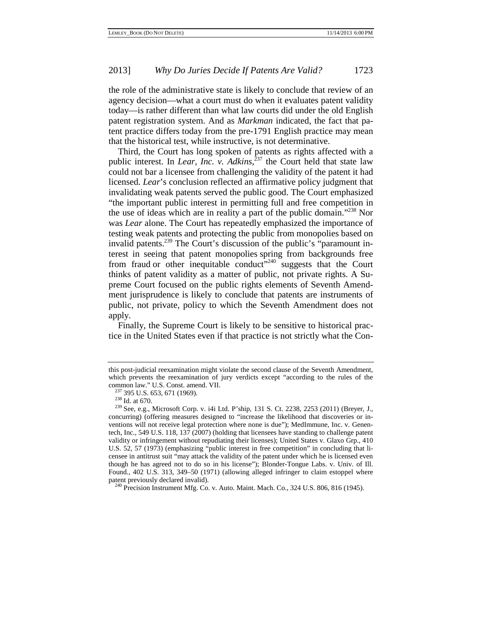the role of the administrative state is likely to conclude that review of an agency decision—what a court must do when it evaluates patent validity today—is rather different than what law courts did under the old English patent registration system. And as *Markman* indicated, the fact that patent practice differs today from the pre-1791 English practice may mean that the historical test, while instructive, is not determinative.

Third, the Court has long spoken of patents as rights affected with a public interest. In *Lear, Inc. v. Adkins*, <sup>237</sup> the Court held that state law could not bar a licensee from challenging the validity of the patent it had licensed. *Lear*'s conclusion reflected an affirmative policy judgment that invalidating weak patents served the public good. The Court emphasized "the important public interest in permitting full and free competition in the use of ideas which are in reality a part of the public domain."<sup>238</sup> Nor was *Lear* alone. The Court has repeatedly emphasized the importance of testing weak patents and protecting the public from monopolies based on invalid patents.<sup>239</sup> The Court's discussion of the public's "paramount interest in seeing that patent monopolies spring from backgrounds free from fraud or other inequitable conduct<sup> $3240$ </sup> suggests that the Court thinks of patent validity as a matter of public, not private rights. A Supreme Court focused on the public rights elements of Seventh Amendment jurisprudence is likely to conclude that patents are instruments of public, not private, policy to which the Seventh Amendment does not apply.

Finally, the Supreme Court is likely to be sensitive to historical practice in the United States even if that practice is not strictly what the Con-

this post-judicial reexamination might violate the second clause of the Seventh Amendment, which prevents the reexamination of jury verdicts except "according to the rules of the common law." U.S. Const. amend. VII.

<sup>&</sup>lt;sup>237</sup> 395 U.S. 653, 671 (1969).<br><sup>238</sup> Id. at 670.<br><sup>239</sup> See, e.g., Microsoft Corp. v. i4i Ltd. P'ship, 131 S. Ct. 2238, 2253 (2011) (Breyer, J., concurring) (offering measures designed to "increase the likelihood that discoveries or inventions will not receive legal protection where none is due"); MedImmune, Inc. v. Genentech, Inc., 549 U.S. 118, 137 (2007) (holding that licensees have standing to challenge patent validity or infringement without repudiating their licenses); United States v. Glaxo Grp., 410 U.S. 52, 57 (1973) (emphasizing "public interest in free competition" in concluding that licensee in antitrust suit "may attack the validity of the patent under which he is licensed even though he has agreed not to do so in his license"); Blonder-Tongue Labs. v. Univ. of Ill. Found., 402 U.S. 313, 349–50 (1971) (allowing alleged infringer to claim estoppel where

patent previously declared invalid).<br><sup>240</sup> Precision Instrument Mfg. Co. v. Auto. Maint. Mach. Co., 324 U.S. 806, 816 (1945).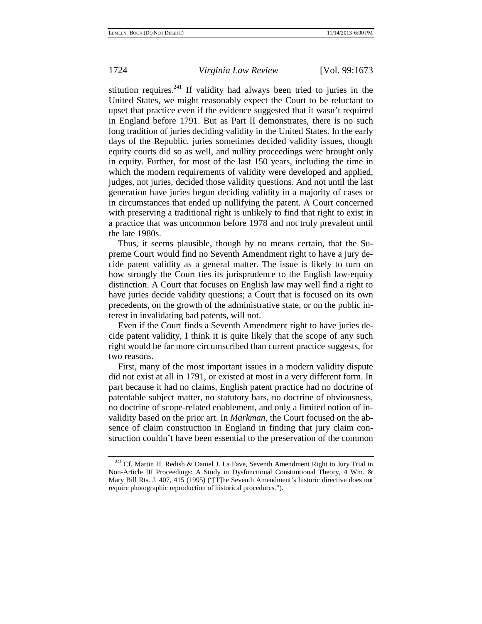stitution requires.<sup>241</sup> If validity had always been tried to juries in the United States, we might reasonably expect the Court to be reluctant to upset that practice even if the evidence suggested that it wasn't required in England before 1791. But as Part II demonstrates, there is no such long tradition of juries deciding validity in the United States. In the early days of the Republic, juries sometimes decided validity issues, though equity courts did so as well, and nullity proceedings were brought only in equity. Further, for most of the last 150 years, including the time in which the modern requirements of validity were developed and applied, judges, not juries, decided those validity questions. And not until the last generation have juries begun deciding validity in a majority of cases or in circumstances that ended up nullifying the patent. A Court concerned with preserving a traditional right is unlikely to find that right to exist in a practice that was uncommon before 1978 and not truly prevalent until the late 1980s.

Thus, it seems plausible, though by no means certain, that the Supreme Court would find no Seventh Amendment right to have a jury decide patent validity as a general matter. The issue is likely to turn on how strongly the Court ties its jurisprudence to the English law-equity distinction. A Court that focuses on English law may well find a right to have juries decide validity questions; a Court that is focused on its own precedents, on the growth of the administrative state, or on the public interest in invalidating bad patents, will not.

Even if the Court finds a Seventh Amendment right to have juries decide patent validity, I think it is quite likely that the scope of any such right would be far more circumscribed than current practice suggests, for two reasons.

First, many of the most important issues in a modern validity dispute did not exist at all in 1791, or existed at most in a very different form. In part because it had no claims, English patent practice had no doctrine of patentable subject matter, no statutory bars, no doctrine of obviousness, no doctrine of scope-related enablement, and only a limited notion of invalidity based on the prior art. In *Markman*, the Court focused on the absence of claim construction in England in finding that jury claim construction couldn't have been essential to the preservation of the common

<sup>&</sup>lt;sup>241</sup> Cf. Martin H. Redish & Daniel J. La Fave, Seventh Amendment Right to Jury Trial in Non-Article III Proceedings: A Study in Dysfunctional Constitutional Theory, 4 Wm. & Mary Bill Rts. J. 407, 415 (1995) ("[T]he Seventh Amendment's historic directive does not require photographic reproduction of historical procedures.").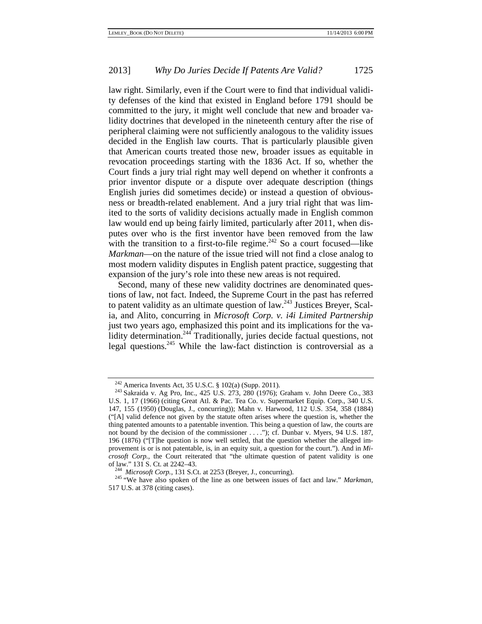law right. Similarly, even if the Court were to find that individual validity defenses of the kind that existed in England before 1791 should be committed to the jury, it might well conclude that new and broader validity doctrines that developed in the nineteenth century after the rise of peripheral claiming were not sufficiently analogous to the validity issues decided in the English law courts. That is particularly plausible given that American courts treated those new, broader issues as equitable in revocation proceedings starting with the 1836 Act. If so, whether the Court finds a jury trial right may well depend on whether it confronts a prior inventor dispute or a dispute over adequate description (things English juries did sometimes decide) or instead a question of obviousness or breadth-related enablement. And a jury trial right that was limited to the sorts of validity decisions actually made in English common law would end up being fairly limited, particularly after 2011, when disputes over who is the first inventor have been removed from the law with the transition to a first-to-file regime.<sup> $242$ </sup> So a court focused—like *Markman*—on the nature of the issue tried will not find a close analog to most modern validity disputes in English patent practice, suggesting that expansion of the jury's role into these new areas is not required.

Second, many of these new validity doctrines are denominated questions of law, not fact. Indeed, the Supreme Court in the past has referred to patent validity as an ultimate question of  $law<sup>243</sup>$  Justices Breyer, Scalia, and Alito, concurring in *Microsoft Corp. v. i4i Limited Partnership* just two years ago, emphasized this point and its implications for the validity determination.<sup>244</sup> Traditionally, juries decide factual questions, not legal questions.245 While the law-fact distinction is controversial as a

<sup>&</sup>lt;sup>242</sup> America Invents Act, 35 U.S.C. § 102(a) (Supp. 2011).<br><sup>243</sup> Sakraida v. Ag Pro, Inc., 425 U.S. 273, 280 (1976); Graham v. John Deere Co., 383 U.S. 1, 17 (1966) (citing Great Atl. & Pac. Tea Co. v. Supermarket Equip. Corp., 340 U.S. 147, 155 (1950) (Douglas, J., concurring)); Mahn v. Harwood, 112 U.S. 354, 358 (1884) ("[A] valid defence not given by the statute often arises where the question is, whether the thing patented amounts to a patentable invention. This being a question of law, the courts are not bound by the decision of the commissioner . . . ."); cf. Dunbar v. Myers, 94 U.S. 187, 196 (1876) ("[T]he question is now well settled, that the question whether the alleged improvement is or is not patentable, is, in an equity suit, a question for the court."). And in *Microsoft Corp.*, the Court reiterated that "the ultimate question of patent validity is one

of law." 131 S. Ct. at 2242–43. 244 *Microsoft Corp.*, 131 S.Ct. at 2253 (Breyer, J., concurring). 245 "We have also spoken of the line as one between issues of fact and law." *Markman*, 517 U.S. at 378 (citing cases).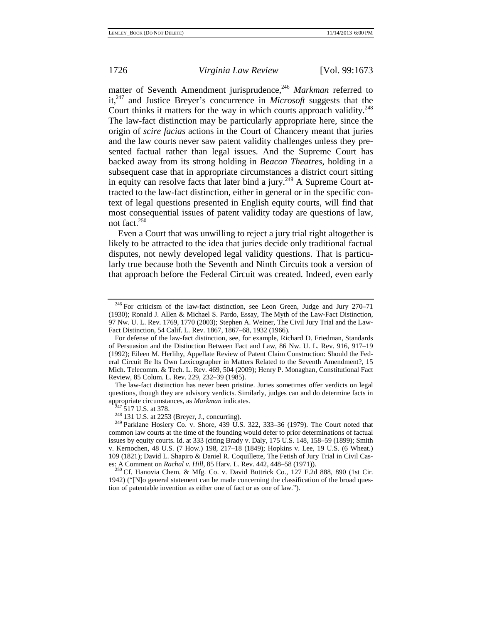matter of Seventh Amendment jurisprudence,<sup>246</sup> Markman referred to it,247 and Justice Breyer's concurrence in *Microsoft* suggests that the Court thinks it matters for the way in which courts approach validity.<sup>248</sup> The law-fact distinction may be particularly appropriate here, since the origin of *scire facias* actions in the Court of Chancery meant that juries and the law courts never saw patent validity challenges unless they presented factual rather than legal issues. And the Supreme Court has backed away from its strong holding in *Beacon Theatres*, holding in a subsequent case that in appropriate circumstances a district court sitting in equity can resolve facts that later bind a jury.<sup>249</sup> A Supreme Court attracted to the law-fact distinction, either in general or in the specific context of legal questions presented in English equity courts, will find that most consequential issues of patent validity today are questions of law, not fact.<sup>250</sup>

Even a Court that was unwilling to reject a jury trial right altogether is likely to be attracted to the idea that juries decide only traditional factual disputes, not newly developed legal validity questions. That is particularly true because both the Seventh and Ninth Circuits took a version of that approach before the Federal Circuit was created. Indeed, even early

<sup>246</sup> For criticism of the law-fact distinction, see Leon Green, Judge and Jury 270–71 (1930); Ronald J. Allen & Michael S. Pardo, Essay, The Myth of the Law-Fact Distinction, 97 Nw. U. L. Rev. 1769, 1770 (2003); Stephen A. Weiner, The Civil Jury Trial and the Law-Fact Distinction, 54 Calif. L. Rev. 1867, 1867–68, 1932 (1966).

For defense of the law-fact distinction, see, for example, Richard D. Friedman, Standards of Persuasion and the Distinction Between Fact and Law, 86 Nw. U. L. Rev. 916, 917–19 (1992); Eileen M. Herlihy, Appellate Review of Patent Claim Construction: Should the Federal Circuit Be Its Own Lexicographer in Matters Related to the Seventh Amendment?, 15 Mich. Telecomm. & Tech. L. Rev. 469, 504 (2009); Henry P. Monaghan, Constitutional Fact Review, 85 Colum. L. Rev. 229, 232–39 (1985).

The law-fact distinction has never been pristine. Juries sometimes offer verdicts on legal questions, though they are advisory verdicts. Similarly, judges can and do determine facts in appropriate circumstances, as *Markman* indicates.<br><sup>247</sup> 517 U.S. at 378.<br><sup>248</sup> 131 U.S. at 2253 (Breyer, J., concurring).<br><sup>249</sup> Parklane Hosiery Co. v. Shore, 439 U.S. 322, 333–36 (1979). The Court noted that

common law courts at the time of the founding would defer to prior determinations of factual issues by equity courts. Id. at 333 (citing Brady v. Daly, 175 U.S. 148, 158–59 (1899); Smith v. Kernochen, 48 U.S. (7 How.) 198, 217–18 (1849); Hopkins v. Lee, 19 U.S. (6 Wheat.) 109 (1821); David L. Shapiro & Daniel R. Coquillette, The Fetish of Jury Trial in Civil Cas-<br>es: A Comment on *Rachal v. Hill*, 85 Harv. L. Rev. 442, 448–58 (1971)).

<sup>&</sup>lt;sup>250</sup> Cf. Hanovia Chem. & Mfg. Co. v. David Buttrick Co., 127 F.2d 888, 890 (1st Cir. 1942) ("[N]o general statement can be made concerning the classification of the broad question of patentable invention as either one of fact or as one of law.").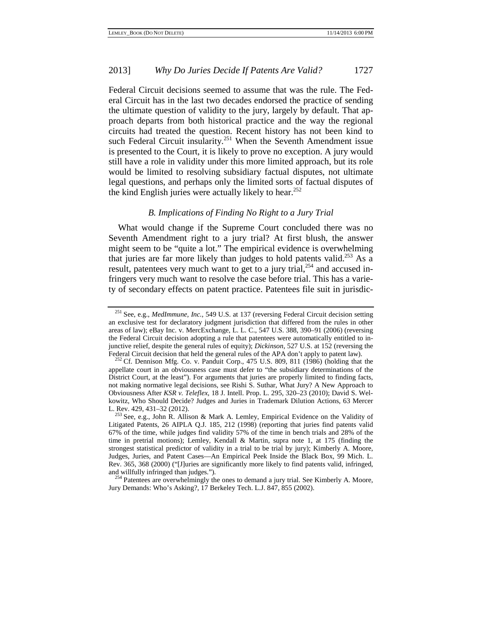Federal Circuit decisions seemed to assume that was the rule. The Federal Circuit has in the last two decades endorsed the practice of sending the ultimate question of validity to the jury, largely by default. That approach departs from both historical practice and the way the regional circuits had treated the question. Recent history has not been kind to such Federal Circuit insularity.<sup>251</sup> When the Seventh Amendment issue is presented to the Court, it is likely to prove no exception. A jury would still have a role in validity under this more limited approach, but its role would be limited to resolving subsidiary factual disputes, not ultimate legal questions, and perhaps only the limited sorts of factual disputes of the kind English juries were actually likely to hear.<sup>252</sup>

# *B. Implications of Finding No Right to a Jury Trial*

What would change if the Supreme Court concluded there was no Seventh Amendment right to a jury trial? At first blush, the answer might seem to be "quite a lot." The empirical evidence is overwhelming that juries are far more likely than judges to hold patents valid.<sup>253</sup> As a result, patentees very much want to get to a jury trial,<sup>254</sup> and accused infringers very much want to resolve the case before trial. This has a variety of secondary effects on patent practice. Patentees file suit in jurisdic-

<sup>251</sup> See, e.g., *MedImmune, Inc.*, 549 U.S. at 137 (reversing Federal Circuit decision setting an exclusive test for declaratory judgment jurisdiction that differed from the rules in other areas of law); eBay Inc. v. MercExchange, L. L. C., 547 U.S. 388, 390–91 (2006) (reversing the Federal Circuit decision adopting a rule that patentees were automatically entitled to injunctive relief, despite the general rules of equity); *Dickinson*, 527 U.S. at 152 (reversing the

Federal Circuit decision that held the general rules of the APA don't apply to patent law). <sup>252</sup> Cf. Dennison Mfg. Co. v. Panduit Corp., 475 U.S. 809, 811 (1986) (holding that the appellate court in an obviousness case must defer to "the subsidiary determinations of the District Court, at the least"). For arguments that juries are properly limited to finding facts, not making normative legal decisions, see Rishi S. Suthar, What Jury? A New Approach to Obviousness After *KSR v. Teleflex*, 18 J. Intell. Prop. L. 295, 320–23 (2010); David S. Welkowitz, Who Should Decide? Judges and Juries in Trademark Dilution Actions, 63 Mercer L. Rev. 429, 431–32 (2012).<br><sup>253</sup> See, e.g., John R. Allison & Mark A. Lemley, Empirical Evidence on the Validity of

Litigated Patents, 26 AIPLA Q.J. 185, 212 (1998) (reporting that juries find patents valid 67% of the time, while judges find validity 57% of the time in bench trials and 28% of the time in pretrial motions); Lemley, Kendall & Martin, supra note 1, at 175 (finding the strongest statistical predictor of validity in a trial to be trial by jury); Kimberly A. Moore, Judges, Juries, and Patent Cases—An Empirical Peek Inside the Black Box, 99 Mich. L. Rev. 365, 368 (2000) ("[J]uries are significantly more likely to find patents valid, infringed, and willfully infringed than judges."). 254 Patentees are overwhelmingly the ones to demand a jury trial. See Kimberly A. Moore,

Jury Demands: Who's Asking?, 17 Berkeley Tech. L.J. 847, 855 (2002).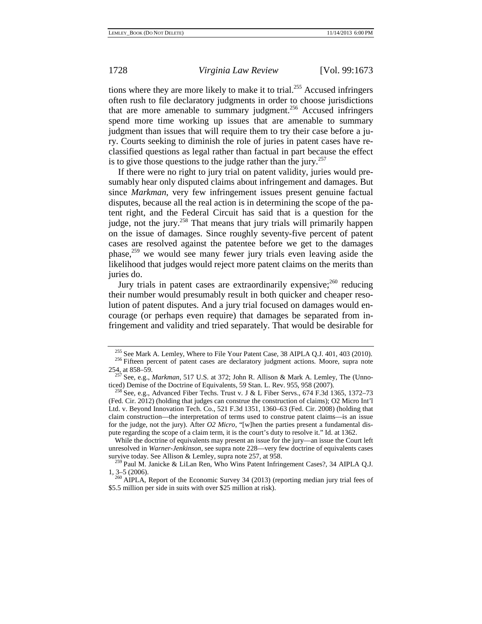tions where they are more likely to make it to trial.<sup>255</sup> Accused infringers often rush to file declaratory judgments in order to choose jurisdictions that are more amenable to summary judgment.256 Accused infringers spend more time working up issues that are amenable to summary judgment than issues that will require them to try their case before a jury. Courts seeking to diminish the role of juries in patent cases have reclassified questions as legal rather than factual in part because the effect is to give those questions to the judge rather than the jury.<sup>257</sup>

If there were no right to jury trial on patent validity, juries would presumably hear only disputed claims about infringement and damages. But since *Markman*, very few infringement issues present genuine factual disputes, because all the real action is in determining the scope of the patent right, and the Federal Circuit has said that is a question for the judge, not the jury.<sup>258</sup> That means that jury trials will primarily happen on the issue of damages. Since roughly seventy-five percent of patent cases are resolved against the patentee before we get to the damages phase, $259$  we would see many fewer jury trials even leaving aside the likelihood that judges would reject more patent claims on the merits than juries do.

Jury trials in patent cases are extraordinarily expensive; $^{260}$  reducing their number would presumably result in both quicker and cheaper resolution of patent disputes. And a jury trial focused on damages would encourage (or perhaps even require) that damages be separated from infringement and validity and tried separately. That would be desirable for

<sup>&</sup>lt;sup>255</sup> See Mark A. Lemley, Where to File Your Patent Case, 38 AIPLA Q.J. 401, 403 (2010). <sup>256</sup> Fifteen percent of patent cases are declaratory judgment actions. Moore, supra note

<sup>254,</sup> at 858–59.<br><sup>257</sup> See, e.g., *Markman*, 517 U.S. at 372; John R. Allison & Mark A. Lemley, The (Unno-<br>257 See, e.g., *Markman*, 517 U.S. at 372; John R. Allison & Mark A. Lemley, The (Unno-<br>257 See, e.g., *Markman*, 51

<sup>&</sup>lt;sup>258</sup> See, e.g., Advanced Fiber Techs. Trust v. J & L Fiber Servs., 674 F.3d 1365, 1372–73 (Fed. Cir. 2012) (holding that judges can construe the construction of claims); O2 Micro Int'l Ltd. v. Beyond Innovation Tech. Co., 521 F.3d 1351, 1360–63 (Fed. Cir. 2008) (holding that claim construction—the interpretation of terms used to construe patent claims—is an issue for the judge, not the jury). After *O2 Micro*, "[w]hen the parties present a fundamental dispute regarding the scope of a claim term, it is the court's duty to resolve it." Id. at 1362.

While the doctrine of equivalents may present an issue for the jury—an issue the Court left unresolved in *Warner-Jenkinson*, see supra note 228—very few doctrine of equivalents cases

<sup>&</sup>lt;sup>259</sup> Paul M. Janicke & LiLan Ren, Who Wins Patent Infringement Cases?, 34 AIPLA Q.J. 1,  $3-5$  (2006).<br><sup>260</sup> AIPLA, Report of the Economic Survey 34 (2013) (reporting median jury trial fees of

<sup>\$5.5</sup> million per side in suits with over \$25 million at risk).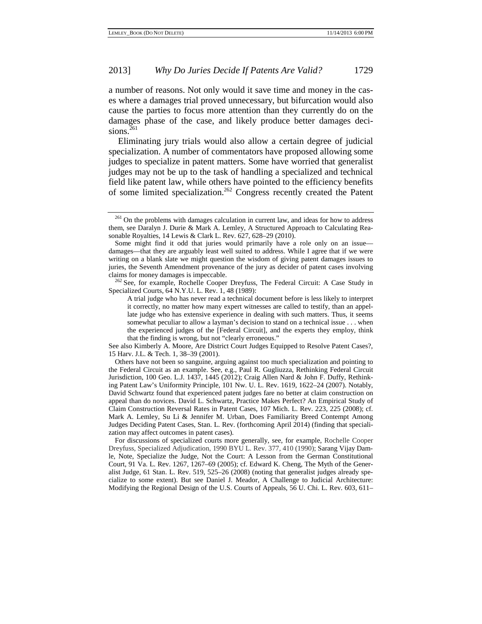a number of reasons. Not only would it save time and money in the cases where a damages trial proved unnecessary, but bifurcation would also cause the parties to focus more attention than they currently do on the damages phase of the case, and likely produce better damages decisions. $261$ 

Eliminating jury trials would also allow a certain degree of judicial specialization. A number of commentators have proposed allowing some judges to specialize in patent matters. Some have worried that generalist judges may not be up to the task of handling a specialized and technical field like patent law, while others have pointed to the efficiency benefits of some limited specialization.<sup>262</sup> Congress recently created the Patent

See also Kimberly A. Moore, Are District Court Judges Equipped to Resolve Patent Cases?, 15 Harv. J.L. & Tech. 1, 38–39 (2001).

 Others have not been so sanguine, arguing against too much specialization and pointing to the Federal Circuit as an example. See, e.g., Paul R. Gugliuzza, Rethinking Federal Circuit Jurisdiction, 100 Geo. L.J. 1437, 1445 (2012); Craig Allen Nard & John F. Duffy, Rethinking Patent Law's Uniformity Principle, 101 Nw. U. L. Rev. 1619, 1622–24 (2007). Notably, David Schwartz found that experienced patent judges fare no better at claim construction on appeal than do novices. David L. Schwartz, Practice Makes Perfect? An Empirical Study of Claim Construction Reversal Rates in Patent Cases, 107 Mich. L. Rev. 223, 225 (2008); cf. Mark A. Lemley, Su Li & Jennifer M. Urban, Does Familiarity Breed Contempt Among Judges Deciding Patent Cases, Stan. L. Rev. (forthcoming April 2014) (finding that specialization may affect outcomes in patent cases).

 For discussions of specialized courts more generally, see, for example, Rochelle Cooper Dreyfuss, Specialized Adjudication, 1990 BYU L. Rev. 377, 410 (1990); Sarang Vijay Damle, Note, Specialize the Judge, Not the Court: A Lesson from the German Constitutional Court, 91 Va. L. Rev. 1267, 1267–69 (2005); cf. Edward K. Cheng, The Myth of the Generalist Judge, 61 Stan. L. Rev. 519, 525–26 (2008) (noting that generalist judges already specialize to some extent). But see Daniel J. Meador, A Challenge to Judicial Architecture: Modifying the Regional Design of the U.S. Courts of Appeals, 56 U. Chi. L. Rev. 603, 611–

<sup>&</sup>lt;sup>261</sup> On the problems with damages calculation in current law, and ideas for how to address them, see Daralyn J. Durie & Mark A. Lemley, A Structured Approach to Calculating Reasonable Royalties, 14 Lewis & Clark L. Rev. 627, 628–29 (2010).

Some might find it odd that juries would primarily have a role only on an issue damages—that they are arguably least well suited to address. While I agree that if we were writing on a blank slate we might question the wisdom of giving patent damages issues to juries, the Seventh Amendment provenance of the jury as decider of patent cases involving claims for money damages is impeccable.<br><sup>262</sup> See, for example, Rochelle Cooper Dreyfuss, The Federal Circuit: A Case Study in

Specialized Courts, 64 N.Y.U. L. Rev. 1, 48 (1989):

A trial judge who has never read a technical document before is less likely to interpret it correctly, no matter how many expert witnesses are called to testify, than an appellate judge who has extensive experience in dealing with such matters. Thus, it seems somewhat peculiar to allow a layman's decision to stand on a technical issue . . . when the experienced judges of the [Federal Circuit], and the experts they employ, think that the finding is wrong, but not "clearly erroneous."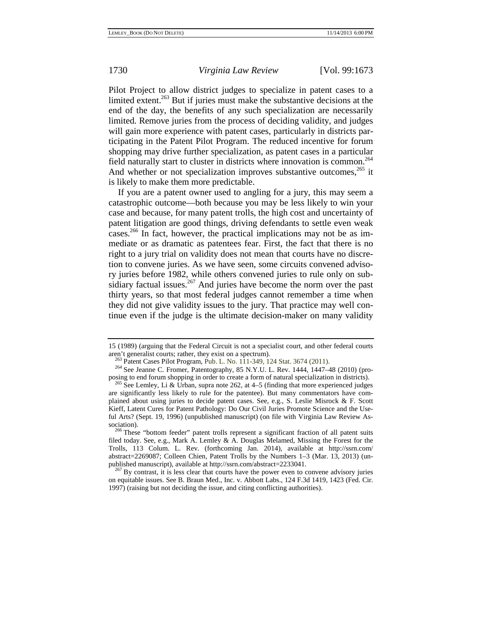Pilot Project to allow district judges to specialize in patent cases to a limited extent.<sup>263</sup> But if juries must make the substantive decisions at the end of the day, the benefits of any such specialization are necessarily limited. Remove juries from the process of deciding validity, and judges will gain more experience with patent cases, particularly in districts participating in the Patent Pilot Program. The reduced incentive for forum shopping may drive further specialization, as patent cases in a particular field naturally start to cluster in districts where innovation is common.<sup>264</sup> And whether or not specialization improves substantive outcomes,  $265$  it is likely to make them more predictable.

If you are a patent owner used to angling for a jury, this may seem a catastrophic outcome—both because you may be less likely to win your case and because, for many patent trolls, the high cost and uncertainty of patent litigation are good things, driving defendants to settle even weak cases.266 In fact, however, the practical implications may not be as immediate or as dramatic as patentees fear. First, the fact that there is no right to a jury trial on validity does not mean that courts have no discretion to convene juries. As we have seen, some circuits convened advisory juries before 1982, while others convened juries to rule only on subsidiary factual issues.<sup>267</sup> And juries have become the norm over the past thirty years, so that most federal judges cannot remember a time when they did not give validity issues to the jury. That practice may well continue even if the judge is the ultimate decision-maker on many validity

<sup>15 (1989) (</sup>arguing that the Federal Circuit is not a specialist court, and other federal courts aren't generalist courts; rather, they exist on a spectrum).<br><sup>263</sup> Patent Cases Pilot Program, Pub. L. No. 111-349, 124 Stat. 3674 (2011).<br><sup>264</sup> See Jeanne C. Fromer, Patentography, 85 N.Y.U. L. Rev. 1444, 1447–48 (2010) (

posing to end forum shopping in order to create a form of natural specialization in districts).<br><sup>265</sup> See Lemley, Li & Urban, supra note 262, at 4–5 (finding that more experienced judges

are significantly less likely to rule for the patentee). But many commentators have complained about using juries to decide patent cases. See, e.g., S. Leslie Misrock & F. Scott Kieff, Latent Cures for Patent Pathology: Do Our Civil Juries Promote Science and the Useful Arts? (Sept. 19, 1996) (unpublished manuscript) (on file with Virginia Law Review Association).<br><sup>266</sup> These "bottom feeder" patent trolls represent a significant fraction of all patent suits

filed today. See, e.g., Mark A. Lemley & A. Douglas Melamed, Missing the Forest for the Trolls, 113 Colum. L. Rev. (forthcoming Jan. 2014), available at http://ssrn.com/ abstract=2269087; Colleen Chien, Patent Trolls by the Numbers 1–3 (Mar. 13, 2013) (un-<br>published manuscript), available at http://ssrn.com/abstract=2233041.

 $^{267}$  By contrast, it is less clear that courts have the power even to convene advisory juries on equitable issues. See B. Braun Med., Inc. v. Abbott Labs., 124 F.3d 1419, 1423 (Fed. Cir. 1997) (raising but not deciding the issue, and citing conflicting authorities).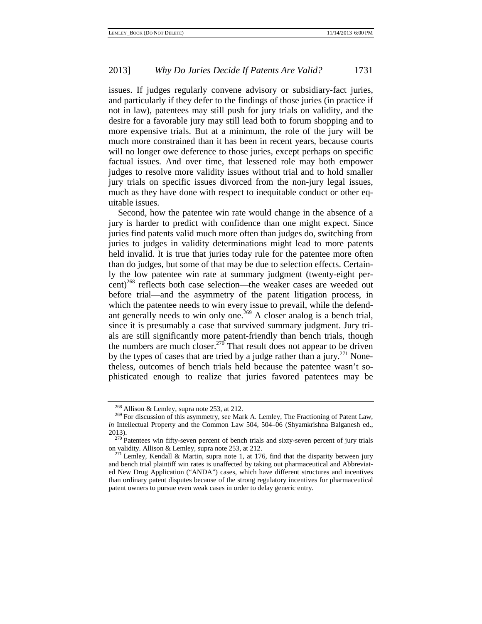issues. If judges regularly convene advisory or subsidiary-fact juries, and particularly if they defer to the findings of those juries (in practice if not in law), patentees may still push for jury trials on validity, and the desire for a favorable jury may still lead both to forum shopping and to more expensive trials. But at a minimum, the role of the jury will be much more constrained than it has been in recent years, because courts will no longer owe deference to those juries, except perhaps on specific factual issues. And over time, that lessened role may both empower judges to resolve more validity issues without trial and to hold smaller jury trials on specific issues divorced from the non-jury legal issues, much as they have done with respect to inequitable conduct or other equitable issues.

Second, how the patentee win rate would change in the absence of a jury is harder to predict with confidence than one might expect. Since juries find patents valid much more often than judges do, switching from juries to judges in validity determinations might lead to more patents held invalid. It is true that juries today rule for the patentee more often than do judges, but some of that may be due to selection effects. Certainly the low patentee win rate at summary judgment (twenty-eight percent)<sup>268</sup> reflects both case selection—the weaker cases are weeded out before trial—and the asymmetry of the patent litigation process, in which the patentee needs to win every issue to prevail, while the defendant generally needs to win only one.<sup>269</sup> A closer analog is a bench trial, since it is presumably a case that survived summary judgment. Jury trials are still significantly more patent-friendly than bench trials, though the numbers are much closer.<sup>270</sup> That result does not appear to be driven by the types of cases that are tried by a judge rather than a jury.<sup>271</sup> Nonetheless, outcomes of bench trials held because the patentee wasn't sophisticated enough to realize that juries favored patentees may be

<sup>&</sup>lt;sup>268</sup> Allison & Lemley, supra note 253, at 212.<br><sup>269</sup> For discussion of this asymmetry, see Mark A. Lemley, The Fractioning of Patent Law, *in* Intellectual Property and the Common Law 504, 504–06 (Shyamkrishna Balganesh ed.,

<sup>2013).&</sup>lt;br><sup>270</sup> Patentees win fifty-seven percent of bench trials and sixty-seven percent of jury trials on validity. Allison & Lemley, supra note 253, at 212.<br><sup>271</sup> Lemley, Kendall & Martin, supra note 1, at 176, find that the disparity between jury

and bench trial plaintiff win rates is unaffected by taking out pharmaceutical and Abbreviated New Drug Application ("ANDA") cases, which have different structures and incentives than ordinary patent disputes because of the strong regulatory incentives for pharmaceutical patent owners to pursue even weak cases in order to delay generic entry.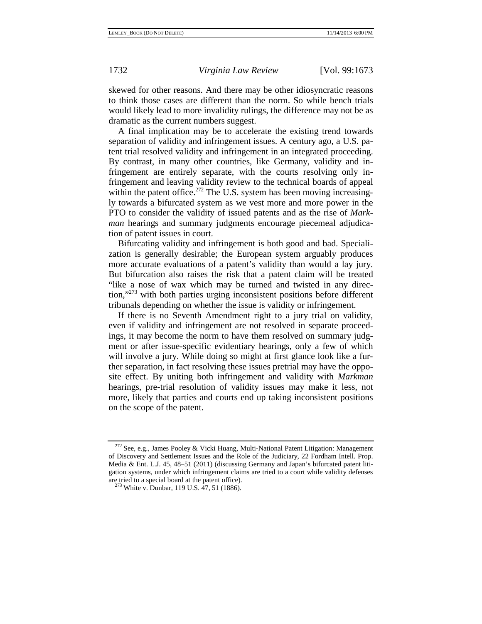skewed for other reasons. And there may be other idiosyncratic reasons to think those cases are different than the norm. So while bench trials would likely lead to more invalidity rulings, the difference may not be as dramatic as the current numbers suggest.

A final implication may be to accelerate the existing trend towards separation of validity and infringement issues. A century ago, a U.S. patent trial resolved validity and infringement in an integrated proceeding. By contrast, in many other countries, like Germany, validity and infringement are entirely separate, with the courts resolving only infringement and leaving validity review to the technical boards of appeal within the patent office.<sup>272</sup> The U.S. system has been moving increasingly towards a bifurcated system as we vest more and more power in the PTO to consider the validity of issued patents and as the rise of *Markman* hearings and summary judgments encourage piecemeal adjudication of patent issues in court.

Bifurcating validity and infringement is both good and bad. Specialization is generally desirable; the European system arguably produces more accurate evaluations of a patent's validity than would a lay jury. But bifurcation also raises the risk that a patent claim will be treated "like a nose of wax which may be turned and twisted in any direction,"273 with both parties urging inconsistent positions before different tribunals depending on whether the issue is validity or infringement.

If there is no Seventh Amendment right to a jury trial on validity, even if validity and infringement are not resolved in separate proceedings, it may become the norm to have them resolved on summary judgment or after issue-specific evidentiary hearings, only a few of which will involve a jury. While doing so might at first glance look like a further separation, in fact resolving these issues pretrial may have the opposite effect. By uniting both infringement and validity with *Markman* hearings, pre-trial resolution of validity issues may make it less, not more, likely that parties and courts end up taking inconsistent positions on the scope of the patent.

<sup>272</sup> See, e.g., James Pooley & Vicki Huang, Multi-National Patent Litigation: Management of Discovery and Settlement Issues and the Role of the Judiciary, 22 Fordham Intell. Prop. Media & Ent. L.J. 45, 48–51 (2011) (discussing Germany and Japan's bifurcated patent litigation systems, under which infringement claims are tried to a court while validity defenses are tried to a special board at the patent office). 273 White v. Dunbar, 119 U.S. 47, 51 (1886).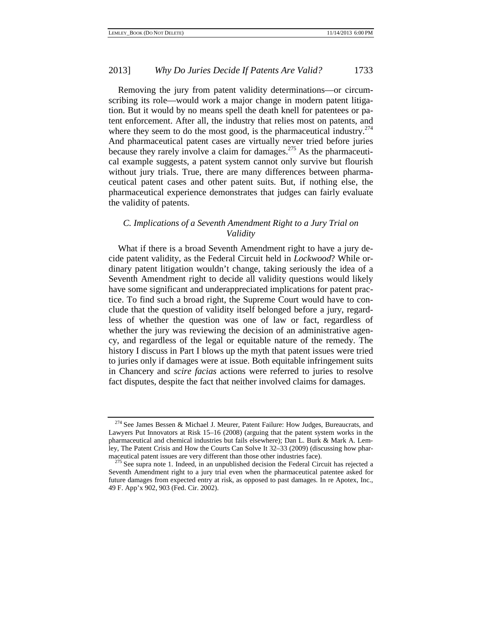Removing the jury from patent validity determinations—or circumscribing its role—would work a major change in modern patent litigation. But it would by no means spell the death knell for patentees or patent enforcement. After all, the industry that relies most on patents, and where they seem to do the most good, is the pharmaceutical industry. $274$ And pharmaceutical patent cases are virtually never tried before juries because they rarely involve a claim for damages.<sup>275</sup> As the pharmaceutical example suggests, a patent system cannot only survive but flourish without jury trials. True, there are many differences between pharmaceutical patent cases and other patent suits. But, if nothing else, the pharmaceutical experience demonstrates that judges can fairly evaluate the validity of patents.

# *C. Implications of a Seventh Amendment Right to a Jury Trial on Validity*

What if there is a broad Seventh Amendment right to have a jury decide patent validity, as the Federal Circuit held in *Lockwood*? While ordinary patent litigation wouldn't change, taking seriously the idea of a Seventh Amendment right to decide all validity questions would likely have some significant and underappreciated implications for patent practice. To find such a broad right, the Supreme Court would have to conclude that the question of validity itself belonged before a jury, regardless of whether the question was one of law or fact, regardless of whether the jury was reviewing the decision of an administrative agency, and regardless of the legal or equitable nature of the remedy. The history I discuss in Part I blows up the myth that patent issues were tried to juries only if damages were at issue. Both equitable infringement suits in Chancery and *scire facias* actions were referred to juries to resolve fact disputes, despite the fact that neither involved claims for damages.

<sup>274</sup> See James Bessen & Michael J. Meurer, Patent Failure: How Judges, Bureaucrats, and Lawyers Put Innovators at Risk 15–16 (2008) (arguing that the patent system works in the pharmaceutical and chemical industries but fails elsewhere); Dan L. Burk & Mark A. Lemley, The Patent Crisis and How the Courts Can Solve It 32–33 (2009) (discussing how phar-

 $275$  See supra note 1. Indeed, in an unpublished decision the Federal Circuit has rejected a Seventh Amendment right to a jury trial even when the pharmaceutical patentee asked for future damages from expected entry at risk, as opposed to past damages. In re Apotex, Inc., 49 F. App'x 902, 903 (Fed. Cir. 2002).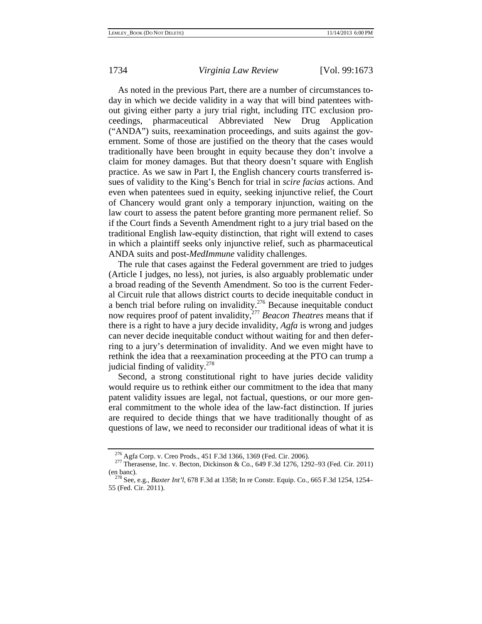As noted in the previous Part, there are a number of circumstances today in which we decide validity in a way that will bind patentees without giving either party a jury trial right, including ITC exclusion proceedings, pharmaceutical Abbreviated New Drug Application ("ANDA") suits, reexamination proceedings, and suits against the government. Some of those are justified on the theory that the cases would traditionally have been brought in equity because they don't involve a claim for money damages. But that theory doesn't square with English practice. As we saw in Part I, the English chancery courts transferred issues of validity to the King's Bench for trial in *scire facias* actions. And even when patentees sued in equity, seeking injunctive relief, the Court of Chancery would grant only a temporary injunction, waiting on the law court to assess the patent before granting more permanent relief. So if the Court finds a Seventh Amendment right to a jury trial based on the traditional English law-equity distinction, that right will extend to cases in which a plaintiff seeks only injunctive relief, such as pharmaceutical ANDA suits and post-*MedImmune* validity challenges.

The rule that cases against the Federal government are tried to judges (Article I judges, no less), not juries, is also arguably problematic under a broad reading of the Seventh Amendment. So too is the current Federal Circuit rule that allows district courts to decide inequitable conduct in a bench trial before ruling on invalidity.<sup>276</sup> Because inequitable conduct now requires proof of patent invalidity,277 *Beacon Theatres* means that if there is a right to have a jury decide invalidity, *Agfa* is wrong and judges can never decide inequitable conduct without waiting for and then deferring to a jury's determination of invalidity. And we even might have to rethink the idea that a reexamination proceeding at the PTO can trump a judicial finding of validity. $278$ 

Second, a strong constitutional right to have juries decide validity would require us to rethink either our commitment to the idea that many patent validity issues are legal, not factual, questions, or our more general commitment to the whole idea of the law-fact distinction. If juries are required to decide things that we have traditionally thought of as questions of law, we need to reconsider our traditional ideas of what it is

<sup>&</sup>lt;sup>276</sup> Agfa Corp. v. Creo Prods., 451 F.3d 1366, 1369 (Fed. Cir. 2006).<br><sup>277</sup> Therasense, Inc. v. Becton, Dickinson & Co., 649 F.3d 1276, 1292–93 (Fed. Cir. 2011) (en banc). 278 See, e.g., *Baxter Int'l*, 678 F.3d at 1358; In re Constr. Equip. Co., 665 F.3d 1254, 1254–

<sup>55 (</sup>Fed. Cir. 2011).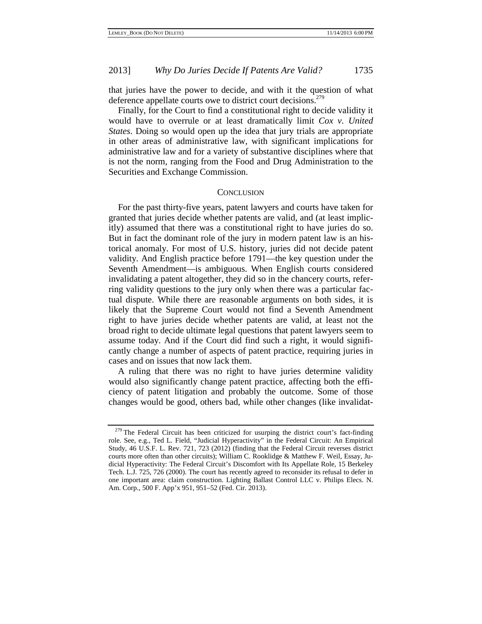that juries have the power to decide, and with it the question of what deference appellate courts owe to district court decisions.<sup>279</sup>

Finally, for the Court to find a constitutional right to decide validity it would have to overrule or at least dramatically limit *Cox v. United States*. Doing so would open up the idea that jury trials are appropriate in other areas of administrative law, with significant implications for administrative law and for a variety of substantive disciplines where that is not the norm, ranging from the Food and Drug Administration to the Securities and Exchange Commission.

#### **CONCLUSION**

For the past thirty-five years, patent lawyers and courts have taken for granted that juries decide whether patents are valid, and (at least implicitly) assumed that there was a constitutional right to have juries do so. But in fact the dominant role of the jury in modern patent law is an historical anomaly. For most of U.S. history, juries did not decide patent validity. And English practice before 1791—the key question under the Seventh Amendment—is ambiguous. When English courts considered invalidating a patent altogether, they did so in the chancery courts, referring validity questions to the jury only when there was a particular factual dispute. While there are reasonable arguments on both sides, it is likely that the Supreme Court would not find a Seventh Amendment right to have juries decide whether patents are valid, at least not the broad right to decide ultimate legal questions that patent lawyers seem to assume today. And if the Court did find such a right, it would significantly change a number of aspects of patent practice, requiring juries in cases and on issues that now lack them.

A ruling that there was no right to have juries determine validity would also significantly change patent practice, affecting both the efficiency of patent litigation and probably the outcome. Some of those changes would be good, others bad, while other changes (like invalidat-

<sup>&</sup>lt;sup>279</sup> The Federal Circuit has been criticized for usurping the district court's fact-finding role. See, e.g., Ted L. Field, "Judicial Hyperactivity" in the Federal Circuit: An Empirical Study, 46 U.S.F. L. Rev. 721, 723 (2012) (finding that the Federal Circuit reverses district courts more often than other circuits); William C. Rooklidge & Matthew F. Weil, Essay, Judicial Hyperactivity: The Federal Circuit's Discomfort with Its Appellate Role, 15 Berkeley Tech. L.J. 725, 726 (2000). The court has recently agreed to reconsider its refusal to defer in one important area: claim construction. Lighting Ballast Control LLC v. Philips Elecs. N. Am. Corp., 500 F. App'x 951, 951–52 (Fed. Cir. 2013).